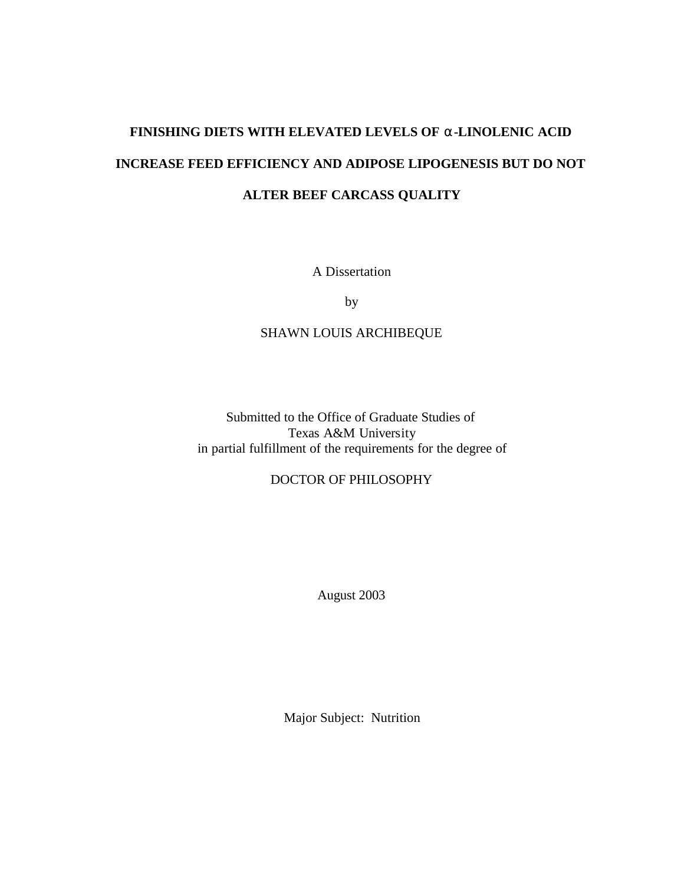# **FINISHING DIETS WITH ELEVATED LEVELS OF a-LINOLENIC ACID INCREASE FEED EFFICIENCY AND ADIPOSE LIPOGENESIS BUT DO NOT ALTER BEEF CARCASS QUALITY**

A Dissertation

by

## SHAWN LOUIS ARCHIBEQUE

Submitted to the Office of Graduate Studies of Texas A&M University in partial fulfillment of the requirements for the degree of

### DOCTOR OF PHILOSOPHY

August 2003

Major Subject: Nutrition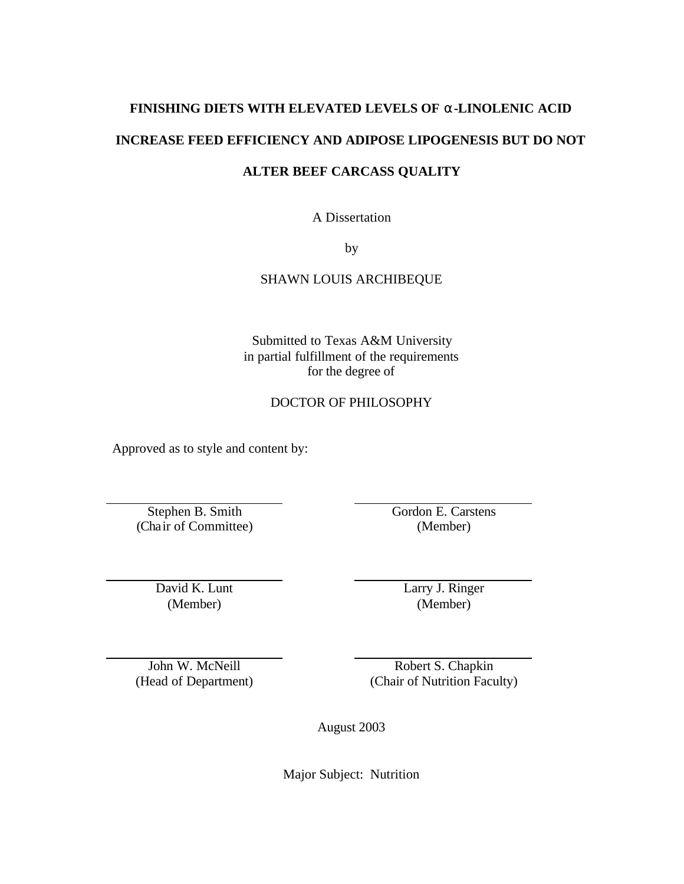# **FINISHING DIETS WITH ELEVATED LEVELS OF a-LINOLENIC ACID INCREASE FEED EFFICIENCY AND ADIPOSE LIPOGENESIS BUT DO NOT**

### **ALTER BEEF CARCASS QUALITY**

A Dissertation

by

SHAWN LOUIS ARCHIBEQUE

Submitted to Texas A&M University in partial fulfillment of the requirements for the degree of

### DOCTOR OF PHILOSOPHY

Approved as to style and content by:

Stephen B. Smith (Chair of Committee) Gordon E. Carstens (Member)

David K. Lunt (Member)

Larry J. Ringer (Member)

John W. McNeill (Head of Department)

Robert S. Chapkin (Chair of Nutrition Faculty)

August 2003

Major Subject: Nutrition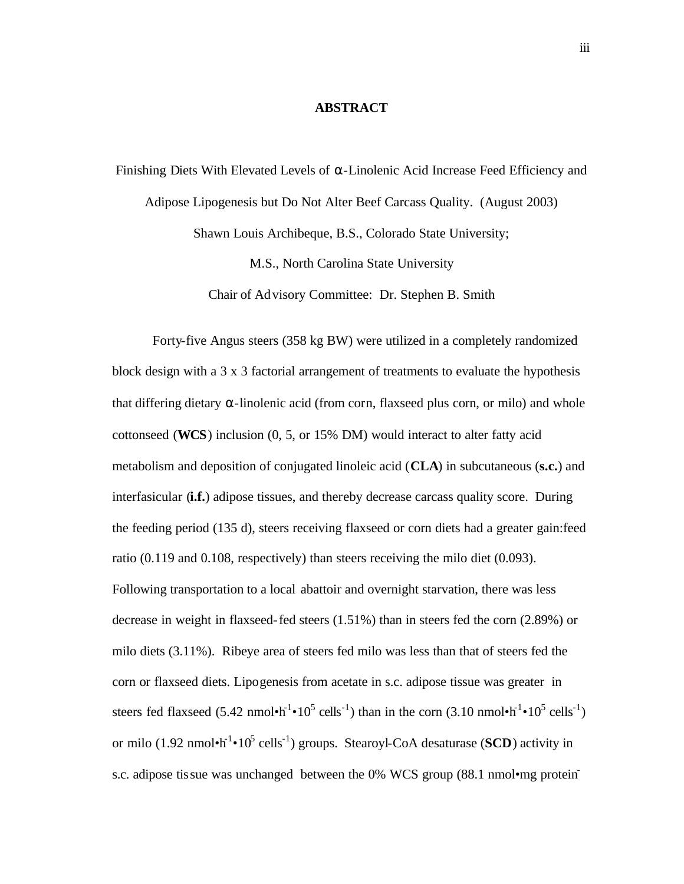#### **ABSTRACT**

Finishing Diets With Elevated Levels of  $\alpha$ -Linolenic Acid Increase Feed Efficiency and Adipose Lipogenesis but Do Not Alter Beef Carcass Quality. (August 2003) Shawn Louis Archibeque, B.S., Colorado State University; M.S., North Carolina State University

Chair of Advisory Committee: Dr. Stephen B. Smith

Forty-five Angus steers (358 kg BW) were utilized in a completely randomized block design with a 3 x 3 factorial arrangement of treatments to evaluate the hypothesis that differing dietary  $\alpha$ -linolenic acid (from corn, flaxseed plus corn, or milo) and whole cottonseed (**WCS**) inclusion (0, 5, or 15% DM) would interact to alter fatty acid metabolism and deposition of conjugated linoleic acid (**CLA**) in subcutaneous (**s.c.**) and interfasicular (**i.f.**) adipose tissues, and thereby decrease carcass quality score. During the feeding period (135 d), steers receiving flaxseed or corn diets had a greater gain:feed ratio (0.119 and 0.108, respectively) than steers receiving the milo diet (0.093). Following transportation to a local abattoir and overnight starvation, there was less decrease in weight in flaxseed-fed steers (1.51%) than in steers fed the corn (2.89%) or milo diets (3.11%). Ribeye area of steers fed milo was less than that of steers fed the corn or flaxseed diets. Lipogenesis from acetate in s.c. adipose tissue was greater in steers fed flaxseed  $(5.42 \text{ nmol}\cdot h^{-1} \cdot 10^5 \text{ cells}^{-1})$  than in the corn  $(3.10 \text{ nmol}\cdot h^{-1} \cdot 10^5 \text{ cells}^{-1})$ or milo (1.92 nmol $\cdot h^{-1} \cdot 10^5$  cells<sup>-1</sup>) groups. Stearoyl-CoA desaturase (SCD) activity in s.c. adipose tissue was unchanged between the 0% WCS group (88.1 nmol•mg protein-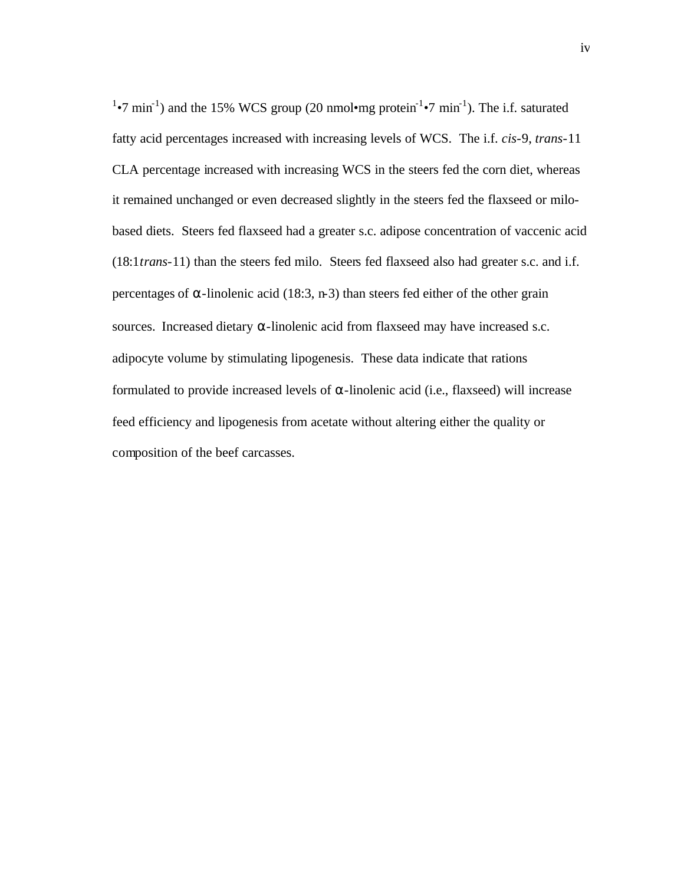$1\bullet$ 7 min<sup>-1</sup>) and the 15% WCS group (20 nmol $\bullet$ mg protein<sup>-1</sup> $\bullet$ 7 min<sup>-1</sup>). The i.f. saturated fatty acid percentages increased with increasing levels of WCS. The i.f. *cis*-9, *trans*-11 CLA percentage increased with increasing WCS in the steers fed the corn diet, whereas it remained unchanged or even decreased slightly in the steers fed the flaxseed or milobased diets. Steers fed flaxseed had a greater s.c. adipose concentration of vaccenic acid (18:1*trans*-11) than the steers fed milo. Steers fed flaxseed also had greater s.c. and i.f. percentages of α-linolenic acid (18:3, n-3) than steers fed either of the other grain sources. Increased dietary  $\alpha$ -linolenic acid from flaxseed may have increased s.c. adipocyte volume by stimulating lipogenesis. These data indicate that rations formulated to provide increased levels of  $\alpha$ -linolenic acid (i.e., flaxseed) will increase feed efficiency and lipogenesis from acetate without altering either the quality or composition of the beef carcasses.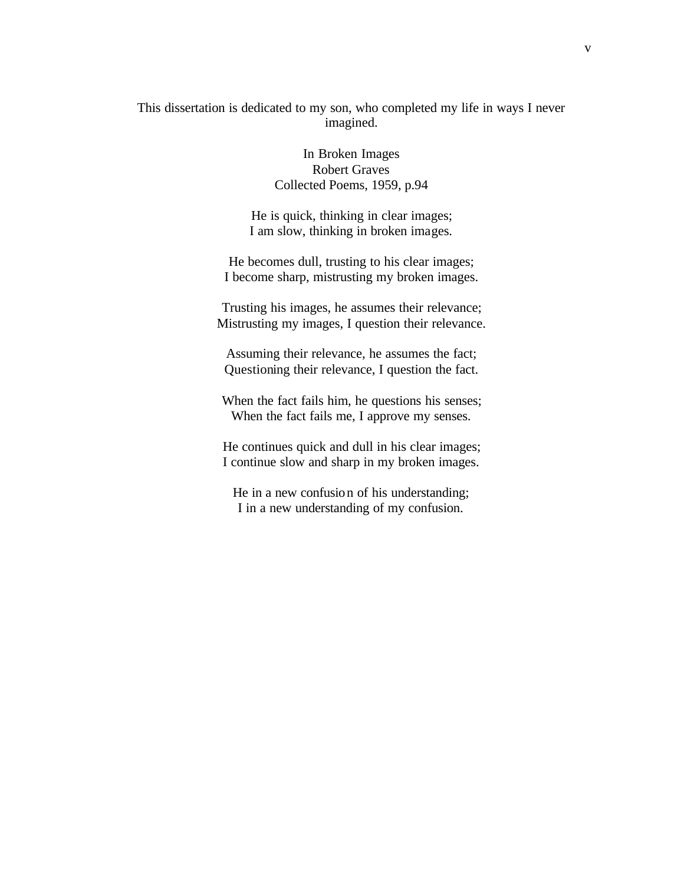This dissertation is dedicated to my son, who completed my life in ways I never imagined.

> In Broken Images Robert Graves Collected Poems, 1959, p.94

He is quick, thinking in clear images; I am slow, thinking in broken images.

He becomes dull, trusting to his clear images; I become sharp, mistrusting my broken images.

Trusting his images, he assumes their relevance; Mistrusting my images, I question their relevance.

Assuming their relevance, he assumes the fact; Questioning their relevance, I question the fact.

When the fact fails him, he questions his senses; When the fact fails me, I approve my senses.

He continues quick and dull in his clear images; I continue slow and sharp in my broken images.

He in a new confusion of his understanding; I in a new understanding of my confusion.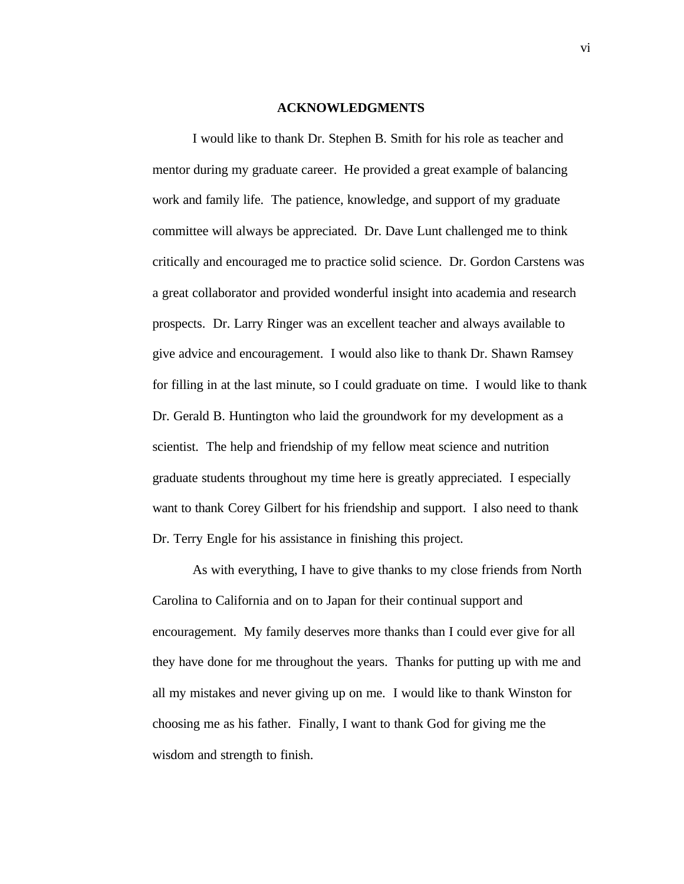#### **ACKNOWLEDGMENTS**

I would like to thank Dr. Stephen B. Smith for his role as teacher and mentor during my graduate career. He provided a great example of balancing work and family life. The patience, knowledge, and support of my graduate committee will always be appreciated. Dr. Dave Lunt challenged me to think critically and encouraged me to practice solid science. Dr. Gordon Carstens was a great collaborator and provided wonderful insight into academia and research prospects. Dr. Larry Ringer was an excellent teacher and always available to give advice and encouragement. I would also like to thank Dr. Shawn Ramsey for filling in at the last minute, so I could graduate on time. I would like to thank Dr. Gerald B. Huntington who laid the groundwork for my development as a scientist. The help and friendship of my fellow meat science and nutrition graduate students throughout my time here is greatly appreciated. I especially want to thank Corey Gilbert for his friendship and support. I also need to thank Dr. Terry Engle for his assistance in finishing this project.

As with everything, I have to give thanks to my close friends from North Carolina to California and on to Japan for their continual support and encouragement. My family deserves more thanks than I could ever give for all they have done for me throughout the years. Thanks for putting up with me and all my mistakes and never giving up on me. I would like to thank Winston for choosing me as his father. Finally, I want to thank God for giving me the wisdom and strength to finish.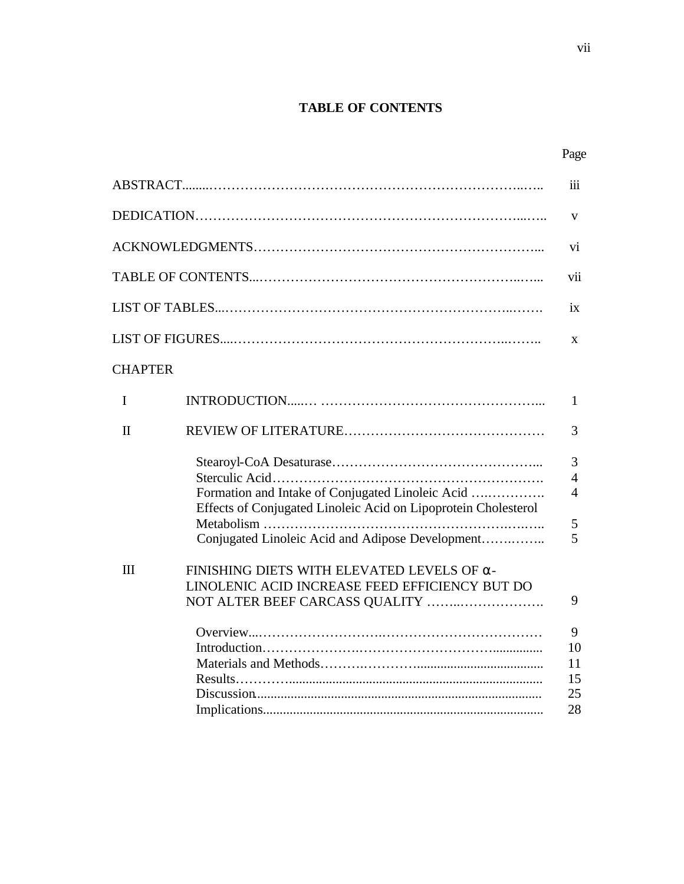# **TABLE OF CONTENTS**

|                |                                                                                                                                                                        | $\overline{\text{iii}}$                         |
|----------------|------------------------------------------------------------------------------------------------------------------------------------------------------------------------|-------------------------------------------------|
|                |                                                                                                                                                                        | V                                               |
|                |                                                                                                                                                                        | vi                                              |
|                |                                                                                                                                                                        | vii                                             |
|                |                                                                                                                                                                        | $\overline{1}X$                                 |
|                |                                                                                                                                                                        | $\mathbf{X}$                                    |
| <b>CHAPTER</b> |                                                                                                                                                                        |                                                 |
| $\mathbf I$    |                                                                                                                                                                        | $\mathbf{1}$                                    |
| $\mathbf{I}$   |                                                                                                                                                                        | 3                                               |
|                | Formation and Intake of Conjugated Linoleic Acid<br>Effects of Conjugated Linoleic Acid on Lipoprotein Cholesterol<br>Conjugated Linoleic Acid and Adipose Development | 3<br>$\overline{4}$<br>$\overline{4}$<br>5<br>5 |
| III            | FINISHING DIETS WITH ELEVATED LEVELS OF $\alpha$ -<br>LINOLENIC ACID INCREASE FEED EFFICIENCY BUT DO<br>NOT ALTER BEEF CARCASS QUALITY                                 | 9                                               |
|                |                                                                                                                                                                        | 9<br>10<br>11<br>15<br>25<br>28                 |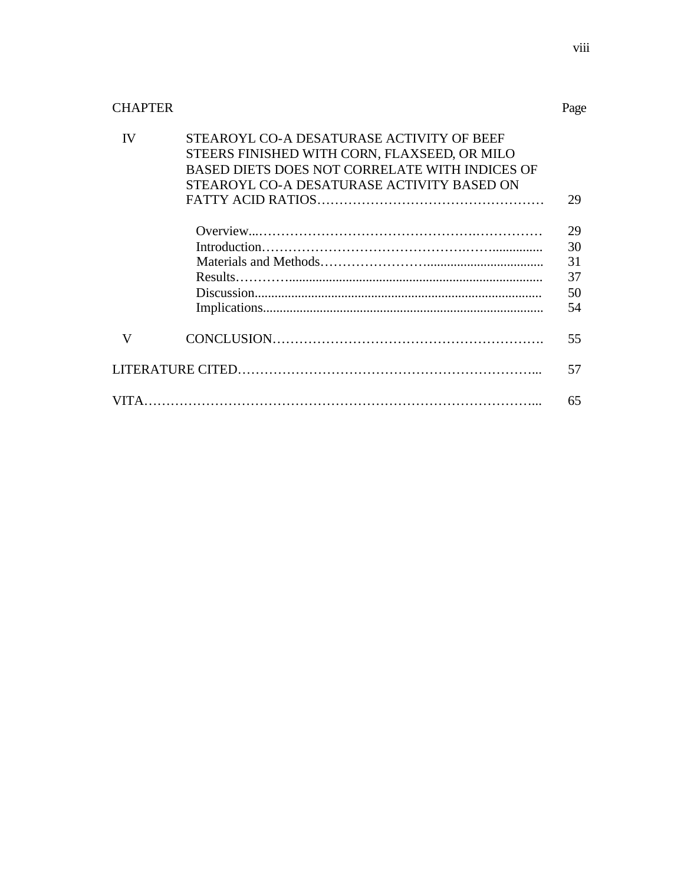# CHAPTER

| <b>IV</b> | STEAROYL CO-A DESATURASE ACTIVITY OF BEEF      |    |
|-----------|------------------------------------------------|----|
|           | STEERS FINISHED WITH CORN, FLAXSEED, OR MILO   |    |
|           | BASED DIETS DOES NOT CORRELATE WITH INDICES OF |    |
|           | STEAROYL CO-A DESATURASE ACTIVITY BASED ON     |    |
|           |                                                | 29 |
|           |                                                | 29 |
|           |                                                | 30 |
|           |                                                | 31 |
|           |                                                | 37 |
|           |                                                | 50 |
|           |                                                | 54 |
| V         |                                                | 55 |
|           |                                                | 57 |
|           |                                                | 65 |

Page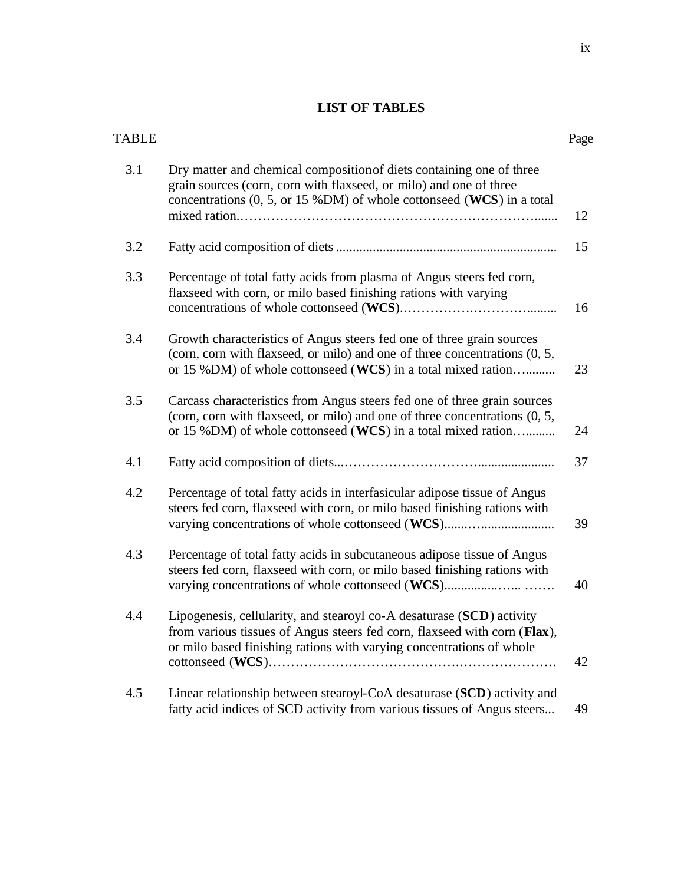## **LIST OF TABLES**

| TABLE |                                                                                                                                                                                                                            | Page |
|-------|----------------------------------------------------------------------------------------------------------------------------------------------------------------------------------------------------------------------------|------|
| 3.1   | Dry matter and chemical composition of diets containing one of three<br>grain sources (corn, corn with flaxseed, or milo) and one of three<br>concentrations $(0, 5, or 15 \%)$ of whole cottonseed (WCS) in a total       | 12   |
| 3.2   |                                                                                                                                                                                                                            | 15   |
| 3.3   | Percentage of total fatty acids from plasma of Angus steers fed corn,<br>flaxseed with corn, or milo based finishing rations with varying                                                                                  | 16   |
| 3.4   | Growth characteristics of Angus steers fed one of three grain sources<br>(corn, corn with flaxseed, or milo) and one of three concentrations (0, 5,<br>or 15 %DM) of whole cottonseed (WCS) in a total mixed ration        | 23   |
| 3.5   | Carcass characteristics from Angus steers fed one of three grain sources<br>(corn, corn with flaxseed, or milo) and one of three concentrations (0, 5,<br>or 15 %DM) of whole cottonseed (WCS) in a total mixed ration     | 24   |
| 4.1   |                                                                                                                                                                                                                            | 37   |
| 4.2   | Percentage of total fatty acids in interfasicular adipose tissue of Angus<br>steers fed corn, flaxseed with corn, or milo based finishing rations with<br>varying concentrations of whole cottonseed (WCS)                 | 39   |
| 4.3   | Percentage of total fatty acids in subcutaneous adipose tissue of Angus<br>steers fed corn, flaxseed with corn, or milo based finishing rations with                                                                       | 40   |
| 4.4   | Lipogenesis, cellularity, and stearoyl co-A desaturase (SCD) activity<br>from various tissues of Angus steers fed corn, flaxseed with corn (Flax),<br>or milo based finishing rations with varying concentrations of whole | 42   |
| 4.5   | Linear relationship between stearoyl-CoA desaturase (SCD) activity and<br>fatty acid indices of SCD activity from various tissues of Angus steers                                                                          | 49   |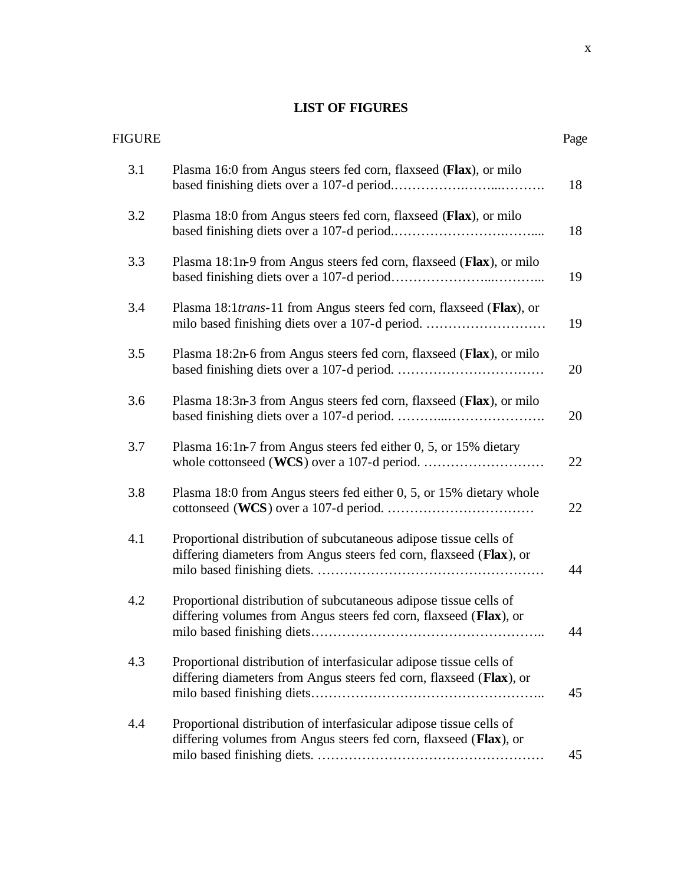# **LIST OF FIGURES**

| <b>FIGURE</b> |                                                                                                                                            | Page |
|---------------|--------------------------------------------------------------------------------------------------------------------------------------------|------|
| 3.1           | Plasma 16:0 from Angus steers fed corn, flaxseed (Flax), or milo                                                                           | 18   |
| 3.2           | Plasma 18:0 from Angus steers fed corn, flaxseed (Flax), or milo                                                                           | 18   |
| 3.3           | Plasma 18:1n-9 from Angus steers fed corn, flaxseed (Flax), or milo                                                                        | 19   |
| 3.4           | Plasma 18:1 <i>trans</i> -11 from Angus steers fed corn, flaxseed (Flax), or                                                               | 19   |
| 3.5           | Plasma 18:2n-6 from Angus steers fed corn, flaxseed (Flax), or milo                                                                        | 20   |
| 3.6           | Plasma 18:3n-3 from Angus steers fed corn, flaxseed (Flax), or milo                                                                        | 20   |
| 3.7           | Plasma 16:1n-7 from Angus steers fed either 0, 5, or 15% dietary                                                                           | 22   |
| 3.8           | Plasma 18:0 from Angus steers fed either 0, 5, or 15% dietary whole                                                                        | 22   |
| 4.1           | Proportional distribution of subcutaneous adipose tissue cells of<br>differing diameters from Angus steers fed corn, flaxseed (Flax), or   | 44   |
| 4.2           | Proportional distribution of subcutaneous adipose tissue cells of<br>differing volumes from Angus steers fed corn, flaxseed (Flax), or     | 44   |
| 4.3           | Proportional distribution of interfasicular adipose tissue cells of<br>differing diameters from Angus steers fed corn, flaxseed (Flax), or | 45   |
| 4.4           | Proportional distribution of interfasicular adipose tissue cells of<br>differing volumes from Angus steers fed corn, flaxseed (Flax), or   | 45   |
|               |                                                                                                                                            |      |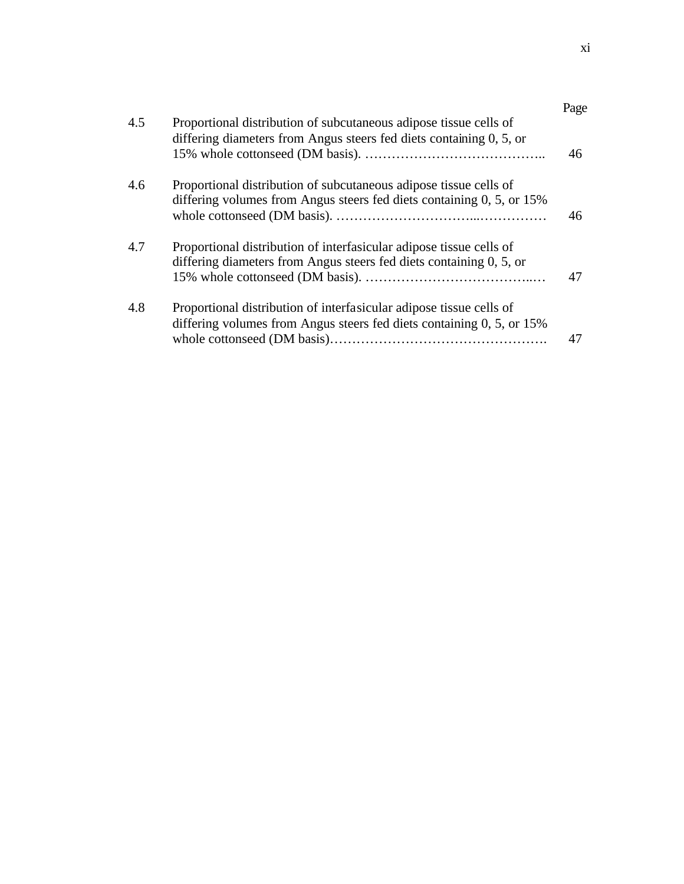| 4.5 | Proportional distribution of subcutaneous adipose tissue cells of<br>differing diameters from Angus steers fed diets containing 0, 5, or     | Page |
|-----|----------------------------------------------------------------------------------------------------------------------------------------------|------|
|     |                                                                                                                                              | 46   |
| 4.6 | Proportional distribution of subcutaneous adipose tissue cells of<br>differing volumes from Angus steers fed diets containing 0, 5, or 15%   | 46   |
| 4.7 | Proportional distribution of interfasicular adipose tissue cells of                                                                          |      |
|     | differing diameters from Angus steers fed diets containing 0, 5, or                                                                          | 47   |
| 4.8 | Proportional distribution of interfasicular adipose tissue cells of<br>differing volumes from Angus steers fed diets containing 0, 5, or 15% |      |
|     |                                                                                                                                              | 47   |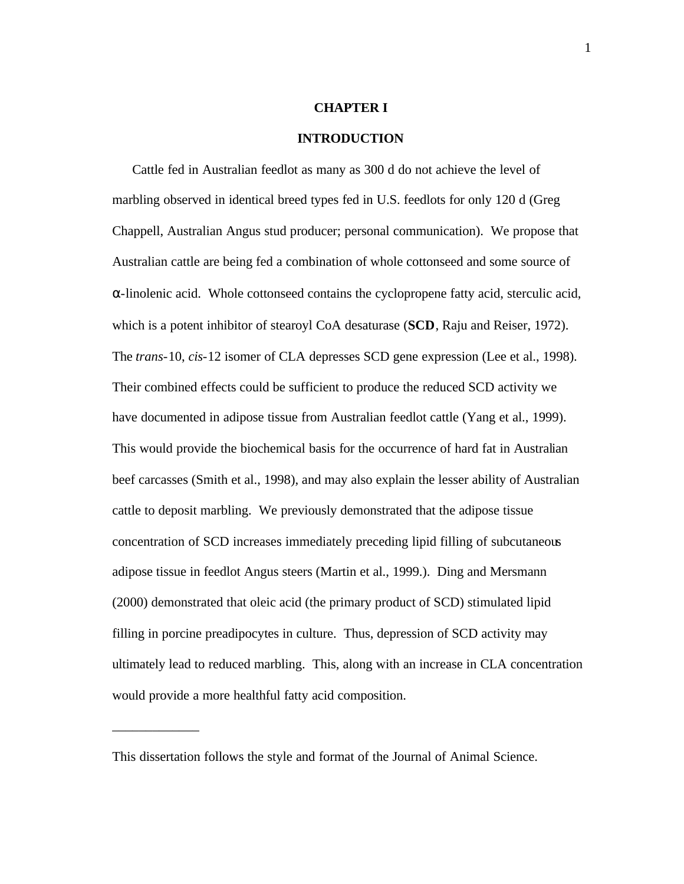#### **CHAPTER I**

#### **INTRODUCTION**

Cattle fed in Australian feedlot as many as 300 d do not achieve the level of marbling observed in identical breed types fed in U.S. feedlots for only 120 d (Greg Chappell, Australian Angus stud producer; personal communication). We propose that Australian cattle are being fed a combination of whole cottonseed and some source of α-linolenic acid. Whole cottonseed contains the cyclopropene fatty acid, sterculic acid, which is a potent inhibitor of stearoyl CoA desaturase (**SCD**, Raju and Reiser, 1972). The *trans*-10, *cis*-12 isomer of CLA depresses SCD gene expression (Lee et al., 1998). Their combined effects could be sufficient to produce the reduced SCD activity we have documented in adipose tissue from Australian feedlot cattle (Yang et al., 1999). This would provide the biochemical basis for the occurrence of hard fat in Australian beef carcasses (Smith et al., 1998), and may also explain the lesser ability of Australian cattle to deposit marbling. We previously demonstrated that the adipose tissue concentration of SCD increases immediately preceding lipid filling of subcutaneous adipose tissue in feedlot Angus steers (Martin et al., 1999.). Ding and Mersmann (2000) demonstrated that oleic acid (the primary product of SCD) stimulated lipid filling in porcine preadipocytes in culture. Thus, depression of SCD activity may ultimately lead to reduced marbling. This, along with an increase in CLA concentration would provide a more healthful fatty acid composition.

\_\_\_\_\_\_\_\_\_\_\_\_\_

This dissertation follows the style and format of the Journal of Animal Science.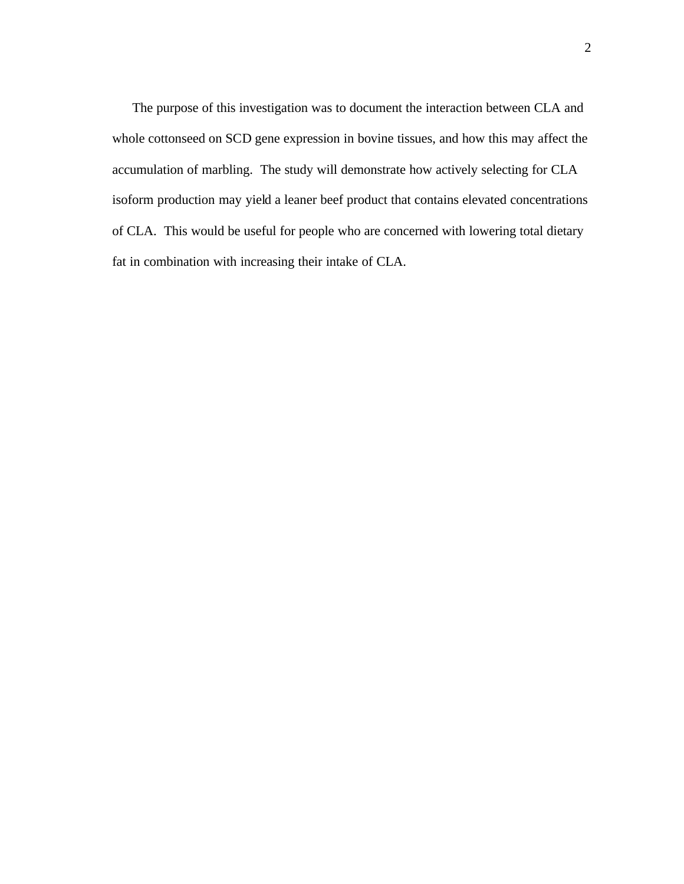The purpose of this investigation was to document the interaction between CLA and whole cottonseed on SCD gene expression in bovine tissues, and how this may affect the accumulation of marbling. The study will demonstrate how actively selecting for CLA isoform production may yield a leaner beef product that contains elevated concentrations of CLA. This would be useful for people who are concerned with lowering total dietary fat in combination with increasing their intake of CLA.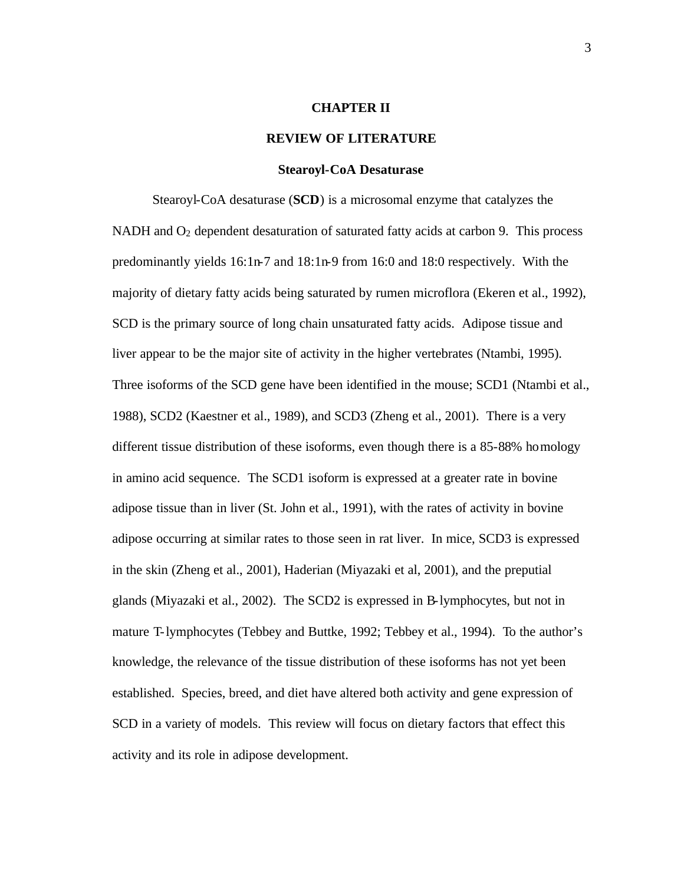#### **CHAPTER II**

#### **REVIEW OF LITERATURE**

#### **Stearoyl-CoA Desaturase**

Stearoyl-CoA desaturase (**SCD**) is a microsomal enzyme that catalyzes the NADH and  $O<sub>2</sub>$  dependent desaturation of saturated fatty acids at carbon 9. This process predominantly yields 16:1n-7 and 18:1n-9 from 16:0 and 18:0 respectively. With the majority of dietary fatty acids being saturated by rumen microflora (Ekeren et al., 1992), SCD is the primary source of long chain unsaturated fatty acids. Adipose tissue and liver appear to be the major site of activity in the higher vertebrates (Ntambi, 1995). Three isoforms of the SCD gene have been identified in the mouse; SCD1 (Ntambi et al., 1988), SCD2 (Kaestner et al., 1989), and SCD3 (Zheng et al., 2001). There is a very different tissue distribution of these isoforms, even though there is a 85-88% homology in amino acid sequence. The SCD1 isoform is expressed at a greater rate in bovine adipose tissue than in liver (St. John et al., 1991), with the rates of activity in bovine adipose occurring at similar rates to those seen in rat liver. In mice, SCD3 is expressed in the skin (Zheng et al., 2001), Haderian (Miyazaki et al, 2001), and the preputial glands (Miyazaki et al., 2002). The SCD2 is expressed in B-lymphocytes, but not in mature T-lymphocytes (Tebbey and Buttke, 1992; Tebbey et al., 1994). To the author's knowledge, the relevance of the tissue distribution of these isoforms has not yet been established. Species, breed, and diet have altered both activity and gene expression of SCD in a variety of models. This review will focus on dietary factors that effect this activity and its role in adipose development.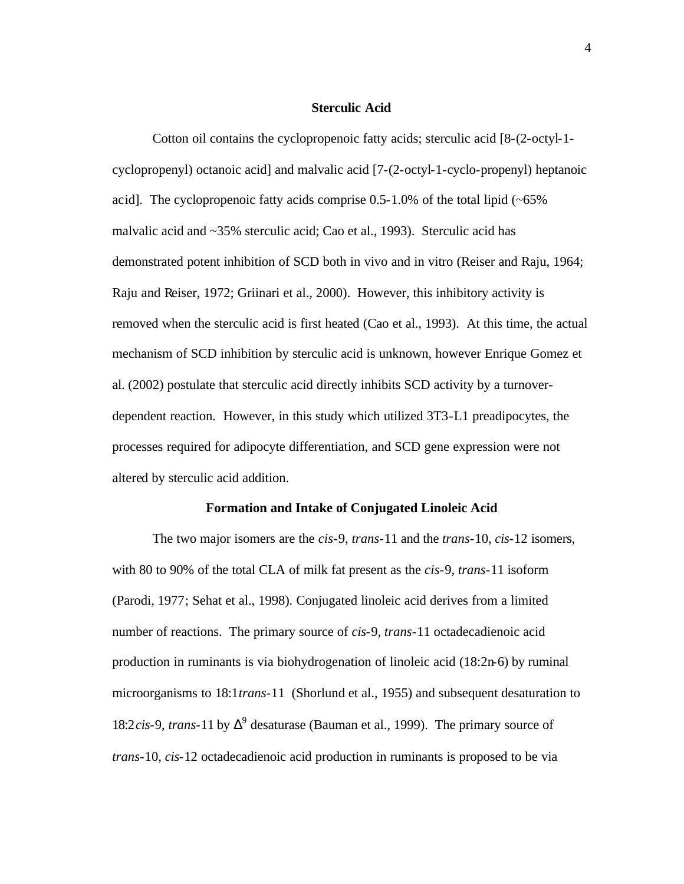#### **Sterculic Acid**

Cotton oil contains the cyclopropenoic fatty acids; sterculic acid [8-(2-octyl-1 cyclopropenyl) octanoic acid] and malvalic acid [7-(2-octyl-1-cyclo-propenyl) heptanoic acid]. The cyclopropenoic fatty acids comprise  $0.5-1.0\%$  of the total lipid ( $\sim 65\%$ ) malvalic acid and ~35% sterculic acid; Cao et al., 1993). Sterculic acid has demonstrated potent inhibition of SCD both in vivo and in vitro (Reiser and Raju, 1964; Raju and Reiser, 1972; Griinari et al., 2000). However, this inhibitory activity is removed when the sterculic acid is first heated (Cao et al., 1993). At this time, the actual mechanism of SCD inhibition by sterculic acid is unknown, however Enrique Gomez et al. (2002) postulate that sterculic acid directly inhibits SCD activity by a turnoverdependent reaction. However, in this study which utilized 3T3-L1 preadipocytes, the processes required for adipocyte differentiation, and SCD gene expression were not altered by sterculic acid addition.

#### **Formation and Intake of Conjugated Linoleic Acid**

The two major isomers are the *cis*-9, *trans*-11 and the *trans*-10, *cis*-12 isomers, with 80 to 90% of the total CLA of milk fat present as the *cis*-9, *trans*-11 isoform (Parodi, 1977; Sehat et al., 1998). Conjugated linoleic acid derives from a limited number of reactions. The primary source of *cis*-9, *trans*-11 octadecadienoic acid production in ruminants is via biohydrogenation of linoleic acid (18:2n-6) by ruminal microorganisms to 18:1*trans*-11 (Shorlund et al., 1955) and subsequent desaturation to 18:2*cis*-9, *trans*-11 by  $\Delta^9$  desaturase (Bauman et al., 1999). The primary source of *trans*-10, *cis*-12 octadecadienoic acid production in ruminants is proposed to be via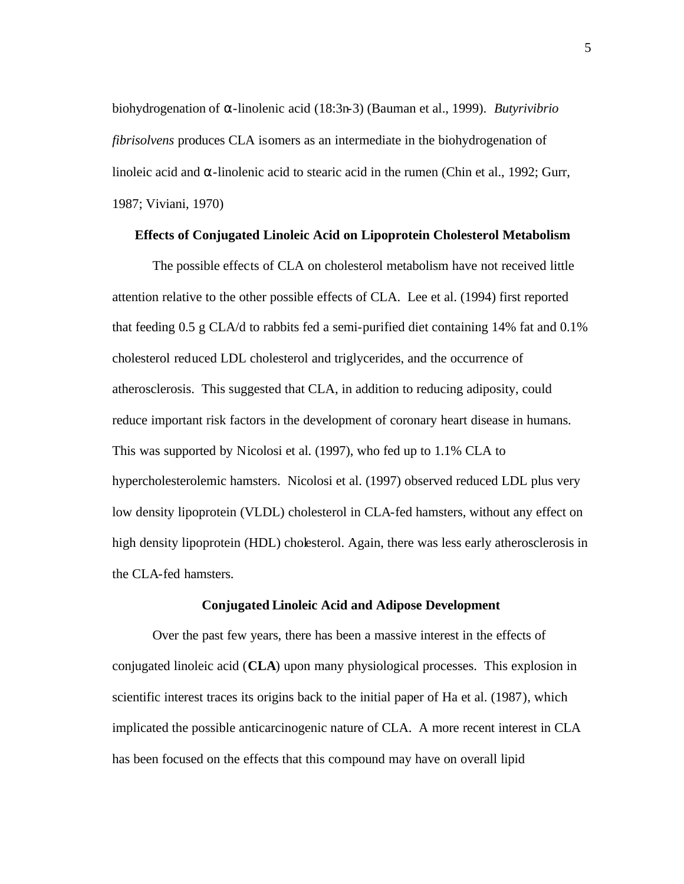biohydrogenation of α-linolenic acid (18:3n-3) (Bauman et al., 1999). *Butyrivibrio fibrisolvens* produces CLA isomers as an intermediate in the biohydrogenation of linoleic acid and  $\alpha$ -linolenic acid to stearic acid in the rumen (Chin et al., 1992; Gurr, 1987; Viviani, 1970)

#### **Effects of Conjugated Linoleic Acid on Lipoprotein Cholesterol Metabolism**

The possible effects of CLA on cholesterol metabolism have not received little attention relative to the other possible effects of CLA. Lee et al. (1994) first reported that feeding 0.5 g CLA/d to rabbits fed a semi-purified diet containing 14% fat and 0.1% cholesterol reduced LDL cholesterol and triglycerides, and the occurrence of atherosclerosis. This suggested that CLA, in addition to reducing adiposity, could reduce important risk factors in the development of coronary heart disease in humans. This was supported by Nicolosi et al. (1997), who fed up to 1.1% CLA to hypercholesterolemic hamsters. Nicolosi et al. (1997) observed reduced LDL plus very low density lipoprotein (VLDL) cholesterol in CLA-fed hamsters, without any effect on high density lipoprotein (HDL) cholesterol. Again, there was less early atherosclerosis in the CLA-fed hamsters.

#### **Conjugated Linoleic Acid and Adipose Development**

Over the past few years, there has been a massive interest in the effects of conjugated linoleic acid (**CLA**) upon many physiological processes. This explosion in scientific interest traces its origins back to the initial paper of Ha et al. (1987), which implicated the possible anticarcinogenic nature of CLA. A more recent interest in CLA has been focused on the effects that this compound may have on overall lipid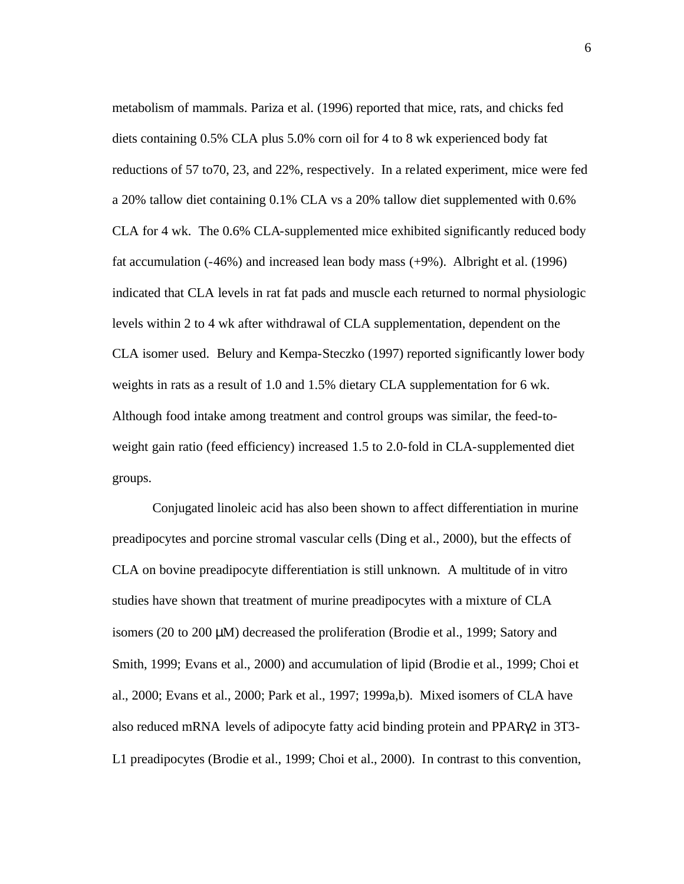metabolism of mammals. Pariza et al. (1996) reported that mice, rats, and chicks fed diets containing 0.5% CLA plus 5.0% corn oil for 4 to 8 wk experienced body fat reductions of 57 to70, 23, and 22%, respectively. In a related experiment, mice were fed a 20% tallow diet containing 0.1% CLA vs a 20% tallow diet supplemented with 0.6% CLA for 4 wk. The 0.6% CLA-supplemented mice exhibited significantly reduced body fat accumulation (-46%) and increased lean body mass (+9%). Albright et al. (1996) indicated that CLA levels in rat fat pads and muscle each returned to normal physiologic levels within 2 to 4 wk after withdrawal of CLA supplementation, dependent on the CLA isomer used. Belury and Kempa-Steczko (1997) reported significantly lower body weights in rats as a result of 1.0 and 1.5% dietary CLA supplementation for 6 wk. Although food intake among treatment and control groups was similar, the feed-toweight gain ratio (feed efficiency) increased 1.5 to 2.0-fold in CLA-supplemented diet groups.

Conjugated linoleic acid has also been shown to affect differentiation in murine preadipocytes and porcine stromal vascular cells (Ding et al., 2000), but the effects of CLA on bovine preadipocyte differentiation is still unknown. A multitude of in vitro studies have shown that treatment of murine preadipocytes with a mixture of CLA isomers (20 to 200 μM) decreased the proliferation (Brodie et al., 1999; Satory and Smith, 1999; Evans et al., 2000) and accumulation of lipid (Brodie et al., 1999; Choi et al., 2000; Evans et al., 2000; Park et al., 1997; 1999a,b). Mixed isomers of CLA have also reduced mRNA levels of adipocyte fatty acid binding protein and PPARγ2 in 3T3- L1 preadipocytes (Brodie et al., 1999; Choi et al., 2000). In contrast to this convention,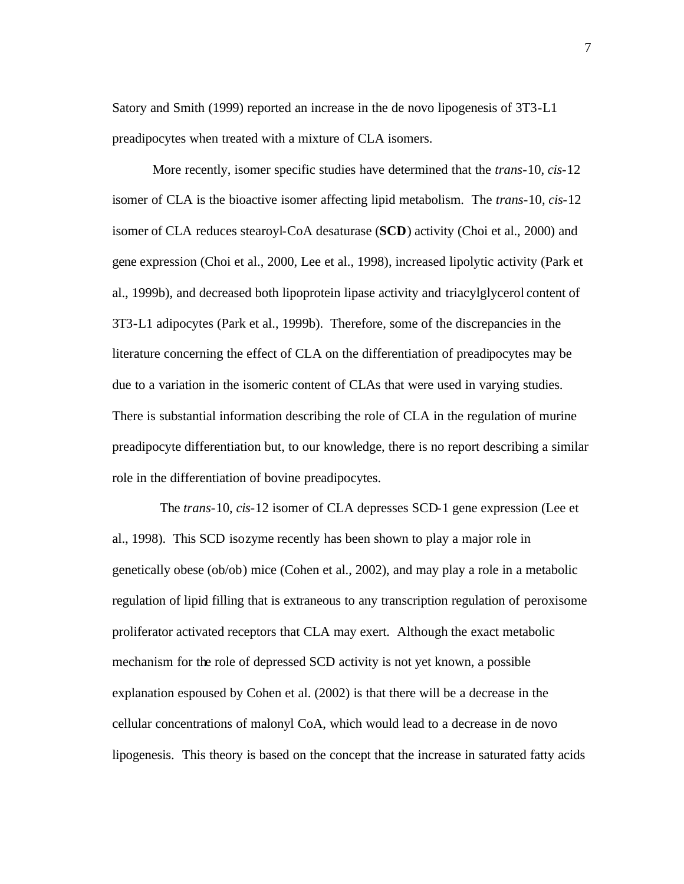Satory and Smith (1999) reported an increase in the de novo lipogenesis of 3T3-L1 preadipocytes when treated with a mixture of CLA isomers.

More recently, isomer specific studies have determined that the *trans*-10, *cis*-12 isomer of CLA is the bioactive isomer affecting lipid metabolism. The *trans*-10, *cis*-12 isomer of CLA reduces stearoyl-CoA desaturase (**SCD**) activity (Choi et al., 2000) and gene expression (Choi et al., 2000, Lee et al., 1998), increased lipolytic activity (Park et al., 1999b), and decreased both lipoprotein lipase activity and triacylglycerol content of 3T3-L1 adipocytes (Park et al., 1999b). Therefore, some of the discrepancies in the literature concerning the effect of CLA on the differentiation of preadipocytes may be due to a variation in the isomeric content of CLAs that were used in varying studies. There is substantial information describing the role of CLA in the regulation of murine preadipocyte differentiation but, to our knowledge, there is no report describing a similar role in the differentiation of bovine preadipocytes.

The *trans*-10, *cis*-12 isomer of CLA depresses SCD-1 gene expression (Lee et al., 1998). This SCD isozyme recently has been shown to play a major role in genetically obese (ob/ob) mice (Cohen et al., 2002), and may play a role in a metabolic regulation of lipid filling that is extraneous to any transcription regulation of peroxisome proliferator activated receptors that CLA may exert. Although the exact metabolic mechanism for the role of depressed SCD activity is not yet known, a possible explanation espoused by Cohen et al. (2002) is that there will be a decrease in the cellular concentrations of malonyl CoA, which would lead to a decrease in de novo lipogenesis. This theory is based on the concept that the increase in saturated fatty acids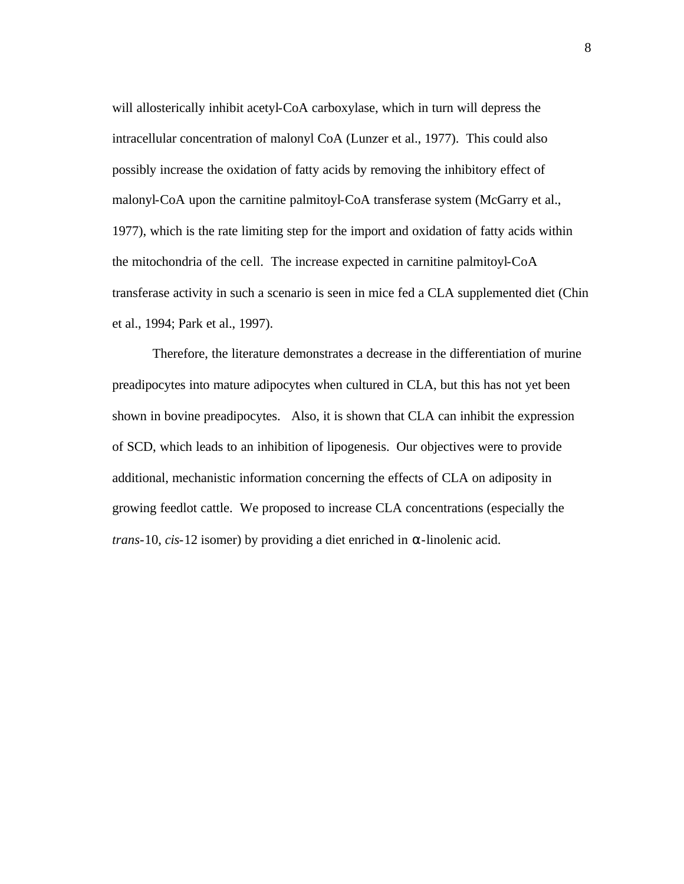will allosterically inhibit acetyl-CoA carboxylase, which in turn will depress the intracellular concentration of malonyl CoA (Lunzer et al., 1977). This could also possibly increase the oxidation of fatty acids by removing the inhibitory effect of malonyl-CoA upon the carnitine palmitoyl-CoA transferase system (McGarry et al., 1977), which is the rate limiting step for the import and oxidation of fatty acids within the mitochondria of the cell. The increase expected in carnitine palmitoyl-CoA transferase activity in such a scenario is seen in mice fed a CLA supplemented diet (Chin et al., 1994; Park et al., 1997).

Therefore, the literature demonstrates a decrease in the differentiation of murine preadipocytes into mature adipocytes when cultured in CLA, but this has not yet been shown in bovine preadipocytes. Also, it is shown that CLA can inhibit the expression of SCD, which leads to an inhibition of lipogenesis. Our objectives were to provide additional, mechanistic information concerning the effects of CLA on adiposity in growing feedlot cattle. We proposed to increase CLA concentrations (especially the *trans*-10, *cis*-12 isomer) by providing a diet enriched in  $\alpha$ -linolenic acid.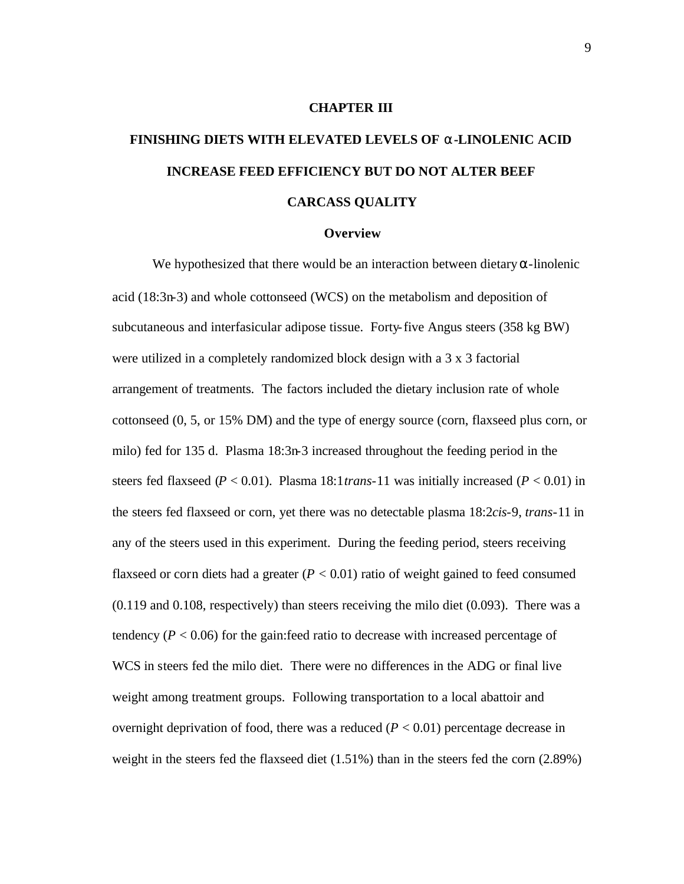#### **CHAPTER III**

# **FINISHING DIETS WITH ELEVATED LEVELS OF a-LINOLENIC ACID INCREASE FEED EFFICIENCY BUT DO NOT ALTER BEEF CARCASS QUALITY**

#### **Overview**

We hypothesized that there would be an interaction between dietary  $\alpha$ -linolenic acid (18:3n-3) and whole cottonseed (WCS) on the metabolism and deposition of subcutaneous and interfasicular adipose tissue. Forty-five Angus steers (358 kg BW) were utilized in a completely randomized block design with a 3 x 3 factorial arrangement of treatments. The factors included the dietary inclusion rate of whole cottonseed (0, 5, or 15% DM) and the type of energy source (corn, flaxseed plus corn, or milo) fed for 135 d. Plasma 18:3n-3 increased throughout the feeding period in the steers fed flaxseed (*P* < 0.01). Plasma 18:1*trans*-11 was initially increased (*P* < 0.01) in the steers fed flaxseed or corn, yet there was no detectable plasma 18:2*cis*-9, *trans*-11 in any of the steers used in this experiment. During the feeding period, steers receiving flaxseed or corn diets had a greater  $(P < 0.01)$  ratio of weight gained to feed consumed (0.119 and 0.108, respectively) than steers receiving the milo diet (0.093). There was a tendency  $(P < 0.06)$  for the gain: feed ratio to decrease with increased percentage of WCS in steers fed the milo diet. There were no differences in the ADG or final live weight among treatment groups. Following transportation to a local abattoir and overnight deprivation of food, there was a reduced  $(P < 0.01)$  percentage decrease in weight in the steers fed the flaxseed diet (1.51%) than in the steers fed the corn (2.89%)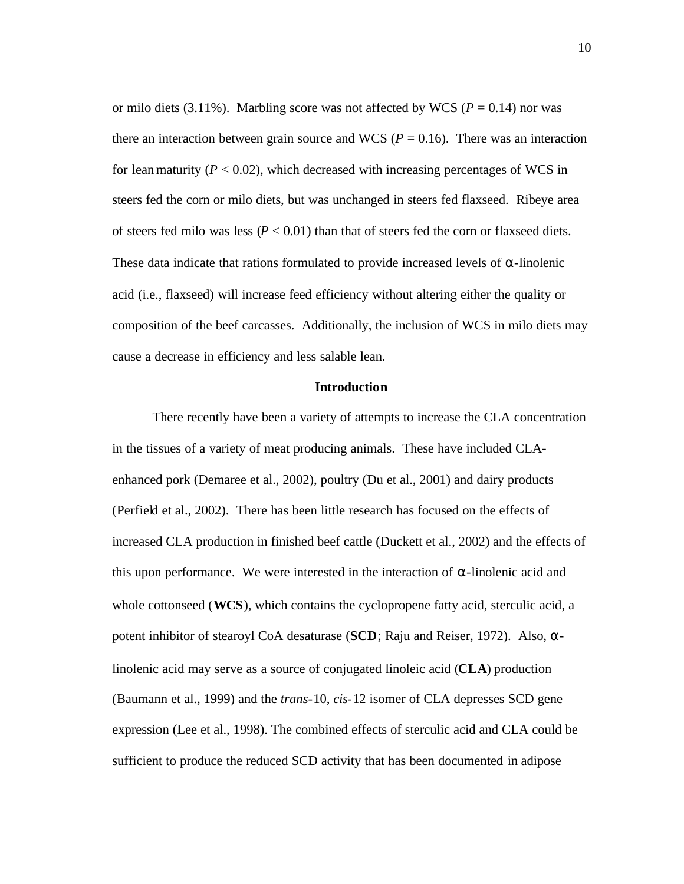or milo diets  $(3.11\%)$ . Marbling score was not affected by WCS ( $P = 0.14$ ) nor was there an interaction between grain source and WCS ( $P = 0.16$ ). There was an interaction for lean maturity  $(P < 0.02)$ , which decreased with increasing percentages of WCS in steers fed the corn or milo diets, but was unchanged in steers fed flaxseed. Ribeye area of steers fed milo was less  $(P < 0.01)$  than that of steers fed the corn or flaxseed diets. These data indicate that rations formulated to provide increased levels of  $\alpha$ -linolenic acid (i.e., flaxseed) will increase feed efficiency without altering either the quality or composition of the beef carcasses. Additionally, the inclusion of WCS in milo diets may cause a decrease in efficiency and less salable lean.

#### **Introduction**

There recently have been a variety of attempts to increase the CLA concentration in the tissues of a variety of meat producing animals. These have included CLAenhanced pork (Demaree et al., 2002), poultry (Du et al., 2001) and dairy products (Perfield et al., 2002). There has been little research has focused on the effects of increased CLA production in finished beef cattle (Duckett et al., 2002) and the effects of this upon performance. We were interested in the interaction of α-linolenic acid and whole cottonseed (**WCS**), which contains the cyclopropene fatty acid, sterculic acid, a potent inhibitor of stearoyl CoA desaturase (**SCD**; Raju and Reiser, 1972). Also, αlinolenic acid may serve as a source of conjugated linoleic acid (**CLA**) production (Baumann et al., 1999) and the *trans*-10, *cis*-12 isomer of CLA depresses SCD gene expression (Lee et al., 1998). The combined effects of sterculic acid and CLA could be sufficient to produce the reduced SCD activity that has been documented in adipose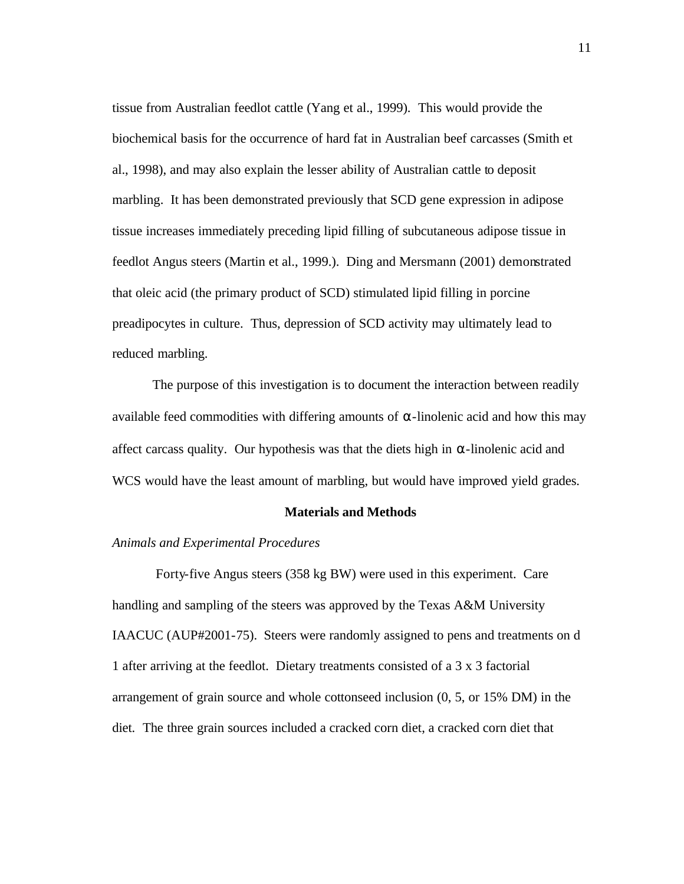tissue from Australian feedlot cattle (Yang et al., 1999). This would provide the biochemical basis for the occurrence of hard fat in Australian beef carcasses (Smith et al., 1998), and may also explain the lesser ability of Australian cattle to deposit marbling. It has been demonstrated previously that SCD gene expression in adipose tissue increases immediately preceding lipid filling of subcutaneous adipose tissue in feedlot Angus steers (Martin et al., 1999.). Ding and Mersmann (2001) demonstrated that oleic acid (the primary product of SCD) stimulated lipid filling in porcine preadipocytes in culture. Thus, depression of SCD activity may ultimately lead to reduced marbling.

The purpose of this investigation is to document the interaction between readily available feed commodities with differing amounts of α-linolenic acid and how this may affect carcass quality. Our hypothesis was that the diets high in  $\alpha$ -linolenic acid and WCS would have the least amount of marbling, but would have improved yield grades.

#### **Materials and Methods**

#### *Animals and Experimental Procedures*

 Forty-five Angus steers (358 kg BW) were used in this experiment. Care handling and sampling of the steers was approved by the Texas A&M University IAACUC (AUP#2001-75). Steers were randomly assigned to pens and treatments on d 1 after arriving at the feedlot. Dietary treatments consisted of a 3 x 3 factorial arrangement of grain source and whole cottonseed inclusion (0, 5, or 15% DM) in the diet. The three grain sources included a cracked corn diet, a cracked corn diet that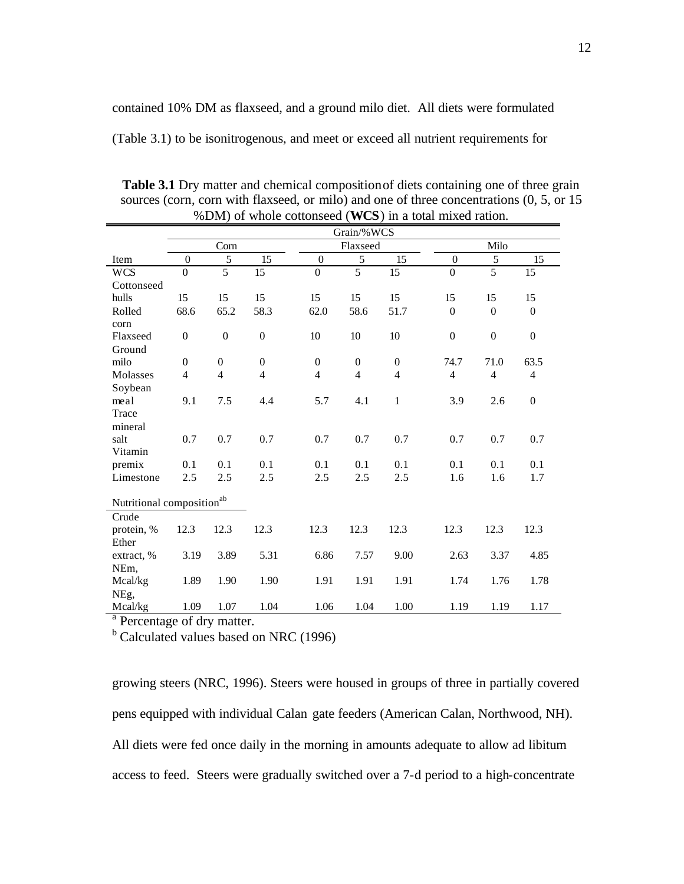contained 10% DM as flaxseed, and a ground milo diet. All diets were formulated

(Table 3.1) to be isonitrogenous, and meet or exceed all nutrient requirements for

|                                       | $(100)$ m a total nunca radiom<br>Grain/%WCS |                  |                  |                  |                  |                  |                  |                  |                  |  |  |  |
|---------------------------------------|----------------------------------------------|------------------|------------------|------------------|------------------|------------------|------------------|------------------|------------------|--|--|--|
|                                       |                                              | Corn             |                  |                  | Flaxseed         |                  | Milo             |                  |                  |  |  |  |
| Item                                  | $\theta$                                     | 5                | 15               | $\theta$         | 5                | 15               | $\theta$         | 5                | 15               |  |  |  |
| <b>WCS</b>                            | $\overline{0}$                               | $\overline{5}$   | 15               | $\boldsymbol{0}$ | $\overline{5}$   | 15               | $\boldsymbol{0}$ | $\overline{5}$   | 15               |  |  |  |
| Cottonseed                            |                                              |                  |                  |                  |                  |                  |                  |                  |                  |  |  |  |
| hulls                                 | 15                                           | 15               | 15               | 15               | 15               | 15               | 15               | 15               | 15               |  |  |  |
| Rolled                                | 68.6                                         | 65.2             | 58.3             | 62.0             | 58.6             | 51.7             | $\overline{0}$   | $\Omega$         | $\overline{0}$   |  |  |  |
| corn                                  |                                              |                  |                  |                  |                  |                  |                  |                  |                  |  |  |  |
| Flaxseed                              | $\boldsymbol{0}$                             | $\boldsymbol{0}$ | $\boldsymbol{0}$ | 10               | 10               | 10               | $\boldsymbol{0}$ | $\boldsymbol{0}$ | $\boldsymbol{0}$ |  |  |  |
| Ground                                |                                              |                  |                  |                  |                  |                  |                  |                  |                  |  |  |  |
| milo                                  | $\boldsymbol{0}$                             | $\boldsymbol{0}$ | $\boldsymbol{0}$ | $\boldsymbol{0}$ | $\boldsymbol{0}$ | $\boldsymbol{0}$ | 74.7             | 71.0             | 63.5             |  |  |  |
| Molasses                              | $\overline{\mathcal{L}}$                     | $\overline{4}$   | $\overline{4}$   | $\overline{4}$   | $\overline{4}$   | $\overline{4}$   | $\overline{4}$   | $\overline{4}$   | $\overline{4}$   |  |  |  |
| Soybean                               |                                              |                  |                  |                  |                  |                  |                  |                  |                  |  |  |  |
| meal                                  | 9.1                                          | 7.5              | 4.4              | 5.7              | 4.1              | $\mathbf{1}$     | 3.9              | 2.6              | $\boldsymbol{0}$ |  |  |  |
| Trace                                 |                                              |                  |                  |                  |                  |                  |                  |                  |                  |  |  |  |
| mineral                               |                                              |                  |                  |                  |                  |                  |                  |                  |                  |  |  |  |
| salt                                  | 0.7                                          | 0.7              | 0.7              | 0.7              | 0.7              | 0.7              | 0.7              | 0.7              | 0.7              |  |  |  |
| Vitamin                               |                                              |                  |                  |                  |                  |                  |                  |                  |                  |  |  |  |
| premix                                | 0.1                                          | 0.1              | 0.1              | 0.1              | 0.1              | 0.1              | 0.1              | 0.1              | 0.1              |  |  |  |
| Limestone                             | 2.5                                          | 2.5              | 2.5              | 2.5              | 2.5              | 2.5              | 1.6              | 1.6              | 1.7              |  |  |  |
|                                       |                                              |                  |                  |                  |                  |                  |                  |                  |                  |  |  |  |
| Nutritional composition <sup>ab</sup> |                                              |                  |                  |                  |                  |                  |                  |                  |                  |  |  |  |
| Crude                                 |                                              |                  |                  |                  |                  |                  |                  |                  |                  |  |  |  |
| protein, %                            | 12.3                                         | 12.3             | 12.3             | 12.3             | 12.3             | 12.3             | 12.3             | 12.3             | 12.3             |  |  |  |
| Ether                                 |                                              |                  |                  |                  |                  |                  |                  |                  |                  |  |  |  |
| extract, %                            | 3.19                                         | 3.89             | 5.31             | 6.86             | 7.57             | 9.00             | 2.63             | 3.37             | 4.85             |  |  |  |
| NEm,                                  |                                              |                  |                  |                  |                  |                  |                  |                  |                  |  |  |  |
| Mcal/kg                               | 1.89                                         | 1.90             | 1.90             | 1.91             | 1.91             | 1.91             | 1.74             | 1.76             | 1.78             |  |  |  |
| NEg,                                  |                                              |                  |                  |                  |                  |                  |                  |                  |                  |  |  |  |
| Mcal/kg                               | 1.09                                         | 1.07             | 1.04             | 1.06             | 1.04             | 1.00             | 1.19             | 1.19             | 1.17             |  |  |  |

**Table 3.1** Dry matter and chemical compositionof diets containing one of three grain sources (corn, corn with flaxseed, or milo) and one of three concentrations (0, 5, or 15 %DM) of whole cottonseed (**WCS**) in a total mixed ration.

<sup>a</sup> Percentage of dry matter.

<sup>b</sup> Calculated values based on NRC (1996)

growing steers (NRC, 1996). Steers were housed in groups of three in partially covered pens equipped with individual Calan gate feeders (American Calan, Northwood, NH). All diets were fed once daily in the morning in amounts adequate to allow ad libitum access to feed. Steers were gradually switched over a 7-d period to a high-concentrate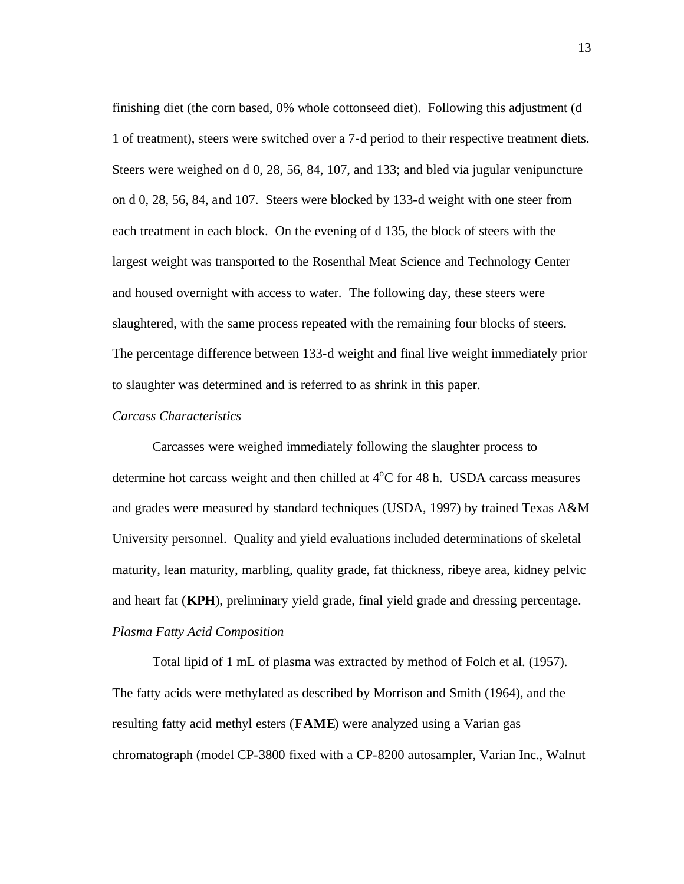finishing diet (the corn based, 0% whole cottonseed diet). Following this adjustment (d 1 of treatment), steers were switched over a 7-d period to their respective treatment diets. Steers were weighed on d 0, 28, 56, 84, 107, and 133; and bled via jugular venipuncture on d 0, 28, 56, 84, and 107. Steers were blocked by 133-d weight with one steer from each treatment in each block. On the evening of d 135, the block of steers with the largest weight was transported to the Rosenthal Meat Science and Technology Center and housed overnight with access to water. The following day, these steers were slaughtered, with the same process repeated with the remaining four blocks of steers. The percentage difference between 133-d weight and final live weight immediately prior to slaughter was determined and is referred to as shrink in this paper.

#### *Carcass Characteristics*

Carcasses were weighed immediately following the slaughter process to determine hot carcass weight and then chilled at  $4^{\circ}$ C for 48 h. USDA carcass measures and grades were measured by standard techniques (USDA, 1997) by trained Texas A&M University personnel. Quality and yield evaluations included determinations of skeletal maturity, lean maturity, marbling, quality grade, fat thickness, ribeye area, kidney pelvic and heart fat (**KPH**), preliminary yield grade, final yield grade and dressing percentage. *Plasma Fatty Acid Composition*

Total lipid of 1 mL of plasma was extracted by method of Folch et al. (1957). The fatty acids were methylated as described by Morrison and Smith (1964), and the resulting fatty acid methyl esters (**FAME**) were analyzed using a Varian gas chromatograph (model CP-3800 fixed with a CP-8200 autosampler, Varian Inc., Walnut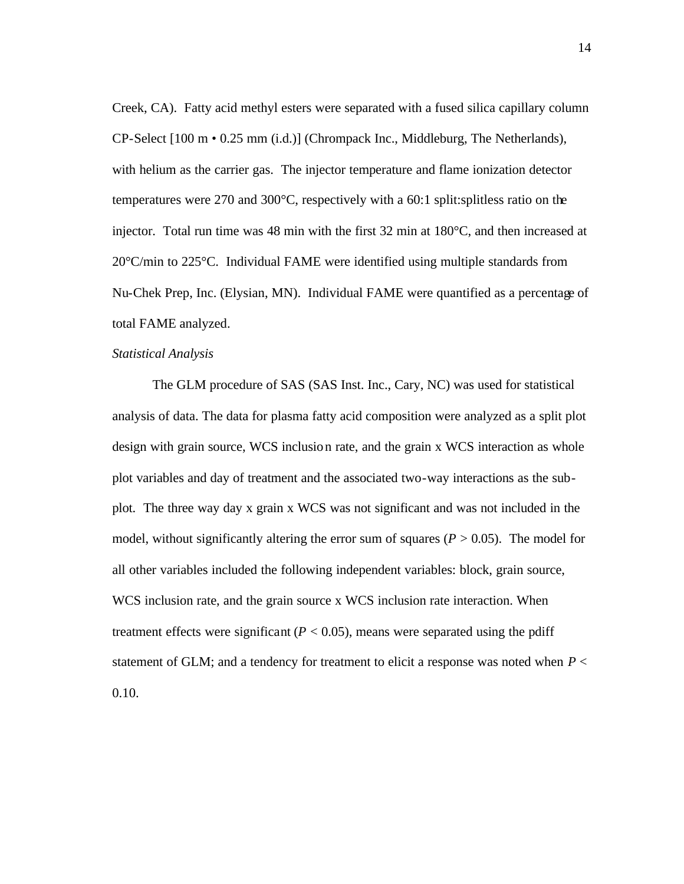Creek, CA). Fatty acid methyl esters were separated with a fused silica capillary column CP-Select [100 m • 0.25 mm (i.d.)] (Chrompack Inc., Middleburg, The Netherlands), with helium as the carrier gas. The injector temperature and flame ionization detector temperatures were 270 and 300°C, respectively with a 60:1 split:splitless ratio on the injector. Total run time was 48 min with the first 32 min at 180°C, and then increased at 20°C/min to 225°C. Individual FAME were identified using multiple standards from Nu-Chek Prep, Inc. (Elysian, MN). Individual FAME were quantified as a percentage of total FAME analyzed.

#### *Statistical Analysis*

The GLM procedure of SAS (SAS Inst. Inc., Cary, NC) was used for statistical analysis of data. The data for plasma fatty acid composition were analyzed as a split plot design with grain source, WCS inclusion rate, and the grain x WCS interaction as whole plot variables and day of treatment and the associated two-way interactions as the subplot. The three way day x grain x WCS was not significant and was not included in the model, without significantly altering the error sum of squares  $(P > 0.05)$ . The model for all other variables included the following independent variables: block, grain source, WCS inclusion rate, and the grain source x WCS inclusion rate interaction. When treatment effects were significant  $(P < 0.05)$ , means were separated using the pdiff statement of GLM; and a tendency for treatment to elicit a response was noted when *P* < 0.10.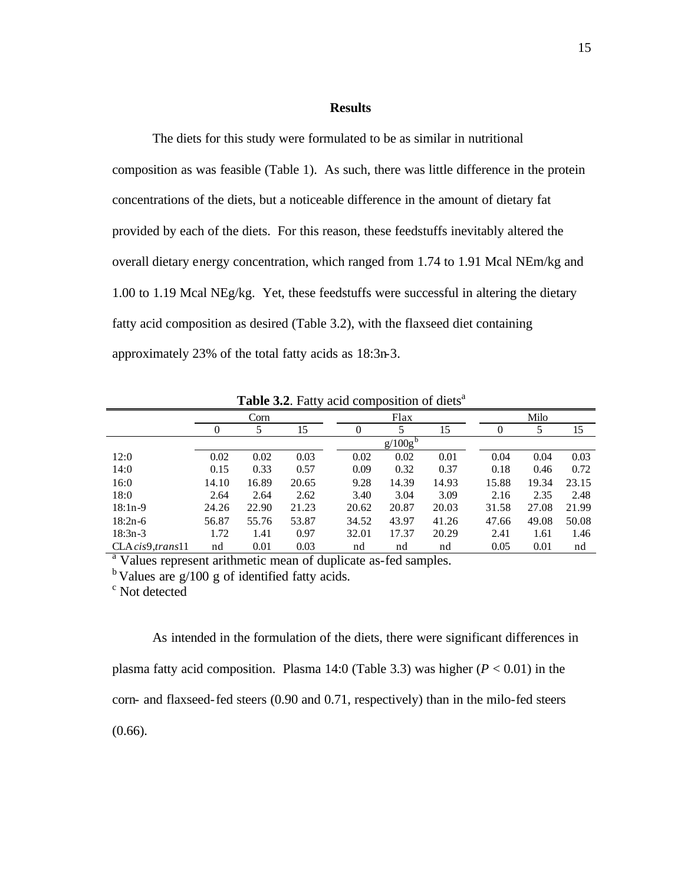#### **Results**

The diets for this study were formulated to be as similar in nutritional composition as was feasible (Table 1). As such, there was little difference in the protein concentrations of the diets, but a noticeable difference in the amount of dietary fat provided by each of the diets. For this reason, these feedstuffs inevitably altered the overall dietary energy concentration, which ranged from 1.74 to 1.91 Mcal NEm/kg and 1.00 to 1.19 Mcal NEg/kg. Yet, these feedstuffs were successful in altering the dietary fatty acid composition as desired (Table 3.2), with the flaxseed diet containing approximately 23% of the total fatty acids as 18:3n-3.

| <b>THENCE.</b> That, actor composition of dicts |                           |       |       |       |                     |       |       |       |       |  |  |  |
|-------------------------------------------------|---------------------------|-------|-------|-------|---------------------|-------|-------|-------|-------|--|--|--|
|                                                 |                           | Corn  |       |       | Flax                |       |       | Milo  |       |  |  |  |
|                                                 | 15<br>$\overline{0}$<br>5 |       |       | 0     |                     | 15    | 0     | 5     | 15    |  |  |  |
|                                                 |                           |       |       |       | g/100g <sup>b</sup> |       |       |       |       |  |  |  |
| 12:0                                            | 0.02                      | 0.02  | 0.03  | 0.02  | 0.02                | 0.01  | 0.04  | 0.04  | 0.03  |  |  |  |
| 14:0                                            | 0.15                      | 0.33  | 0.57  | 0.09  | 0.32                | 0.37  | 0.18  | 0.46  | 0.72  |  |  |  |
| 16:0                                            | 14.10                     | 16.89 | 20.65 | 9.28  | 14.39               | 14.93 | 15.88 | 19.34 | 23.15 |  |  |  |
| 18:0                                            | 2.64                      | 2.64  | 2.62  | 3.40  | 3.04                | 3.09  | 2.16  | 2.35  | 2.48  |  |  |  |
| $18:1n-9$                                       | 24.26                     | 22.90 | 21.23 | 20.62 | 20.87               | 20.03 | 31.58 | 27.08 | 21.99 |  |  |  |
| $18:2n-6$                                       | 56.87                     | 55.76 | 53.87 | 34.52 | 43.97               | 41.26 | 47.66 | 49.08 | 50.08 |  |  |  |
| $18:3n-3$                                       | 1.72                      | 1.41  | 0.97  | 32.01 | 17.37               | 20.29 | 2.41  | 1.61  | 1.46  |  |  |  |
| CLA cis9, trans11                               | nd                        | 0.01  | 0.03  | nd    | nd                  | nd    | 0.05  | 0.01  | nd    |  |  |  |

**Table 3.2.** Fatty acid composition of diets<sup>a</sup>

<sup>a</sup> Values represent arithmetic mean of duplicate as-fed samples.

 $<sup>b</sup>$  Values are g/100 g of identified fatty acids.</sup>

c Not detected

As intended in the formulation of the diets, there were significant differences in plasma fatty acid composition. Plasma 14:0 (Table 3.3) was higher  $(P < 0.01)$  in the corn- and flaxseed-fed steers (0.90 and 0.71, respectively) than in the milo-fed steers (0.66).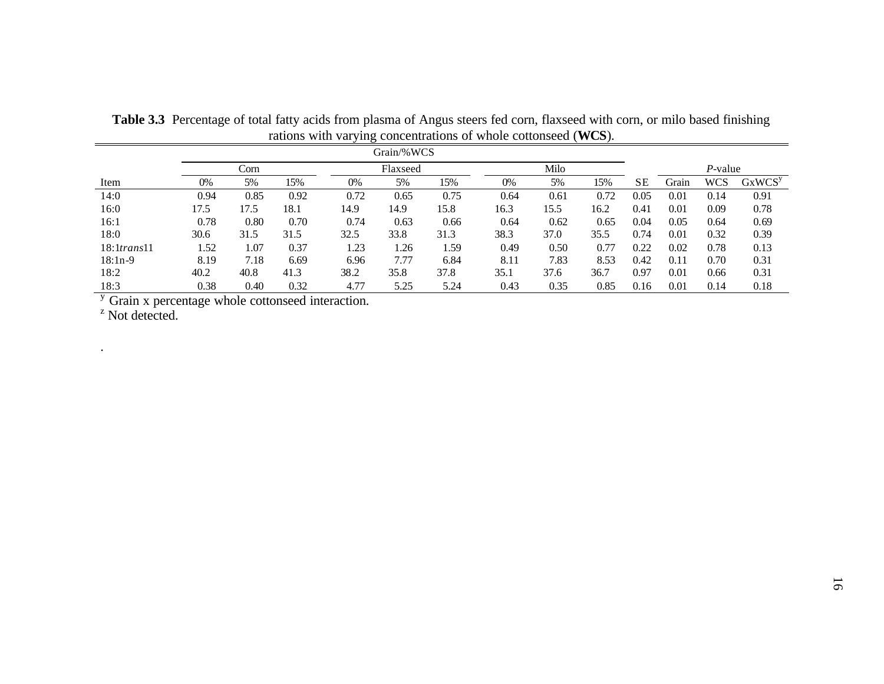| Grain/%WCS                      |                          |      |      |      |      |      |      |      |            |           |       |      |                    |
|---------------------------------|--------------------------|------|------|------|------|------|------|------|------------|-----------|-------|------|--------------------|
|                                 | Milo<br>Corn<br>Flaxseed |      |      |      |      |      |      |      | $P$ -value |           |       |      |                    |
| Item                            | 0%                       | 5%   | 15%  | 0%   | 5%   | 15%  | 0%   | 5%   | 15%        | <b>SE</b> | Grain | WCS  | GxWCS <sup>y</sup> |
| 14:0                            | 0.94                     | 0.85 | 0.92 | 0.72 | 0.65 | 0.75 | 0.64 | 0.61 | 0.72       | 0.05      | 0.01  | 0.14 | 0.91               |
| 16:0                            | 17.5                     | 17.5 | 18.1 | 14.9 | 14.9 | 15.8 | 16.3 | 15.5 | 16.2       | 0.41      | 0.01  | 0.09 | 0.78               |
| 16:1                            | 0.78                     | 0.80 | 0.70 | 0.74 | 0.63 | 0.66 | 0.64 | 0.62 | 0.65       | 0.04      | 0.05  | 0.64 | 0.69               |
| 18:0                            | 30.6                     | 31.5 | 31.5 | 32.5 | 33.8 | 31.3 | 38.3 | 37.0 | 35.5       | 0.74      | 0.01  | 0.32 | 0.39               |
| $18:1$ trans $11$               | 1.52                     | 1.07 | 0.37 | 1.23 | 1.26 | 1.59 | 0.49 | 0.50 | 0.77       | 0.22      | 0.02  | 0.78 | 0.13               |
| $18:1n-9$                       | 8.19                     | 7.18 | 6.69 | 6.96 | 7.77 | 6.84 | 8.11 | 7.83 | 8.53       | 0.42      | 0.11  | 0.70 | 0.31               |
| 18:2                            | 40.2                     | 40.8 | 41.3 | 38.2 | 35.8 | 37.8 | 35.1 | 37.6 | 36.7       | 0.97      | 0.01  | 0.66 | 0.31               |
| 18:3                            | 0.38                     | 0.40 | 0.32 | 4.77 | 5.25 | 5.24 | 0.43 | 0.35 | 0.85       | 0.16      | 0.01  | 0.14 | 0.18               |
| $\mathbf{v}$ . The $\mathbf{v}$ |                          |      |      |      |      |      |      |      |            |           |       |      |                    |

**Table 3.3** Percentage of total fatty acids from plasma of Angus steers fed corn, flaxseed with corn, or milo based finishing rations with varying concentrations of whole cottonseed (**WCS**).

 $\frac{y}{z}$  Grain x percentage whole cottonseed interaction.

.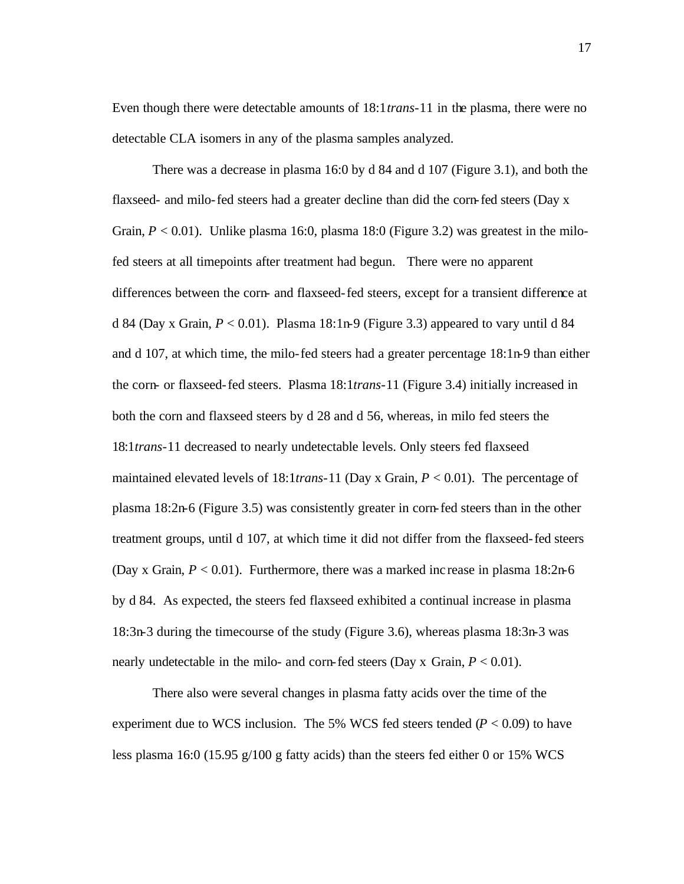Even though there were detectable amounts of 18:1*trans*-11 in the plasma, there were no detectable CLA isomers in any of the plasma samples analyzed.

There was a decrease in plasma 16:0 by d 84 and d 107 (Figure 3.1), and both the flaxseed- and milo-fed steers had a greater decline than did the corn-fed steers (Day x Grain,  $P < 0.01$ ). Unlike plasma 16:0, plasma 18:0 (Figure 3.2) was greatest in the milofed steers at all timepoints after treatment had begun. There were no apparent differences between the corn- and flaxseed-fed steers, except for a transient difference at d 84 (Day x Grain,  $P < 0.01$ ). Plasma 18:1n-9 (Figure 3.3) appeared to vary until d 84 and d 107, at which time, the milo-fed steers had a greater percentage 18:1n-9 than either the corn- or flaxseed-fed steers. Plasma 18:1*trans*-11 (Figure 3.4) initially increased in both the corn and flaxseed steers by d 28 and d 56, whereas, in milo fed steers the 18:1*trans*-11 decreased to nearly undetectable levels. Only steers fed flaxseed maintained elevated levels of 18:1*trans*-11 (Day x Grain, *P* < 0.01). The percentage of plasma 18:2n-6 (Figure 3.5) was consistently greater in corn-fed steers than in the other treatment groups, until d 107, at which time it did not differ from the flaxseed-fed steers (Day x Grain, *P* < 0.01). Furthermore, there was a marked inc rease in plasma 18:2n-6 by d 84. As expected, the steers fed flaxseed exhibited a continual increase in plasma 18:3n-3 during the timecourse of the study (Figure 3.6), whereas plasma 18:3n-3 was nearly undetectable in the milo- and corn-fed steers (Day x Grain,  $P < 0.01$ ).

There also were several changes in plasma fatty acids over the time of the experiment due to WCS inclusion. The 5% WCS fed steers tended  $(P < 0.09)$  to have less plasma 16:0 (15.95 g/100 g fatty acids) than the steers fed either 0 or 15% WCS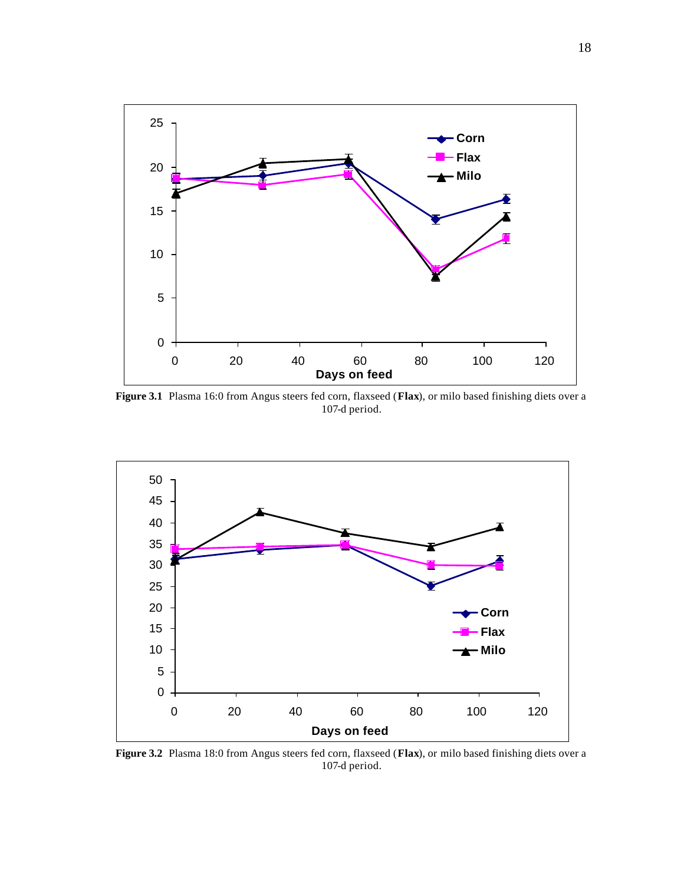

**Figure 3.1** Plasma 16:0 from Angus steers fed corn, flaxseed (**Flax**), or milo based finishing diets over a 107-d period.



**Figure 3.2** Plasma 18:0 from Angus steers fed corn, flaxseed (**Flax**), or milo based finishing diets over a 107-d period.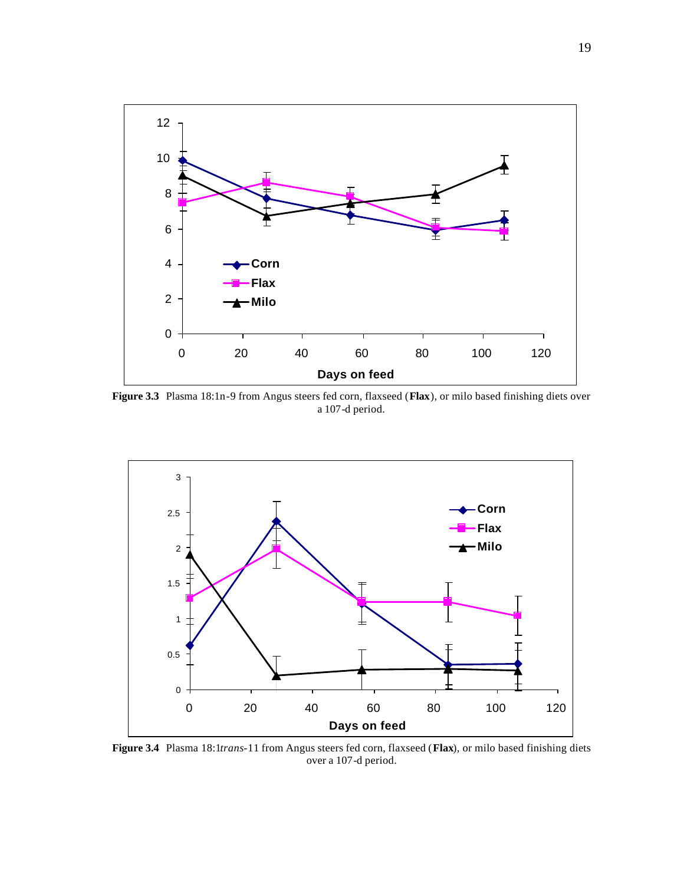

**Figure 3.3** Plasma 18:1n-9 from Angus steers fed corn, flaxseed (**Flax**), or milo based finishing diets over a 107-d period.



**Figure 3.4** Plasma 18:1*trans*-11 from Angus steers fed corn, flaxseed (**Flax**), or milo based finishing diets over a 107-d period.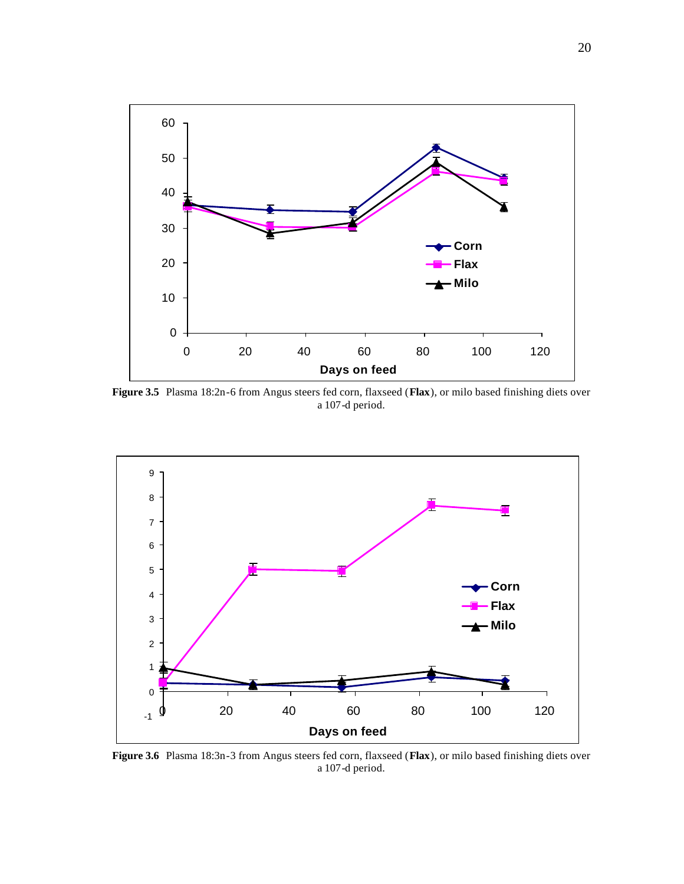

**Figure 3.5** Plasma 18:2n-6 from Angus steers fed corn, flaxseed (**Flax**), or milo based finishing diets over a 107-d period.



**Figure 3.6** Plasma 18:3n-3 from Angus steers fed corn, flaxseed (**Flax**), or milo based finishing diets over a 107-d period.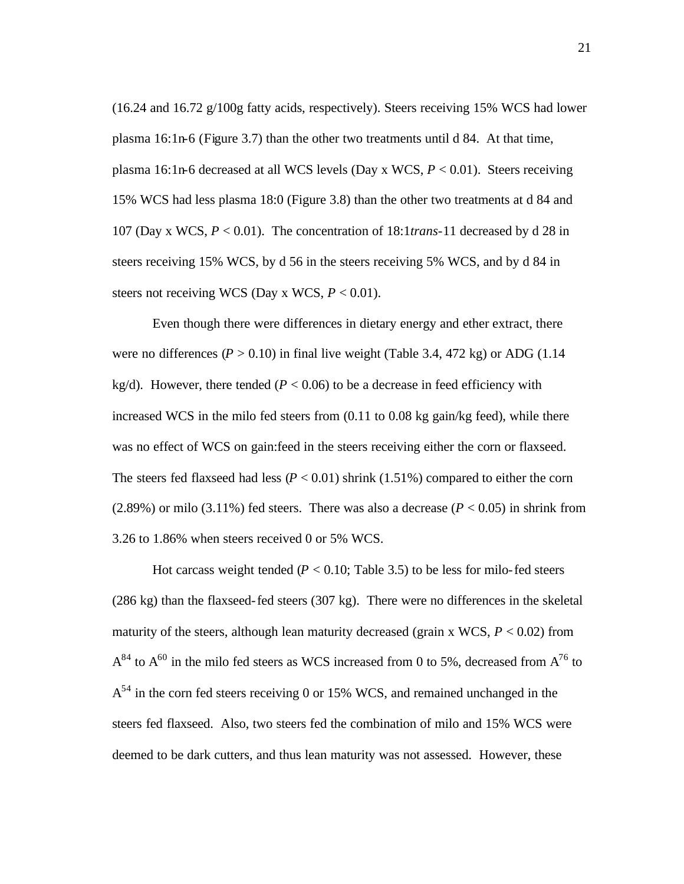$(16.24$  and  $16.72$  g/100g fatty acids, respectively). Steers receiving 15% WCS had lower plasma 16:1n-6 (Figure 3.7) than the other two treatments until d 84. At that time, plasma 16:1n-6 decreased at all WCS levels (Day x WCS, *P* < 0.01). Steers receiving 15% WCS had less plasma 18:0 (Figure 3.8) than the other two treatments at d 84 and 107 (Day x WCS, *P* < 0.01). The concentration of 18:1*trans*-11 decreased by d 28 in steers receiving 15% WCS, by d 56 in the steers receiving 5% WCS, and by d 84 in steers not receiving WCS (Day x WCS,  $P < 0.01$ ).

Even though there were differences in dietary energy and ether extract, there were no differences  $(P > 0.10)$  in final live weight (Table 3.4, 472 kg) or ADG (1.14 kg/d). However, there tended ( $P < 0.06$ ) to be a decrease in feed efficiency with increased WCS in the milo fed steers from (0.11 to 0.08 kg gain/kg feed), while there was no effect of WCS on gain:feed in the steers receiving either the corn or flaxseed. The steers fed flaxseed had less  $(P < 0.01)$  shrink  $(1.51%)$  compared to either the corn  $(2.89%)$  or milo  $(3.11%)$  fed steers. There was also a decrease  $(P < 0.05)$  in shrink from 3.26 to 1.86% when steers received 0 or 5% WCS.

Hot carcass weight tended ( $P < 0.10$ ; Table 3.5) to be less for milo-fed steers (286 kg) than the flaxseed-fed steers (307 kg). There were no differences in the skeletal maturity of the steers, although lean maturity decreased (grain x WCS,  $P < 0.02$ ) from  $A^{84}$  to  $A^{60}$  in the milo fed steers as WCS increased from 0 to 5%, decreased from  $A^{76}$  to  $A<sup>54</sup>$  in the corn fed steers receiving 0 or 15% WCS, and remained unchanged in the steers fed flaxseed. Also, two steers fed the combination of milo and 15% WCS were deemed to be dark cutters, and thus lean maturity was not assessed. However, these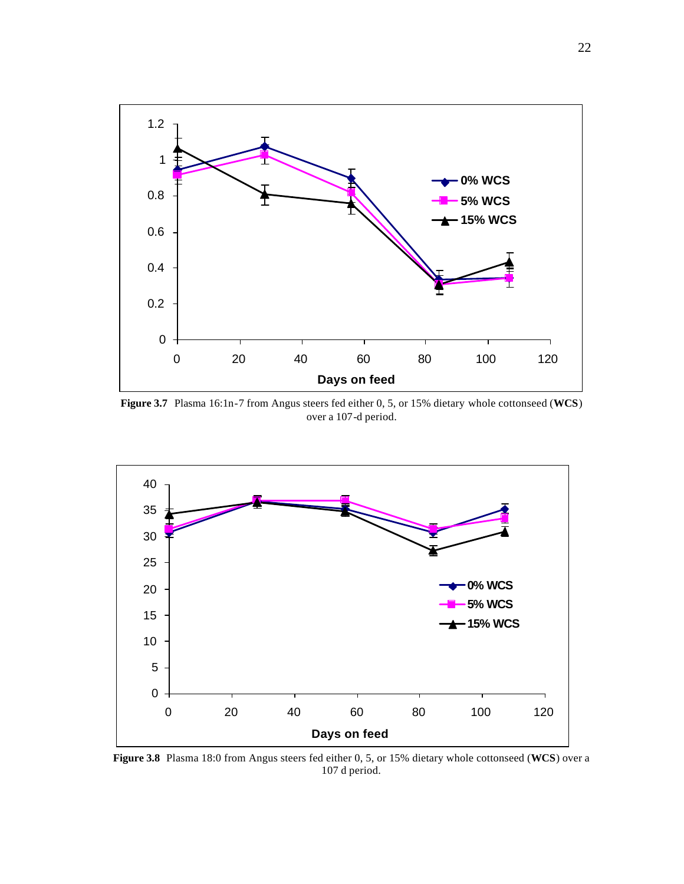

**Figure 3.7** Plasma 16:1n-7 from Angus steers fed either 0, 5, or 15% dietary whole cottonseed (**WCS**) over a 107-d period.



**Figure 3.8** Plasma 18:0 from Angus steers fed either 0, 5, or 15% dietary whole cottonseed (**WCS**) over a 107 d period.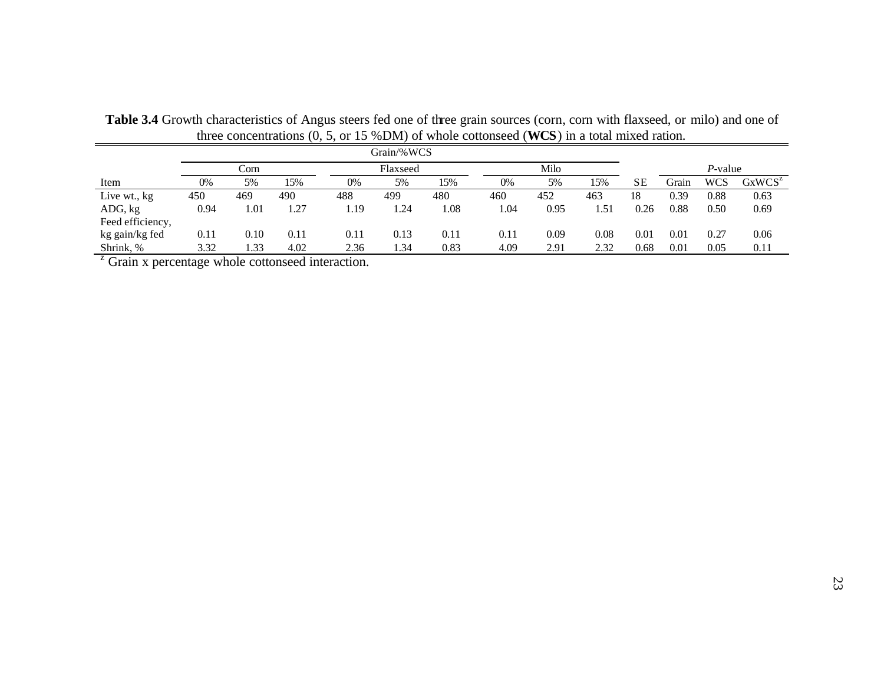| Grain/%WCS                                                   |      |      |      |      |          |      |      |      |      |           |         |            |           |
|--------------------------------------------------------------|------|------|------|------|----------|------|------|------|------|-----------|---------|------------|-----------|
|                                                              |      | Corn |      |      | Flaxseed |      |      | Milo |      |           | P-value |            |           |
| Item                                                         | 0%   | 5%   | 15%  | 0%   | 5%       | 15%  | 0%   | 5%   | 15%  | <b>SE</b> | Grain   | <b>WCS</b> | $GxWCS^z$ |
| Live wt., kg                                                 | 450  | 469  | 490  | 488  | 499      | 480  | 460  | 452  | 463  | 18        | 0.39    | 0.88       | 0.63      |
| ADG, kg                                                      | 0.94 | 1.01 | 1.27 | 1.19 | 1.24     | 1.08 | 1.04 | 0.95 | 1.51 | 0.26      | 0.88    | 0.50       | 0.69      |
| Feed efficiency,                                             |      |      |      |      |          |      |      |      |      |           |         |            |           |
| kg gain/kg fed                                               | 0.11 | 0.10 | 0.11 | 0.11 | 0.13     | 0.11 | 0.11 | 0.09 | 0.08 | 0.01      | 0.01    | 0.27       | 0.06      |
| Shrink, %                                                    | 3.32 | 1.33 | 4.02 | 2.36 | 1.34     | 0.83 | 4.09 | 2.91 | 2.32 | 0.68      | 0.01    | 0.05       | 0.11      |
| $2^{\circ}$ Grain x percentage whole cottonseed interaction. |      |      |      |      |          |      |      |      |      |           |         |            |           |

**Table 3.4** Growth characteristics of Angus steers fed one of three grain sources (corn, corn with flaxseed, or milo) and one of three concentrations (0, 5, or 15 %DM) of whole cottonseed (**WCS**) in a total mixed ration.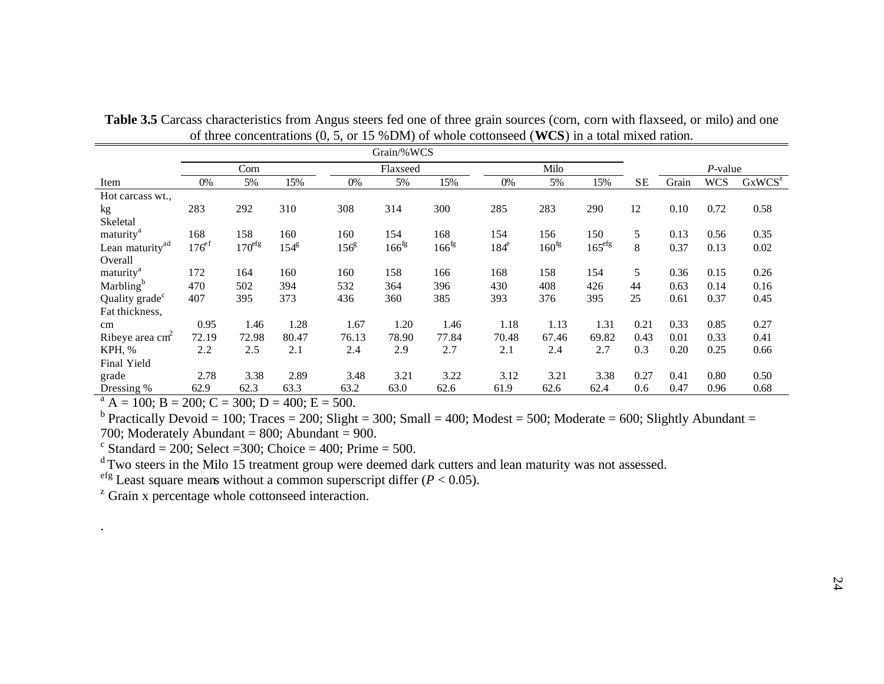|                                                 | Grain/%WCS        |                    |                  |                  |                   |                   |         |                   |                    |           |       |            |                    |
|-------------------------------------------------|-------------------|--------------------|------------------|------------------|-------------------|-------------------|---------|-------------------|--------------------|-----------|-------|------------|--------------------|
|                                                 |                   | Corn               |                  |                  | Flaxseed          |                   |         | Milo              |                    |           |       | $P$ -value |                    |
| Item                                            | 0%                | 5%                 | 15%              | 0%               | 5%                | 15%               | 0%      | 5%                | 15%                | <b>SE</b> | Grain | <b>WCS</b> | GxWCS <sup>z</sup> |
| Hot carcass wt.,                                |                   |                    |                  |                  |                   |                   |         |                   |                    |           |       |            |                    |
| kg                                              | 283               | 292                | 310              | 308              | 314               | 300               | 285     | 283               | 290                | 12        | 0.10  | 0.72       | 0.58               |
| Skeletal                                        |                   |                    |                  |                  |                   |                   |         |                   |                    |           |       |            |                    |
| maturity <sup>a</sup>                           | 168               | 158                | 160              | 160              | 154               | 168               | 154     | 156               | 150                | 5         | 0.13  | 0.56       | 0.35               |
| Lean maturity <sup>ad</sup>                     | $176^{\text{ef}}$ | 170 <sup>efg</sup> | 154 <sup>g</sup> | 156 <sup>g</sup> | 166 <sup>fg</sup> | 166 <sup>fg</sup> | $184^e$ | 160 <sup>fg</sup> | 165 <sup>efg</sup> | 8         | 0.37  | 0.13       | 0.02               |
| Overall                                         |                   |                    |                  |                  |                   |                   |         |                   |                    |           |       |            |                    |
| maturity <sup>a</sup>                           | 172               | 164                | 160              | 160              | 158               | 166               | 168     | 158               | 154                | 5         | 0.36  | 0.15       | 0.26               |
| Marbling <sup>b</sup>                           | 470               | 502                | 394              | 532              | 364               | 396               | 430     | 408               | 426                | 44        | 0.63  | 0.14       | 0.16               |
| Quality grade <sup>c</sup>                      | 407               | 395                | 373              | 436              | 360               | 385               | 393     | 376               | 395                | 25        | 0.61  | 0.37       | 0.45               |
| Fat thickness,                                  |                   |                    |                  |                  |                   |                   |         |                   |                    |           |       |            |                    |
| cm                                              | 0.95              | 1.46               | 1.28             | 1.67             | 1.20              | 1.46              | 1.18    | 1.13              | 1.31               | 0.21      | 0.33  | 0.85       | 0.27               |
| Ribeye area $cm2$                               | 72.19             | 72.98              | 80.47            | 76.13            | 78.90             | 77.84             | 70.48   | 67.46             | 69.82              | 0.43      | 0.01  | 0.33       | 0.41               |
| KPH, %                                          | 2.2               | 2.5                | 2.1              | 2.4              | 2.9               | 2.7               | 2.1     | 2.4               | 2.7                | 0.3       | 0.20  | 0.25       | 0.66               |
| Final Yield                                     |                   |                    |                  |                  |                   |                   |         |                   |                    |           |       |            |                    |
| grade                                           | 2.78              | 3.38               | 2.89             | 3.48             | 3.21              | 3.22              | 3.12    | 3.21              | 3.38               | 0.27      | 0.41  | 0.80       | 0.50               |
| Dressing %                                      | 62.9              | 62.3               | 63.3             | 63.2             | 63.0              | 62.6              | 61.9    | 62.6              | 62.4               | 0.6       | 0.47  | 0.96       | 0.68               |
| $A = 100$ ; B = 200; C = 300; D = 400; E = 500. |                   |                    |                  |                  |                   |                   |         |                   |                    |           |       |            |                    |

Table 3.5 Carcass characteristics from Angus steers fed one of three grain sources (corn, corn with flaxseed, or milo) and one of three concentrations (0, 5, or 15 %DM) of whole cottonseed (**WCS**) in a total mixed ration.

<sup>b</sup> Practically Devoid = 100; Traces = 200; Slight = 300; Small = 400; Modest = 500; Moderate = 600; Slightly Abundant = 700; Moderately Abundant =  $800$ ; Abundant =  $900$ .

 $c$  Standard = 200; Select = 300; Choice = 400; Prime = 500.

<sup>d</sup>Two steers in the Milo 15 treatment group were deemed dark cutters and lean maturity was not assessed.

<sup>efg</sup> Least square means without a common superscript differ  $(P < 0.05)$ .

<sup>z</sup> Grain x percentage whole cottonseed interaction.

.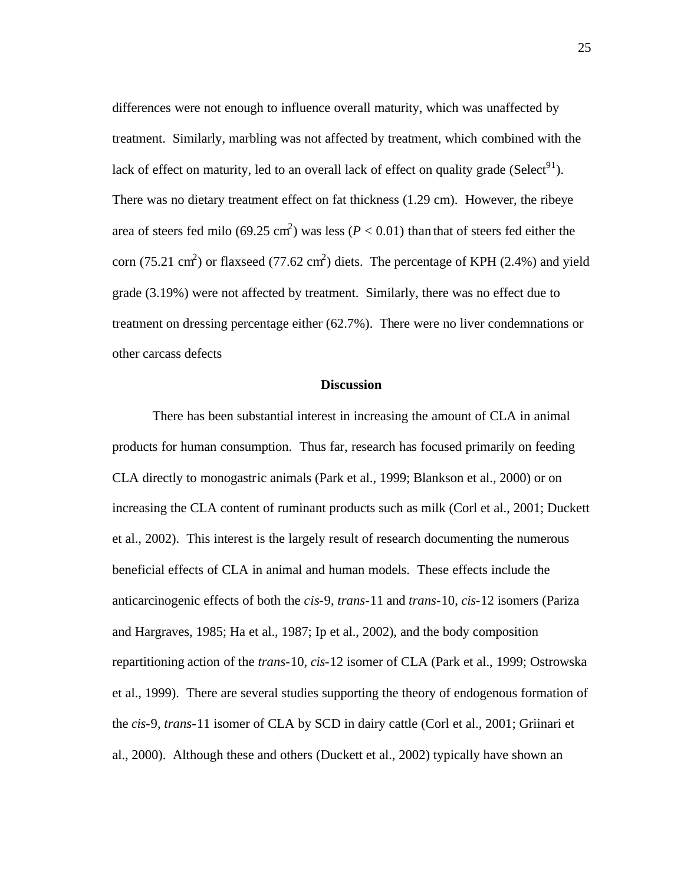differences were not enough to influence overall maturity, which was unaffected by treatment. Similarly, marbling was not affected by treatment, which combined with the lack of effect on maturity, led to an overall lack of effect on quality grade (Select<sup>91</sup>). There was no dietary treatment effect on fat thickness (1.29 cm). However, the ribeye area of steers fed milo (69.25 cm<sup>2</sup>) was less ( $P < 0.01$ ) than that of steers fed either the corn (75.21 cm<sup>2</sup>) or flaxseed (77.62 cm<sup>2</sup>) diets. The percentage of KPH (2.4%) and yield grade (3.19%) were not affected by treatment. Similarly, there was no effect due to treatment on dressing percentage either (62.7%). There were no liver condemnations or other carcass defects

#### **Discussion**

There has been substantial interest in increasing the amount of CLA in animal products for human consumption. Thus far, research has focused primarily on feeding CLA directly to monogastric animals (Park et al., 1999; Blankson et al., 2000) or on increasing the CLA content of ruminant products such as milk (Corl et al., 2001; Duckett et al., 2002). This interest is the largely result of research documenting the numerous beneficial effects of CLA in animal and human models. These effects include the anticarcinogenic effects of both the *cis*-9, *trans*-11 and *trans*-10, *cis*-12 isomers (Pariza and Hargraves, 1985; Ha et al., 1987; Ip et al., 2002), and the body composition repartitioning action of the *trans*-10, *cis*-12 isomer of CLA (Park et al., 1999; Ostrowska et al., 1999). There are several studies supporting the theory of endogenous formation of the *cis*-9, *trans*-11 isomer of CLA by SCD in dairy cattle (Corl et al., 2001; Griinari et al., 2000). Although these and others (Duckett et al., 2002) typically have shown an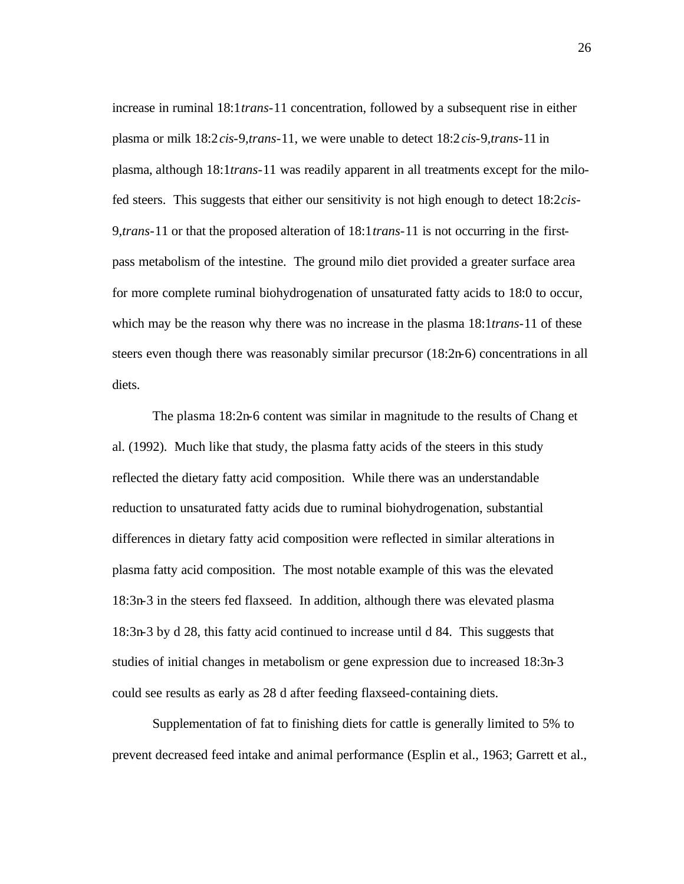increase in ruminal 18:1*trans*-11 concentration, followed by a subsequent rise in either plasma or milk 18:2*cis*-9,*trans*-11, we were unable to detect 18:2*cis*-9,*trans*-11 in plasma, although 18:1*trans*-11 was readily apparent in all treatments except for the milofed steers. This suggests that either our sensitivity is not high enough to detect 18:2*cis*-9,*trans*-11 or that the proposed alteration of 18:1*trans*-11 is not occurring in the firstpass metabolism of the intestine. The ground milo diet provided a greater surface area for more complete ruminal biohydrogenation of unsaturated fatty acids to 18:0 to occur, which may be the reason why there was no increase in the plasma 18:1*trans*-11 of these steers even though there was reasonably similar precursor (18:2n-6) concentrations in all diets.

The plasma 18:2n-6 content was similar in magnitude to the results of Chang et al. (1992). Much like that study, the plasma fatty acids of the steers in this study reflected the dietary fatty acid composition. While there was an understandable reduction to unsaturated fatty acids due to ruminal biohydrogenation, substantial differences in dietary fatty acid composition were reflected in similar alterations in plasma fatty acid composition. The most notable example of this was the elevated 18:3n-3 in the steers fed flaxseed. In addition, although there was elevated plasma 18:3n-3 by d 28, this fatty acid continued to increase until d 84. This suggests that studies of initial changes in metabolism or gene expression due to increased 18:3n-3 could see results as early as 28 d after feeding flaxseed-containing diets.

Supplementation of fat to finishing diets for cattle is generally limited to 5% to prevent decreased feed intake and animal performance (Esplin et al., 1963; Garrett et al.,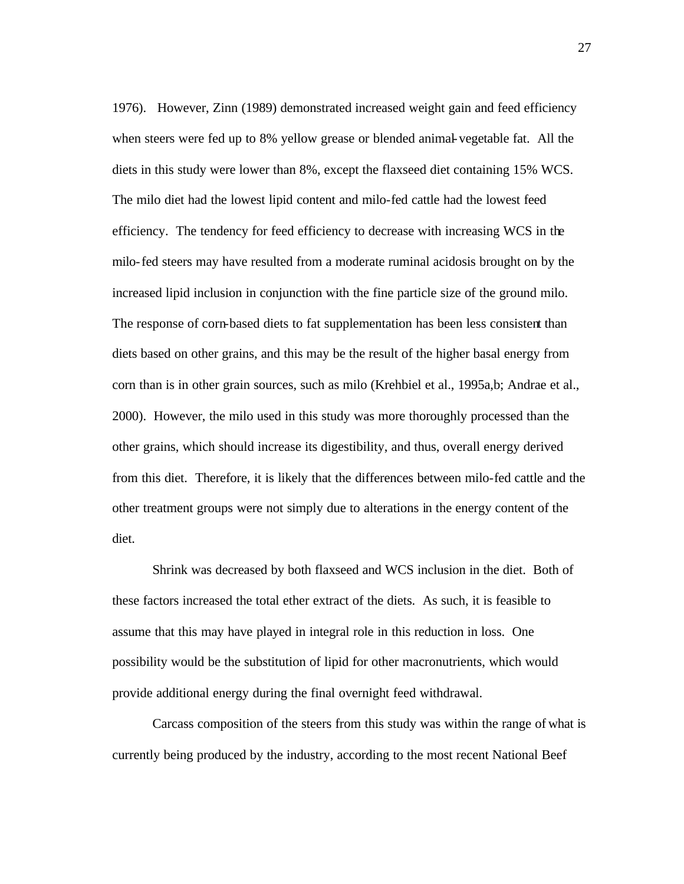1976). However, Zinn (1989) demonstrated increased weight gain and feed efficiency when steers were fed up to 8% yellow grease or blended animal-vegetable fat. All the diets in this study were lower than 8%, except the flaxseed diet containing 15% WCS. The milo diet had the lowest lipid content and milo-fed cattle had the lowest feed efficiency. The tendency for feed efficiency to decrease with increasing WCS in the milo-fed steers may have resulted from a moderate ruminal acidosis brought on by the increased lipid inclusion in conjunction with the fine particle size of the ground milo. The response of corn-based diets to fat supplementation has been less consistent than diets based on other grains, and this may be the result of the higher basal energy from corn than is in other grain sources, such as milo (Krehbiel et al., 1995a,b; Andrae et al., 2000). However, the milo used in this study was more thoroughly processed than the other grains, which should increase its digestibility, and thus, overall energy derived from this diet. Therefore, it is likely that the differences between milo-fed cattle and the other treatment groups were not simply due to alterations in the energy content of the diet.

Shrink was decreased by both flaxseed and WCS inclusion in the diet. Both of these factors increased the total ether extract of the diets. As such, it is feasible to assume that this may have played in integral role in this reduction in loss. One possibility would be the substitution of lipid for other macronutrients, which would provide additional energy during the final overnight feed withdrawal.

Carcass composition of the steers from this study was within the range of what is currently being produced by the industry, according to the most recent National Beef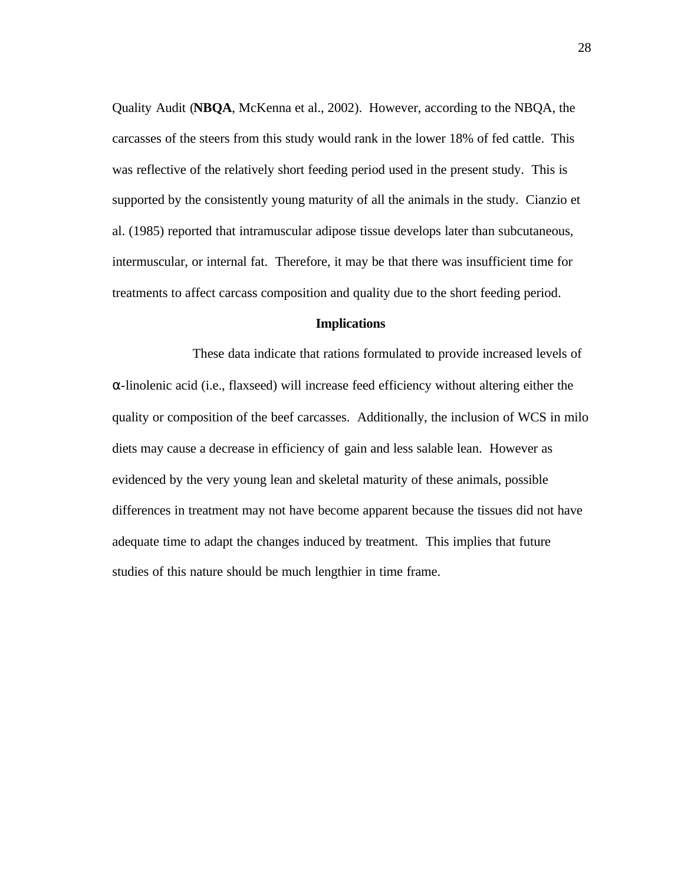Quality Audit (**NBQA**, McKenna et al., 2002). However, according to the NBQA, the carcasses of the steers from this study would rank in the lower 18% of fed cattle. This was reflective of the relatively short feeding period used in the present study. This is supported by the consistently young maturity of all the animals in the study. Cianzio et al. (1985) reported that intramuscular adipose tissue develops later than subcutaneous, intermuscular, or internal fat. Therefore, it may be that there was insufficient time for treatments to affect carcass composition and quality due to the short feeding period.

#### **Implications**

These data indicate that rations formulated to provide increased levels of α-linolenic acid (i.e., flaxseed) will increase feed efficiency without altering either the quality or composition of the beef carcasses. Additionally, the inclusion of WCS in milo diets may cause a decrease in efficiency of gain and less salable lean. However as evidenced by the very young lean and skeletal maturity of these animals, possible differences in treatment may not have become apparent because the tissues did not have adequate time to adapt the changes induced by treatment. This implies that future studies of this nature should be much lengthier in time frame.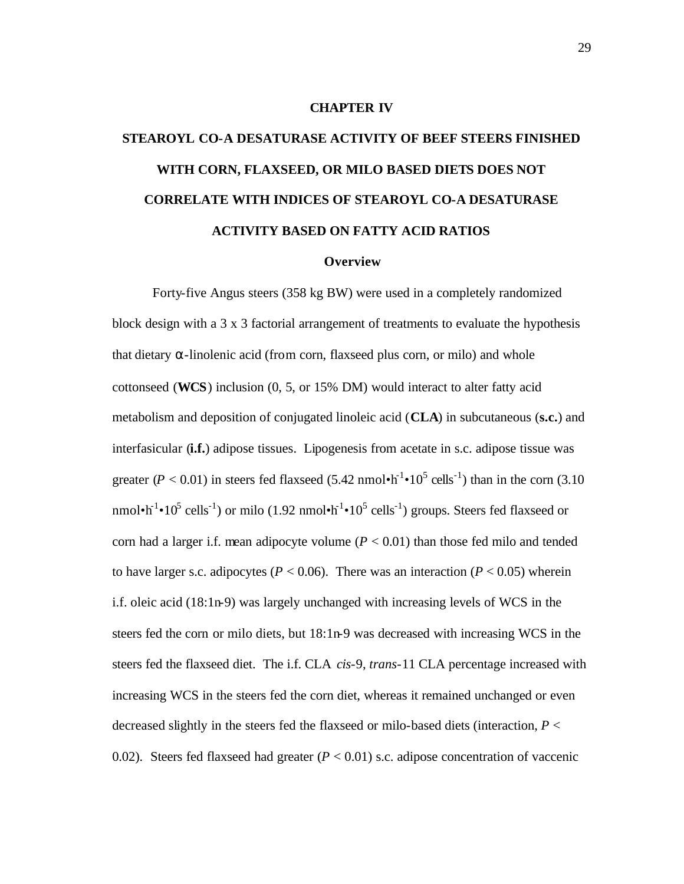#### **CHAPTER IV**

# **STEAROYL CO-A DESATURASE ACTIVITY OF BEEF STEERS FINISHED WITH CORN, FLAXSEED, OR MILO BASED DIETS DOES NOT CORRELATE WITH INDICES OF STEAROYL CO-A DESATURASE ACTIVITY BASED ON FATTY ACID RATIOS**

#### **Overview**

Forty-five Angus steers (358 kg BW) were used in a completely randomized block design with a 3 x 3 factorial arrangement of treatments to evaluate the hypothesis that dietary  $\alpha$ -linolenic acid (from corn, flaxseed plus corn, or milo) and whole cottonseed (**WCS**) inclusion (0, 5, or 15% DM) would interact to alter fatty acid metabolism and deposition of conjugated linoleic acid (**CLA**) in subcutaneous (**s.c.**) and interfasicular (**i.f.**) adipose tissues. Lipogenesis from acetate in s.c. adipose tissue was greater ( $P < 0.01$ ) in steers fed flaxseed (5.42 nmol $\cdot h^{-1} \cdot 10^5$  cells<sup>-1</sup>) than in the corn (3.10 nmol•h<sup>-1</sup>•10<sup>5</sup> cells<sup>-1</sup>) or milo (1.92 nmol•h<sup>-1</sup>•10<sup>5</sup> cells<sup>-1</sup>) groups. Steers fed flaxseed or corn had a larger i.f. mean adipocyte volume  $(P < 0.01)$  than those fed milo and tended to have larger s.c. adipocytes ( $P < 0.06$ ). There was an interaction ( $P < 0.05$ ) wherein i.f. oleic acid (18:1n-9) was largely unchanged with increasing levels of WCS in the steers fed the corn or milo diets, but 18:1n-9 was decreased with increasing WCS in the steers fed the flaxseed diet. The i.f. CLA *cis*-9, *trans*-11 CLA percentage increased with increasing WCS in the steers fed the corn diet, whereas it remained unchanged or even decreased slightly in the steers fed the flaxseed or milo-based diets (interaction, *P* < 0.02). Steers fed flaxseed had greater  $(P < 0.01)$  s.c. adipose concentration of vaccenic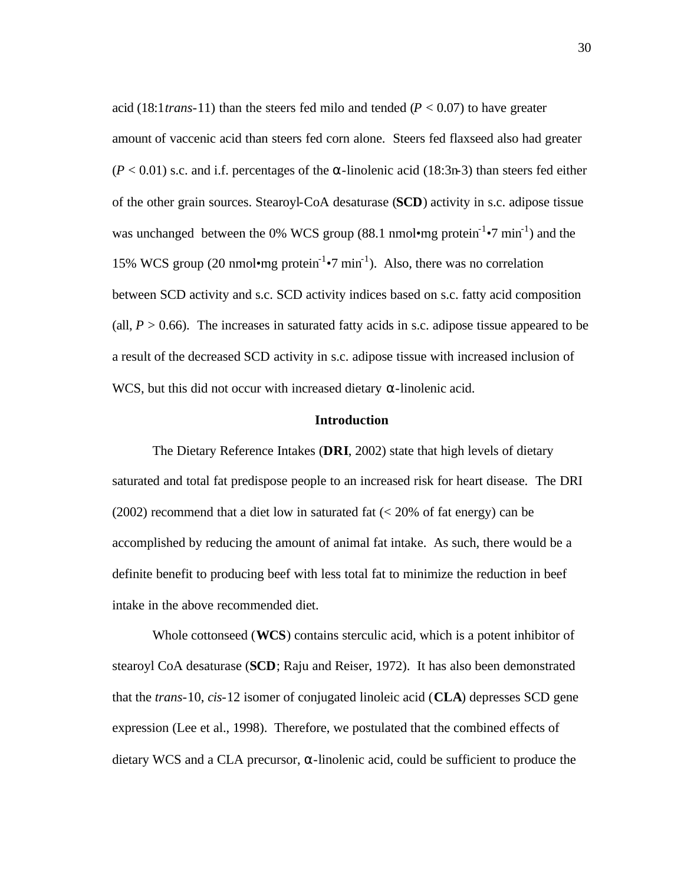acid (18:1*trans*-11) than the steers fed milo and tended ( $P < 0.07$ ) to have greater amount of vaccenic acid than steers fed corn alone. Steers fed flaxseed also had greater  $(P < 0.01)$  s.c. and i.f. percentages of the  $\alpha$ -linolenic acid (18:3n-3) than steers fed either of the other grain sources. Stearoyl-CoA desaturase (**SCD**) activity in s.c. adipose tissue was unchanged between the 0% WCS group (88.1 nmol•mg protein<sup>-1</sup>•7 min<sup>-1</sup>) and the 15% WCS group (20 nmol•mg protein<sup>-1</sup>•7 min<sup>-1</sup>). Also, there was no correlation between SCD activity and s.c. SCD activity indices based on s.c. fatty acid composition (all,  $P > 0.66$ ). The increases in saturated fatty acids in s.c. adipose tissue appeared to be a result of the decreased SCD activity in s.c. adipose tissue with increased inclusion of WCS, but this did not occur with increased dietary  $\alpha$ -linolenic acid.

## **Introduction**

The Dietary Reference Intakes (**DRI**, 2002) state that high levels of dietary saturated and total fat predispose people to an increased risk for heart disease. The DRI  $(2002)$  recommend that a diet low in saturated fat  $(< 20\%$  of fat energy) can be accomplished by reducing the amount of animal fat intake. As such, there would be a definite benefit to producing beef with less total fat to minimize the reduction in beef intake in the above recommended diet.

Whole cottonseed (**WCS**) contains sterculic acid, which is a potent inhibitor of stearoyl CoA desaturase (**SCD**; Raju and Reiser, 1972). It has also been demonstrated that the *trans*-10, *cis*-12 isomer of conjugated linoleic acid (**CLA**) depresses SCD gene expression (Lee et al., 1998). Therefore, we postulated that the combined effects of dietary WCS and a CLA precursor, α-linolenic acid, could be sufficient to produce the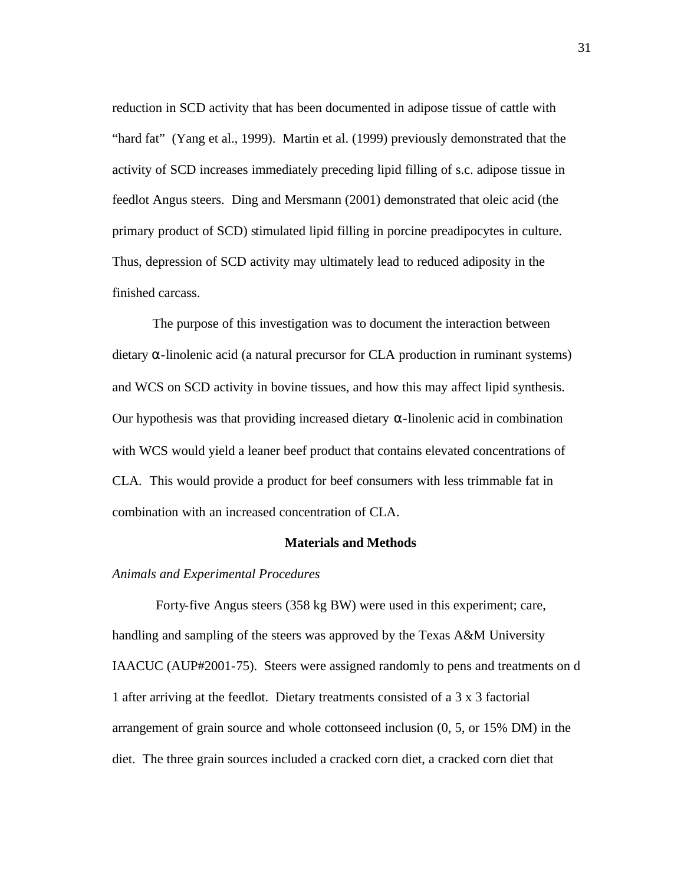reduction in SCD activity that has been documented in adipose tissue of cattle with "hard fat" (Yang et al., 1999). Martin et al. (1999) previously demonstrated that the activity of SCD increases immediately preceding lipid filling of s.c. adipose tissue in feedlot Angus steers. Ding and Mersmann (2001) demonstrated that oleic acid (the primary product of SCD) stimulated lipid filling in porcine preadipocytes in culture. Thus, depression of SCD activity may ultimately lead to reduced adiposity in the finished carcass.

The purpose of this investigation was to document the interaction between dietary α-linolenic acid (a natural precursor for CLA production in ruminant systems) and WCS on SCD activity in bovine tissues, and how this may affect lipid synthesis. Our hypothesis was that providing increased dietary α-linolenic acid in combination with WCS would yield a leaner beef product that contains elevated concentrations of CLA. This would provide a product for beef consumers with less trimmable fat in combination with an increased concentration of CLA.

# **Materials and Methods**

# *Animals and Experimental Procedures*

 Forty-five Angus steers (358 kg BW) were used in this experiment; care, handling and sampling of the steers was approved by the Texas A&M University IAACUC (AUP#2001-75). Steers were assigned randomly to pens and treatments on d 1 after arriving at the feedlot. Dietary treatments consisted of a 3 x 3 factorial arrangement of grain source and whole cottonseed inclusion (0, 5, or 15% DM) in the diet. The three grain sources included a cracked corn diet, a cracked corn diet that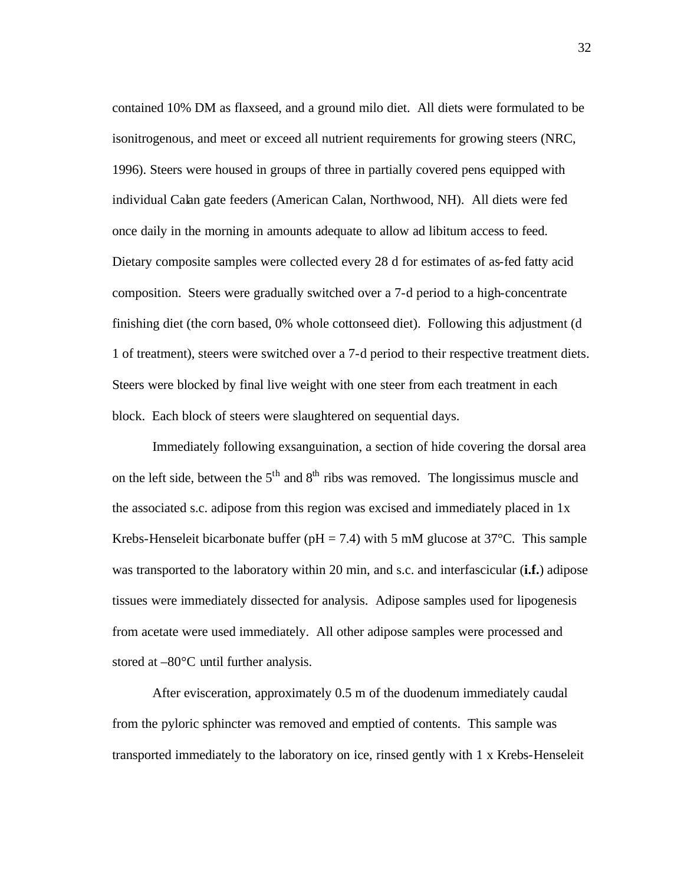contained 10% DM as flaxseed, and a ground milo diet. All diets were formulated to be isonitrogenous, and meet or exceed all nutrient requirements for growing steers (NRC, 1996). Steers were housed in groups of three in partially covered pens equipped with individual Calan gate feeders (American Calan, Northwood, NH). All diets were fed once daily in the morning in amounts adequate to allow ad libitum access to feed. Dietary composite samples were collected every 28 d for estimates of as-fed fatty acid composition. Steers were gradually switched over a 7-d period to a high-concentrate finishing diet (the corn based, 0% whole cottonseed diet). Following this adjustment (d 1 of treatment), steers were switched over a 7-d period to their respective treatment diets. Steers were blocked by final live weight with one steer from each treatment in each block. Each block of steers were slaughtered on sequential days.

Immediately following exsanguination, a section of hide covering the dorsal area on the left side, between the  $5<sup>th</sup>$  and  $8<sup>th</sup>$  ribs was removed. The longissimus muscle and the associated s.c. adipose from this region was excised and immediately placed in 1x Krebs-Henseleit bicarbonate buffer ( $pH = 7.4$ ) with 5 mM glucose at 37<sup>o</sup>C. This sample was transported to the laboratory within 20 min, and s.c. and interfascicular (**i.f.**) adipose tissues were immediately dissected for analysis. Adipose samples used for lipogenesis from acetate were used immediately. All other adipose samples were processed and stored at –80°C until further analysis.

After evisceration, approximately 0.5 m of the duodenum immediately caudal from the pyloric sphincter was removed and emptied of contents. This sample was transported immediately to the laboratory on ice, rinsed gently with 1 x Krebs-Henseleit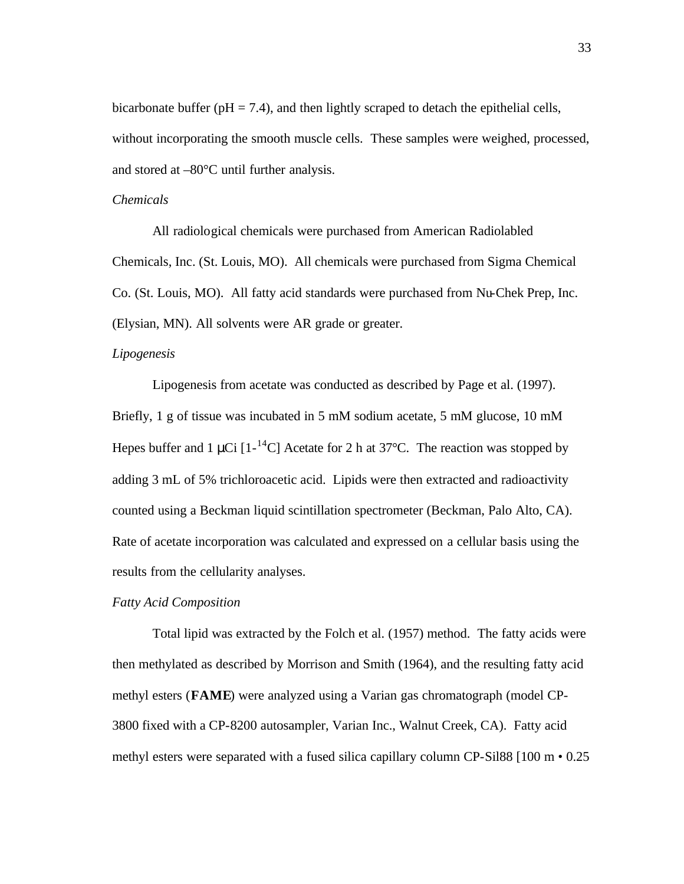bicarbonate buffer ( $pH = 7.4$ ), and then lightly scraped to detach the epithelial cells, without incorporating the smooth muscle cells. These samples were weighed, processed, and stored at –80°C until further analysis.

## *Chemicals*

All radiological chemicals were purchased from American Radiolabled Chemicals, Inc. (St. Louis, MO). All chemicals were purchased from Sigma Chemical Co. (St. Louis, MO). All fatty acid standards were purchased from Nu-Chek Prep, Inc. (Elysian, MN). All solvents were AR grade or greater.

## *Lipogenesis*

Lipogenesis from acetate was conducted as described by Page et al. (1997). Briefly, 1 g of tissue was incubated in 5 mM sodium acetate, 5 mM glucose, 10 mM Hepes buffer and 1  $\mu$ Ci [1-<sup>14</sup>C] Acetate for 2 h at 37°C. The reaction was stopped by adding 3 mL of 5% trichloroacetic acid. Lipids were then extracted and radioactivity counted using a Beckman liquid scintillation spectrometer (Beckman, Palo Alto, CA). Rate of acetate incorporation was calculated and expressed on a cellular basis using the results from the cellularity analyses.

## *Fatty Acid Composition*

Total lipid was extracted by the Folch et al. (1957) method. The fatty acids were then methylated as described by Morrison and Smith (1964), and the resulting fatty acid methyl esters (**FAME**) were analyzed using a Varian gas chromatograph (model CP-3800 fixed with a CP-8200 autosampler, Varian Inc., Walnut Creek, CA). Fatty acid methyl esters were separated with a fused silica capillary column CP-Sil88  $[100 \text{ m} \cdot 0.25$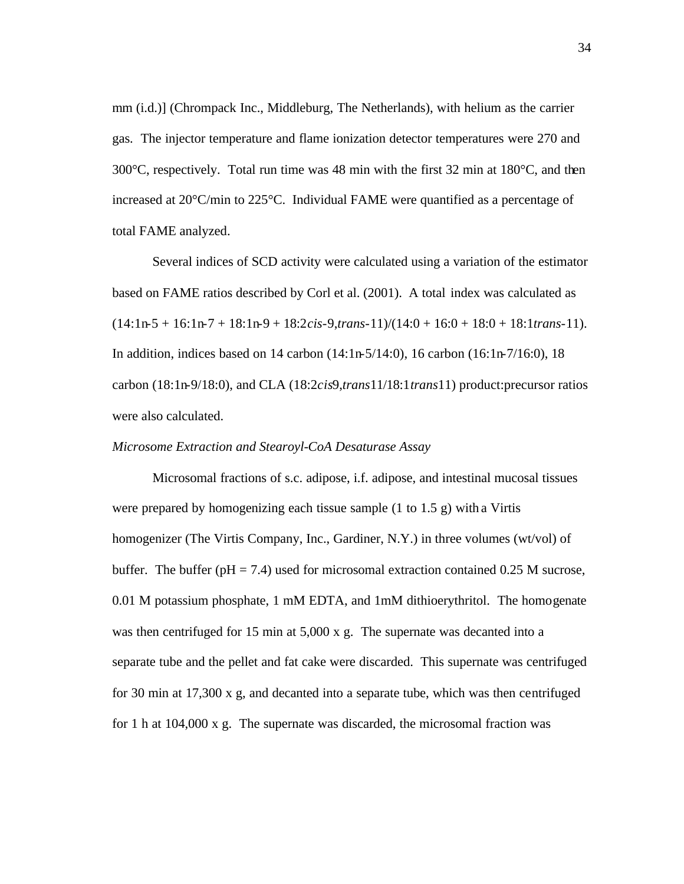mm (i.d.)] (Chrompack Inc., Middleburg, The Netherlands), with helium as the carrier gas. The injector temperature and flame ionization detector temperatures were 270 and  $300^{\circ}$ C, respectively. Total run time was 48 min with the first 32 min at 180 $^{\circ}$ C, and then increased at 20°C/min to 225°C. Individual FAME were quantified as a percentage of total FAME analyzed.

Several indices of SCD activity were calculated using a variation of the estimator based on FAME ratios described by Corl et al. (2001). A total index was calculated as (14:1n-5 + 16:1n-7 + 18:1n-9 + 18:2*cis*-9,*trans*-11)/(14:0 + 16:0 + 18:0 + 18:1*trans*-11). In addition, indices based on 14 carbon (14:1n-5/14:0), 16 carbon (16:1n-7/16:0), 18 carbon (18:1n-9/18:0), and CLA (18:2*cis*9,*trans*11/18:1*trans*11) product:precursor ratios were also calculated.

#### *Microsome Extraction and Stearoyl-CoA Desaturase Assay*

Microsomal fractions of s.c. adipose, i.f. adipose, and intestinal mucosal tissues were prepared by homogenizing each tissue sample (1 to 1.5 g) with a Virtis homogenizer (The Virtis Company, Inc., Gardiner, N.Y.) in three volumes (wt/vol) of buffer. The buffer ( $pH = 7.4$ ) used for microsomal extraction contained 0.25 M sucrose, 0.01 M potassium phosphate, 1 mM EDTA, and 1mM dithioerythritol. The homogenate was then centrifuged for 15 min at 5,000 x g. The supernate was decanted into a separate tube and the pellet and fat cake were discarded. This supernate was centrifuged for 30 min at 17,300 x g, and decanted into a separate tube, which was then centrifuged for 1 h at 104,000 x g. The supernate was discarded, the microsomal fraction was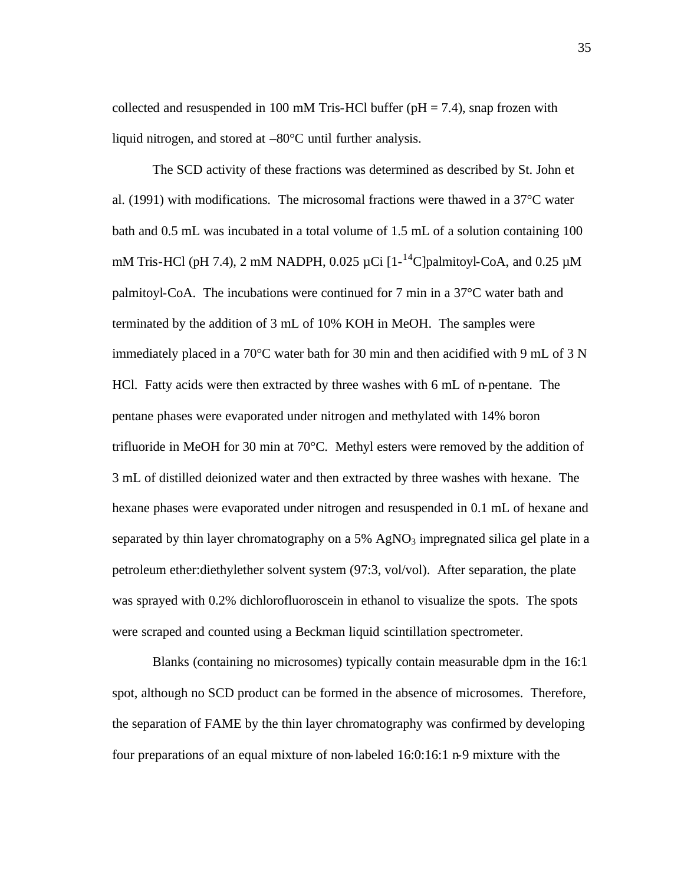collected and resuspended in 100 mM Tris-HCl buffer ( $pH = 7.4$ ), snap frozen with liquid nitrogen, and stored at –80°C until further analysis.

The SCD activity of these fractions was determined as described by St. John et al. (1991) with modifications. The microsomal fractions were thawed in a 37°C water bath and 0.5 mL was incubated in a total volume of 1.5 mL of a solution containing 100 mM Tris-HCl (pH 7.4), 2 mM NADPH, 0.025  $\mu$ Ci [1-<sup>14</sup>C]palmitoyl-CoA, and 0.25  $\mu$ M palmitoyl-CoA. The incubations were continued for 7 min in a 37°C water bath and terminated by the addition of 3 mL of 10% KOH in MeOH. The samples were immediately placed in a 70°C water bath for 30 min and then acidified with 9 mL of 3 N HCl. Fatty acids were then extracted by three washes with 6 mL of n-pentane. The pentane phases were evaporated under nitrogen and methylated with 14% boron trifluoride in MeOH for 30 min at 70°C. Methyl esters were removed by the addition of 3 mL of distilled deionized water and then extracted by three washes with hexane. The hexane phases were evaporated under nitrogen and resuspended in 0.1 mL of hexane and separated by thin layer chromatography on a  $5\%$  AgNO<sub>3</sub> impregnated silica gel plate in a petroleum ether:diethylether solvent system (97:3, vol/vol). After separation, the plate was sprayed with 0.2% dichlorofluoroscein in ethanol to visualize the spots. The spots were scraped and counted using a Beckman liquid scintillation spectrometer.

Blanks (containing no microsomes) typically contain measurable dpm in the 16:1 spot, although no SCD product can be formed in the absence of microsomes. Therefore, the separation of FAME by the thin layer chromatography was confirmed by developing four preparations of an equal mixture of non-labeled 16:0:16:1 n-9 mixture with the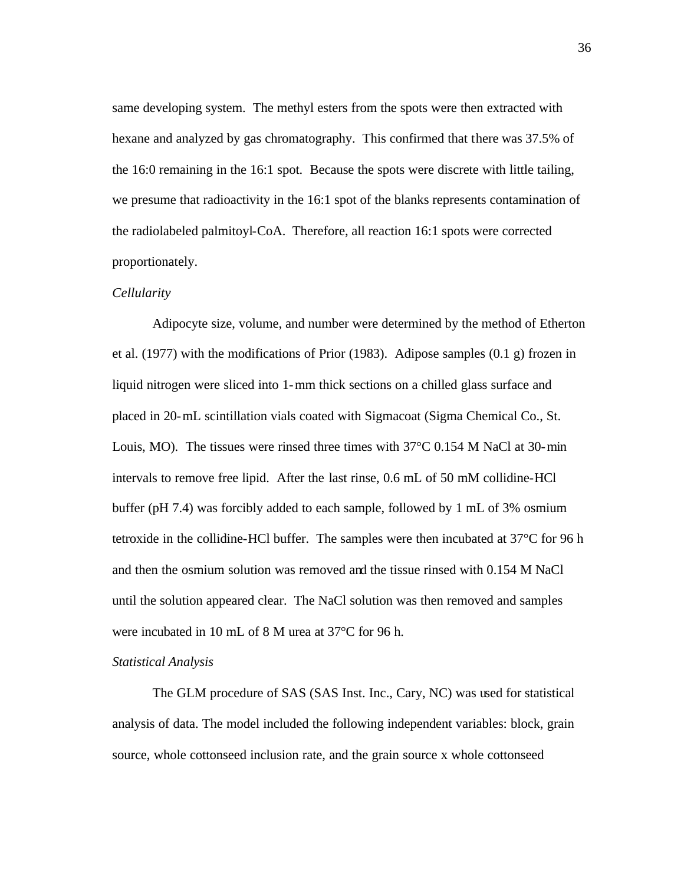same developing system. The methyl esters from the spots were then extracted with hexane and analyzed by gas chromatography. This confirmed that there was 37.5% of the 16:0 remaining in the 16:1 spot. Because the spots were discrete with little tailing, we presume that radioactivity in the 16:1 spot of the blanks represents contamination of the radiolabeled palmitoyl-CoA. Therefore, all reaction 16:1 spots were corrected proportionately.

## *Cellularity*

Adipocyte size, volume, and number were determined by the method of Etherton et al. (1977) with the modifications of Prior (1983). Adipose samples (0.1 g) frozen in liquid nitrogen were sliced into 1-mm thick sections on a chilled glass surface and placed in 20-mL scintillation vials coated with Sigmacoat (Sigma Chemical Co., St. Louis, MO). The tissues were rinsed three times with 37°C 0.154 M NaCl at 30-min intervals to remove free lipid. After the last rinse, 0.6 mL of 50 mM collidine-HCl buffer (pH 7.4) was forcibly added to each sample, followed by 1 mL of 3% osmium tetroxide in the collidine-HCl buffer. The samples were then incubated at 37°C for 96 h and then the osmium solution was removed and the tissue rinsed with 0.154 M NaCl until the solution appeared clear. The NaCl solution was then removed and samples were incubated in 10 mL of 8 M urea at 37°C for 96 h.

## *Statistical Analysis*

The GLM procedure of SAS (SAS Inst. Inc., Cary, NC) was used for statistical analysis of data. The model included the following independent variables: block, grain source, whole cottonseed inclusion rate, and the grain source x whole cottonseed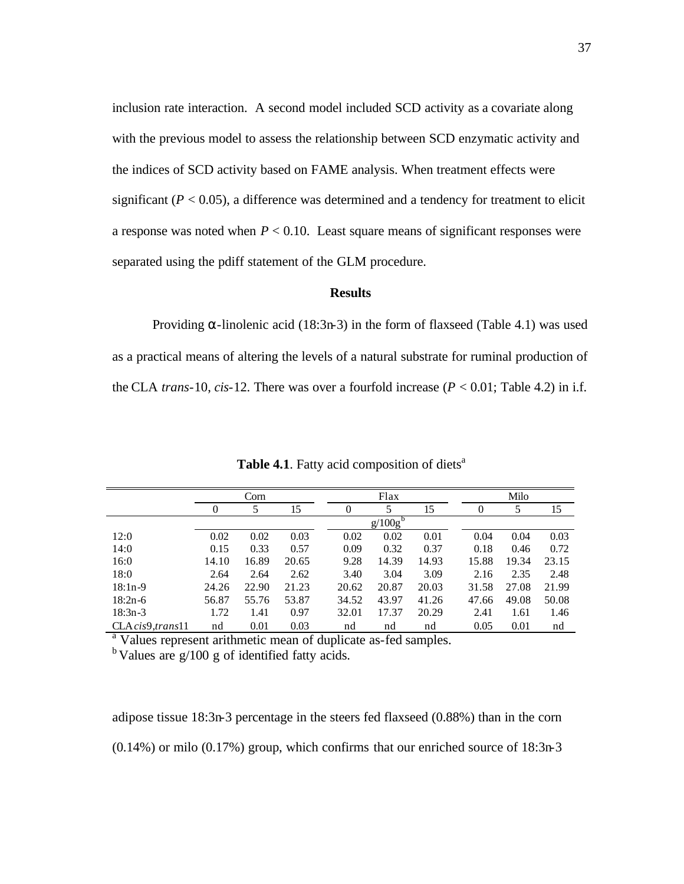inclusion rate interaction. A second model included SCD activity as a covariate along with the previous model to assess the relationship between SCD enzymatic activity and the indices of SCD activity based on FAME analysis. When treatment effects were significant  $(P < 0.05)$ , a difference was determined and a tendency for treatment to elicit a response was noted when  $P < 0.10$ . Least square means of significant responses were separated using the pdiff statement of the GLM procedure.

## **Results**

Providing  $\alpha$ -linolenic acid (18:3n-3) in the form of flaxseed (Table 4.1) was used as a practical means of altering the levels of a natural substrate for ruminal production of the CLA *trans*-10, *cis*-12. There was over a fourfold increase  $(P < 0.01$ ; Table 4.2) in i.f.

|                   | Corn  |       |       | Flax  |            |       |  | Milo  |       |       |  |
|-------------------|-------|-------|-------|-------|------------|-------|--|-------|-------|-------|--|
|                   | O     | 5     | 15    | 0     | 5          | 15    |  | 0     | 5     | 15    |  |
|                   |       |       |       |       | $g/100g^b$ |       |  |       |       |       |  |
| 12:0              | 0.02  | 0.02  | 0.03  | 0.02  | 0.02       | 0.01  |  | 0.04  | 0.04  | 0.03  |  |
| 14:0              | 0.15  | 0.33  | 0.57  | 0.09  | 0.32       | 0.37  |  | 0.18  | 0.46  | 0.72  |  |
| 16:0              | 14.10 | 16.89 | 20.65 | 9.28  | 14.39      | 14.93 |  | 15.88 | 19.34 | 23.15 |  |
| 18:0              | 2.64  | 2.64  | 2.62  | 3.40  | 3.04       | 3.09  |  | 2.16  | 2.35  | 2.48  |  |
| $18:1n-9$         | 24.26 | 22.90 | 21.23 | 20.62 | 20.87      | 20.03 |  | 31.58 | 27.08 | 21.99 |  |
| $18:2n-6$         | 56.87 | 55.76 | 53.87 | 34.52 | 43.97      | 41.26 |  | 47.66 | 49.08 | 50.08 |  |
| $18:3n-3$         | 1.72  | 1.41  | 0.97  | 32.01 | 17.37      | 20.29 |  | 2.41  | 1.61  | 1.46  |  |
| CLA cis9, trans11 | nd    | 0.01  | 0.03  | nd    | nd         | nd    |  | 0.05  | 0.01  | nd    |  |

Table 4.1. Fatty acid composition of diets<sup>a</sup>

<sup>a</sup> Values represent arithmetic mean of duplicate as-fed samples.  $<sup>b</sup>$  Values are g/100 g of identified fatty acids.</sup>

adipose tissue 18:3n-3 percentage in the steers fed flaxseed (0.88%) than in the corn (0.14%) or milo (0.17%) group, which confirms that our enriched source of 18:3n-3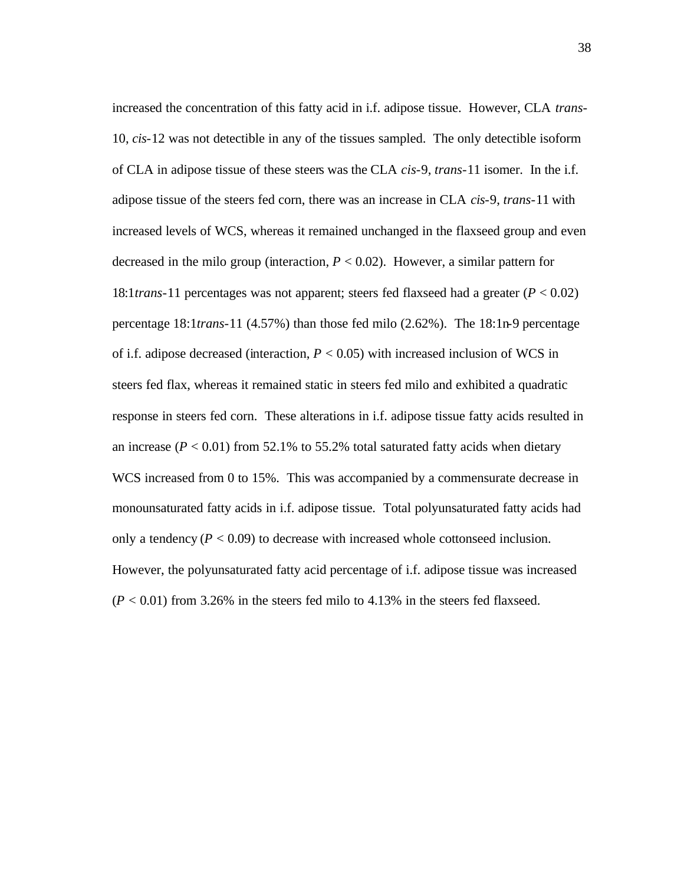increased the concentration of this fatty acid in i.f. adipose tissue. However, CLA *trans*-10, *cis*-12 was not detectible in any of the tissues sampled. The only detectible isoform of CLA in adipose tissue of these steers was the CLA *cis*-9, *trans*-11 isomer. In the i.f. adipose tissue of the steers fed corn, there was an increase in CLA *cis*-9, *trans*-11 with increased levels of WCS, whereas it remained unchanged in the flaxseed group and even decreased in the milo group (interaction,  $P < 0.02$ ). However, a similar pattern for 18:1*trans*-11 percentages was not apparent; steers fed flaxseed had a greater (*P* < 0.02) percentage 18:1*trans*-11 (4.57%) than those fed milo (2.62%). The 18:1n-9 percentage of i.f. adipose decreased (interaction, *P* < 0.05) with increased inclusion of WCS in steers fed flax, whereas it remained static in steers fed milo and exhibited a quadratic response in steers fed corn. These alterations in i.f. adipose tissue fatty acids resulted in an increase  $(P < 0.01)$  from 52.1% to 55.2% total saturated fatty acids when dietary WCS increased from 0 to 15%. This was accompanied by a commensurate decrease in monounsaturated fatty acids in i.f. adipose tissue. Total polyunsaturated fatty acids had only a tendency  $(P < 0.09)$  to decrease with increased whole cottonseed inclusion. However, the polyunsaturated fatty acid percentage of i.f. adipose tissue was increased  $(P < 0.01)$  from 3.26% in the steers fed milo to 4.13% in the steers fed flaxseed.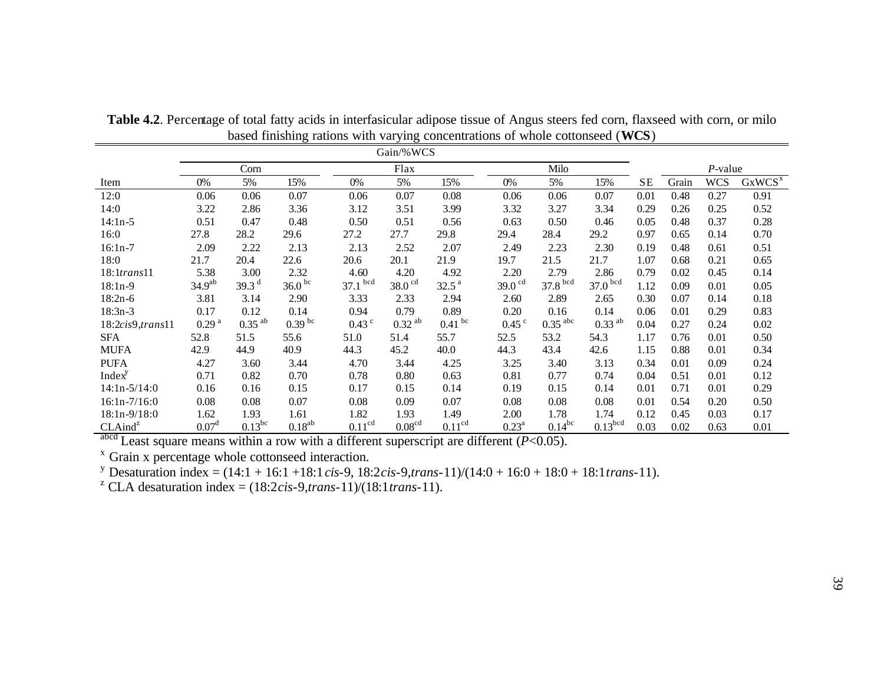|                     | Gain/%WCS          |                      |                    |                    |                      |                    |                       |                       |                      |           |       |            |                    |
|---------------------|--------------------|----------------------|--------------------|--------------------|----------------------|--------------------|-----------------------|-----------------------|----------------------|-----------|-------|------------|--------------------|
|                     |                    | Corn                 |                    |                    | Flax                 |                    |                       | Milo                  |                      |           |       | $P$ -value |                    |
| Item                | 0%                 | 5%                   | 15%                | 0%                 | 5%                   | 15%                | 0%                    | 5%                    | 15%                  | <b>SE</b> | Grain | <b>WCS</b> | GxWCS <sup>x</sup> |
| 12:0                | 0.06               | 0.06                 | 0.07               | 0.06               | 0.07                 | 0.08               | 0.06                  | 0.06                  | 0.07                 | 0.01      | 0.48  | 0.27       | 0.91               |
| 14:0                | 3.22               | 2.86                 | 3.36               | 3.12               | 3.51                 | 3.99               | 3.32                  | 3.27                  | 3.34                 | 0.29      | 0.26  | 0.25       | 0.52               |
| $14:1n-5$           | 0.51               | 0.47                 | 0.48               | 0.50               | 0.51                 | 0.56               | 0.63                  | 0.50                  | 0.46                 | 0.05      | 0.48  | 0.37       | 0.28               |
| 16:0                | 27.8               | 28.2                 | 29.6               | 27.2               | 27.7                 | 29.8               | 29.4                  | 28.4                  | 29.2                 | 0.97      | 0.65  | 0.14       | 0.70               |
| $16:1n-7$           | 2.09               | 2.22                 | 2.13               | 2.13               | 2.52                 | 2.07               | 2.49                  | 2.23                  | 2.30                 | 0.19      | 0.48  | 0.61       | 0.51               |
| 18:0                | 21.7               | 20.4                 | 22.6               | 20.6               | 20.1                 | 21.9               | 19.7                  | 21.5                  | 21.7                 | 1.07      | 0.68  | 0.21       | 0.65               |
| $18:1$ trans $11$   | 5.38               | 3.00                 | 2.32               | 4.60               | 4.20                 | 4.92               | 2.20                  | 2.79                  | 2.86                 | 0.79      | 0.02  | 0.45       | 0.14               |
| $18:1n-9$           | 34.9 <sup>ab</sup> | 39.3 $d$             | 36.0 <sup>bc</sup> | $37.1$ bcd         | $38.0$ <sup>cd</sup> | 32.5 <sup>a</sup>  | 39.0 $\mathrm{^{cd}}$ | $37.8$ <sup>bcd</sup> | $37.0$ bcd           | 1.12      | 0.09  | 0.01       | 0.05               |
| $18:2n-6$           | 3.81               | 3.14                 | 2.90               | 3.33               | 2.33                 | 2.94               | 2.60                  | 2.89                  | 2.65                 | 0.30      | 0.07  | 0.14       | 0.18               |
| $18:3n-3$           | 0.17               | 0.12                 | 0.14               | 0.94               | 0.79                 | 0.89               | 0.20                  | 0.16                  | 0.14                 | 0.06      | 0.01  | 0.29       | 0.83               |
| 18:2cis9, trans11   | 0.29 <sup>a</sup>  | $0.35$ <sup>ab</sup> | $0.39$ bc          | $0.43$ $\degree$   | $0.32$ <sup>ab</sup> | $0.41$ bc          | $0.45$ $\degree$      | $0.35$ <sup>abc</sup> | $0.33$ <sup>ab</sup> | 0.04      | 0.27  | 0.24       | 0.02               |
| <b>SFA</b>          | 52.8               | 51.5                 | 55.6               | 51.0               | 51.4                 | 55.7               | 52.5                  | 53.2                  | 54.3                 | 1.17      | 0.76  | 0.01       | 0.50               |
| <b>MUFA</b>         | 42.9               | 44.9                 | 40.9               | 44.3               | 45.2                 | 40.0               | 44.3                  | 43.4                  | 42.6                 | 1.15      | 0.88  | 0.01       | 0.34               |
| <b>PUFA</b>         | 4.27               | 3.60                 | 3.44               | 4.70               | 3.44                 | 4.25               | 3.25                  | 3.40                  | 3.13                 | 0.34      | 0.01  | 0.09       | 0.24               |
| Index <sup>y</sup>  | 0.71               | 0.82                 | 0.70               | 0.78               | 0.80                 | 0.63               | 0.81                  | 0.77                  | 0.74                 | 0.04      | 0.51  | 0.01       | 0.12               |
| $14:1n-5/14:0$      | 0.16               | 0.16                 | 0.15               | 0.17               | 0.15                 | 0.14               | 0.19                  | 0.15                  | 0.14                 | 0.01      | 0.71  | 0.01       | 0.29               |
| $16:1n-7/16:0$      | 0.08               | 0.08                 | 0.07               | 0.08               | 0.09                 | 0.07               | 0.08                  | 0.08                  | 0.08                 | 0.01      | 0.54  | 0.20       | 0.50               |
| $18:1n-9/18:0$      | 1.62               | 1.93                 | 1.61               | 1.82               | 1.93                 | 1.49               | 2.00                  | 1.78                  | 1.74                 | 0.12      | 0.45  | 0.03       | 0.17               |
| CLAind <sup>z</sup> | 0.07 <sup>d</sup>  | $0.13^{bc}$          | $0.18^{ab}$        | 0.11 <sup>cd</sup> | 0.08 <sup>cd</sup>   | 0.11 <sup>cd</sup> | $0.23^{\rm a}$        | $0.14^{bc}$           | 0.13 <sup>bcd</sup>  | 0.03      | 0.02  | 0.63       | 0.01               |

**Table 4.2**. Percentage of total fatty acids in interfasicular adipose tissue of Angus steers fed corn, flaxseed with corn, or milo based finishing rations with varying concentrations of whole cottonseed (**WCS**)

 $a<sup>abcd</sup>$  Least square means within a row with a different superscript are different ( $P < 0.05$ ).

x Grain x percentage whole cottonseed interaction.

y Desaturation index = (14:1 + 16:1 +18:1*cis*-9, 18:2*cis*-9,*trans*-11)/(14:0 + 16:0 + 18:0 + 18:1*trans*-11).

<sup>z</sup> CLA desaturation index =  $(18:2 \text{cis-9}, \text{trans-11})/(18:1 \text{trans-11}).$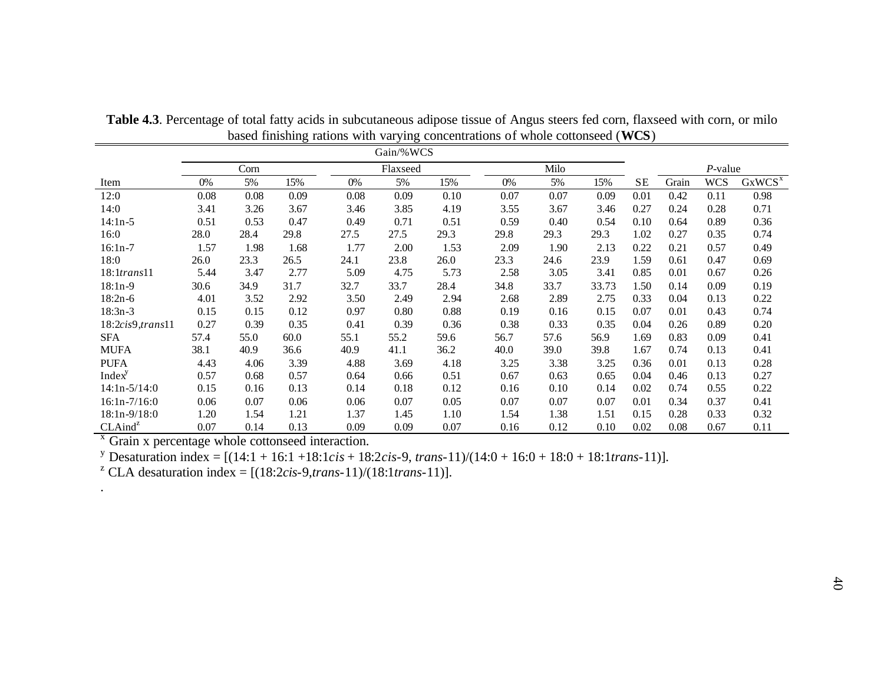|                     | Gain/%WCS |      |      |          |      |      |      |      |       |           |       |            |                    |
|---------------------|-----------|------|------|----------|------|------|------|------|-------|-----------|-------|------------|--------------------|
|                     |           | Corn |      | Flaxseed |      |      | Milo |      |       |           |       | $P$ -value |                    |
| Item                | 0%        | 5%   | 15%  | 0%       | 5%   | 15%  | 0%   | 5%   | 15%   | <b>SE</b> | Grain | WCS        | GxWCS <sup>x</sup> |
| 12:0                | 0.08      | 0.08 | 0.09 | 0.08     | 0.09 | 0.10 | 0.07 | 0.07 | 0.09  | 0.01      | 0.42  | 0.11       | 0.98               |
| 14:0                | 3.41      | 3.26 | 3.67 | 3.46     | 3.85 | 4.19 | 3.55 | 3.67 | 3.46  | 0.27      | 0.24  | 0.28       | 0.71               |
| $14:1n-5$           | 0.51      | 0.53 | 0.47 | 0.49     | 0.71 | 0.51 | 0.59 | 0.40 | 0.54  | 0.10      | 0.64  | 0.89       | 0.36               |
| 16:0                | 28.0      | 28.4 | 29.8 | 27.5     | 27.5 | 29.3 | 29.8 | 29.3 | 29.3  | 1.02      | 0.27  | 0.35       | 0.74               |
| $16:1n-7$           | 1.57      | 1.98 | 1.68 | 1.77     | 2.00 | 1.53 | 2.09 | 1.90 | 2.13  | 0.22      | 0.21  | 0.57       | 0.49               |
| 18:0                | 26.0      | 23.3 | 26.5 | 24.1     | 23.8 | 26.0 | 23.3 | 24.6 | 23.9  | 1.59      | 0.61  | 0.47       | 0.69               |
| $18:1$ trans $11$   | 5.44      | 3.47 | 2.77 | 5.09     | 4.75 | 5.73 | 2.58 | 3.05 | 3.41  | 0.85      | 0.01  | 0.67       | 0.26               |
| $18:1n-9$           | 30.6      | 34.9 | 31.7 | 32.7     | 33.7 | 28.4 | 34.8 | 33.7 | 33.73 | 1.50      | 0.14  | 0.09       | 0.19               |
| $18:2n-6$           | 4.01      | 3.52 | 2.92 | 3.50     | 2.49 | 2.94 | 2.68 | 2.89 | 2.75  | 0.33      | 0.04  | 0.13       | 0.22               |
| $18:3n-3$           | 0.15      | 0.15 | 0.12 | 0.97     | 0.80 | 0.88 | 0.19 | 0.16 | 0.15  | 0.07      | 0.01  | 0.43       | 0.74               |
| 18:2cis9, trans11   | 0.27      | 0.39 | 0.35 | 0.41     | 0.39 | 0.36 | 0.38 | 0.33 | 0.35  | 0.04      | 0.26  | 0.89       | 0.20               |
| <b>SFA</b>          | 57.4      | 55.0 | 60.0 | 55.1     | 55.2 | 59.6 | 56.7 | 57.6 | 56.9  | 1.69      | 0.83  | 0.09       | 0.41               |
| MUFA                | 38.1      | 40.9 | 36.6 | 40.9     | 41.1 | 36.2 | 40.0 | 39.0 | 39.8  | 1.67      | 0.74  | 0.13       | 0.41               |
| <b>PUFA</b>         | 4.43      | 4.06 | 3.39 | 4.88     | 3.69 | 4.18 | 3.25 | 3.38 | 3.25  | 0.36      | 0.01  | 0.13       | 0.28               |
| Index <sup>y</sup>  | 0.57      | 0.68 | 0.57 | 0.64     | 0.66 | 0.51 | 0.67 | 0.63 | 0.65  | 0.04      | 0.46  | 0.13       | 0.27               |
| $14:1n-5/14:0$      | 0.15      | 0.16 | 0.13 | 0.14     | 0.18 | 0.12 | 0.16 | 0.10 | 0.14  | 0.02      | 0.74  | 0.55       | 0.22               |
| $16:1n-7/16:0$      | 0.06      | 0.07 | 0.06 | 0.06     | 0.07 | 0.05 | 0.07 | 0.07 | 0.07  | 0.01      | 0.34  | 0.37       | 0.41               |
| $18:1n-9/18:0$      | 1.20      | 1.54 | 1.21 | 1.37     | 1.45 | 1.10 | 1.54 | 1.38 | 1.51  | 0.15      | 0.28  | 0.33       | 0.32               |
| CLAind <sup>z</sup> | 0.07      | 0.14 | 0.13 | 0.09     | 0.09 | 0.07 | 0.16 | 0.12 | 0.10  | 0.02      | 0.08  | 0.67       | 0.11               |

**Table 4.3**. Percentage of total fatty acids in subcutaneous adipose tissue of Angus steers fed corn, flaxseed with corn, or milo based finishing rations with varying concentrations of whole cottonseed (**WCS**)

<sup>x</sup> Grain x percentage whole cottonseed interaction.

.

y Desaturation index = [(14:1 + 16:1 +18:1*cis* + 18:2*cis*-9, *trans*-11)/(14:0 + 16:0 + 18:0 + 18:1*trans*-11)].

<sup>z</sup> CLA desaturation index =  $[(18:2cis-9, trans-11)/(18:1trans-11)].$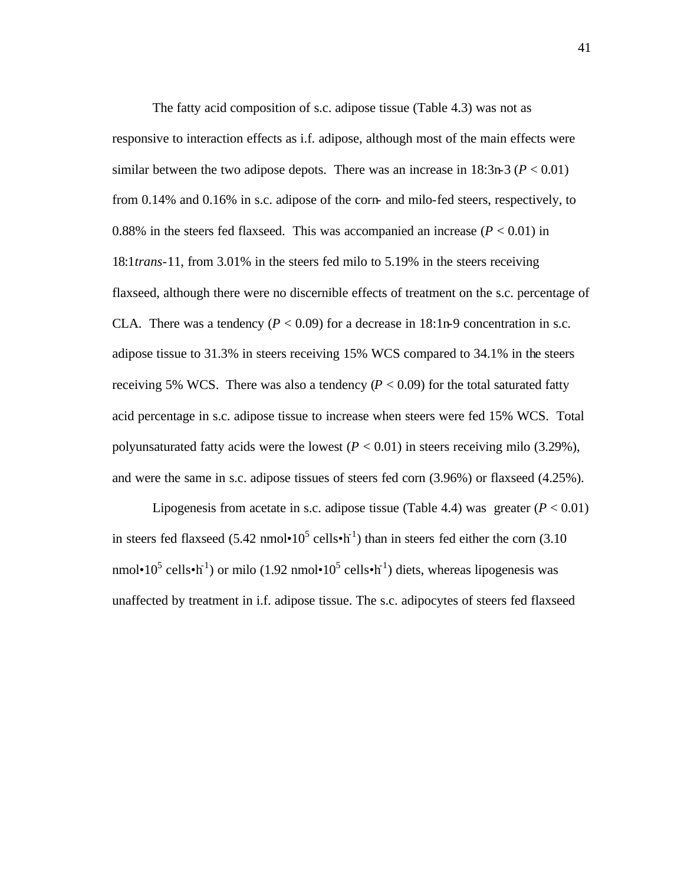The fatty acid composition of s.c. adipose tissue (Table 4.3) was not as responsive to interaction effects as i.f. adipose, although most of the main effects were similar between the two adipose depots. There was an increase in  $18:3n-3$  ( $P < 0.01$ ) from 0.14% and 0.16% in s.c. adipose of the corn- and milo-fed steers, respectively, to 0.88% in the steers fed flaxseed. This was accompanied an increase  $(P < 0.01)$  in 18:1*trans*-11, from 3.01% in the steers fed milo to 5.19% in the steers receiving flaxseed, although there were no discernible effects of treatment on the s.c. percentage of CLA. There was a tendency  $(P < 0.09)$  for a decrease in 18:1n-9 concentration in s.c. adipose tissue to 31.3% in steers receiving 15% WCS compared to 34.1% in the steers receiving 5% WCS. There was also a tendency  $(P < 0.09)$  for the total saturated fatty acid percentage in s.c. adipose tissue to increase when steers were fed 15% WCS. Total polyunsaturated fatty acids were the lowest  $(P < 0.01)$  in steers receiving milo (3.29%), and were the same in s.c. adipose tissues of steers fed corn (3.96%) or flaxseed (4.25%).

Lipogenesis from acetate in s.c. adipose tissue (Table 4.4) was greater  $(P < 0.01)$ in steers fed flaxseed (5.42 nmol•10<sup>5</sup> cells•h<sup>-1</sup>) than in steers fed either the corn (3.10 nmol•10<sup>5</sup> cells•h<sup>-1</sup>) or milo (1.92 nmol•10<sup>5</sup> cells•h<sup>-1</sup>) diets, whereas lipogenesis was unaffected by treatment in i.f. adipose tissue. The s.c. adipocytes of steers fed flaxseed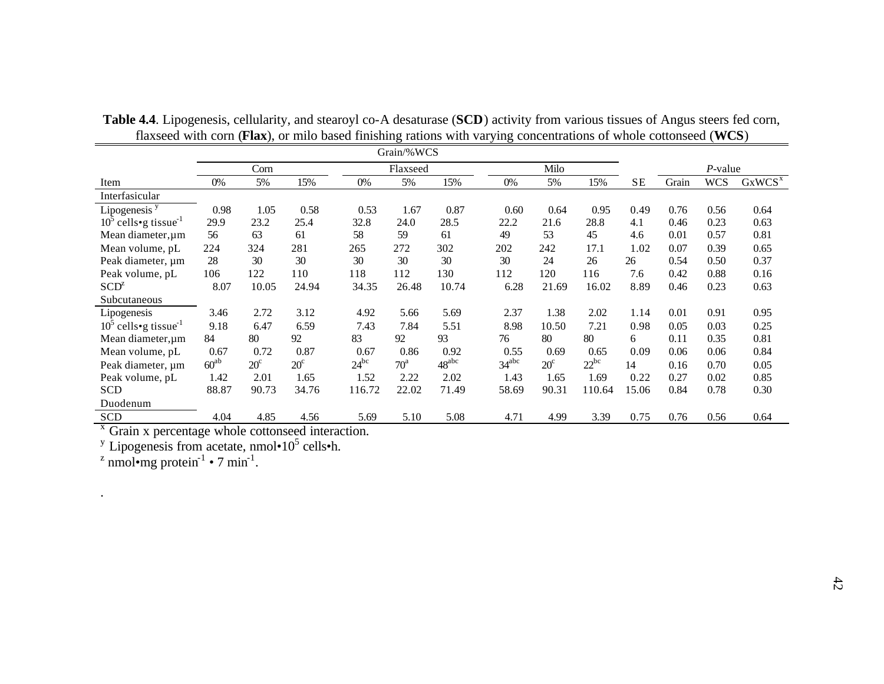| Milo<br>Corn<br>$P$ -value<br>Flaxseed<br>GxWCS <sup>x</sup><br><b>SE</b><br>Grain<br><b>WCS</b><br>15%<br>0%<br>15%<br>0%<br>5%<br>0%<br>5%<br>15%<br>5%<br>Item<br>Interfasicular<br>Lipogenesis <sup>y</sup><br>0.98<br>1.05<br>0.58<br>0.53<br>1.67<br>0.87<br>0.64<br>0.95<br>0.49<br>0.60<br>0.76<br>0.56<br>0.64<br>$10^{\circ}$ cells•g tissue <sup>-1</sup><br>29.9<br>23.2<br>32.8<br>28.5<br>28.8<br>25.4<br>24.0<br>22.2<br>21.6<br>4.1<br>0.23<br>0.63<br>0.46<br>56<br>59<br>53<br>45<br>0.81<br>63<br>58<br>49<br>4.6<br>Mean diameter, um<br>61<br>61<br>0.01<br>0.57<br>302<br>281<br>265<br>272<br>202<br>242<br>17.1<br>1.02<br>224<br>324<br>0.07<br>0.39<br>0.65<br>Mean volume, pL<br>30<br>30<br>28<br>30<br>30<br>30<br>24<br>30<br>26<br>0.37<br>Peak diameter, um<br>26<br>0.54<br>0.50<br>110<br>118<br>130<br>112<br>0.16<br>Peak volume, pL<br>122<br>112<br>120<br>116<br>7.6<br>0.42<br>106<br>0.88<br>SCD <sup>z</sup><br>10.74<br>10.05<br>24.94<br>34.35<br>16.02<br>8.89<br>0.63<br>8.07<br>26.48<br>6.28<br>21.69<br>0.23<br>0.46<br>Subcutaneous<br>2.02<br>0.95<br>2.72<br>4.92<br>1.38<br>3.46<br>3.12<br>5.66<br>5.69<br>2.37<br>1.14<br>0.01<br>0.91<br>Lipogenesis<br>$10^5$ cells•g tissue <sup>-1</sup><br>6.47<br>7.21<br>9.18<br>7.84<br>5.51<br>0.25<br>6.59<br>7.43<br>8.98<br>10.50<br>0.98<br>0.05<br>0.03<br>84<br>80<br>92<br>83<br>92<br>93<br>80<br>80<br>0.81<br>76<br>0.35<br>Mean diameter, $\mu$ m<br>6<br>0.11<br>0.87<br>0.92<br>0.67<br>0.72<br>0.67<br>0.86<br>0.55<br>0.69<br>0.65<br>0.09<br>0.84<br>0.06<br>0.06<br>Mean volume, pL<br>48 <sup>abc</sup><br>$24^{bc}$<br>$34^{abc}$<br>$22^{bc}$<br>$60^{ab}$<br>$20^{\circ}$<br>$20^{\circ}$<br>$70^{\rm a}$<br>$20^{\circ}$<br>0.05<br>14<br>0.16<br>Peak diameter, um<br>0.70 |                 | Grain/%WCS |      |      |      |      |      |      |      |      |      |      |      |      |
|---------------------------------------------------------------------------------------------------------------------------------------------------------------------------------------------------------------------------------------------------------------------------------------------------------------------------------------------------------------------------------------------------------------------------------------------------------------------------------------------------------------------------------------------------------------------------------------------------------------------------------------------------------------------------------------------------------------------------------------------------------------------------------------------------------------------------------------------------------------------------------------------------------------------------------------------------------------------------------------------------------------------------------------------------------------------------------------------------------------------------------------------------------------------------------------------------------------------------------------------------------------------------------------------------------------------------------------------------------------------------------------------------------------------------------------------------------------------------------------------------------------------------------------------------------------------------------------------------------------------------------------------------------------------------------------------------------------------------------------------------------------------------------------------------|-----------------|------------|------|------|------|------|------|------|------|------|------|------|------|------|
|                                                                                                                                                                                                                                                                                                                                                                                                                                                                                                                                                                                                                                                                                                                                                                                                                                                                                                                                                                                                                                                                                                                                                                                                                                                                                                                                                                                                                                                                                                                                                                                                                                                                                                                                                                                                   |                 |            |      |      |      |      |      |      |      |      |      |      |      |      |
|                                                                                                                                                                                                                                                                                                                                                                                                                                                                                                                                                                                                                                                                                                                                                                                                                                                                                                                                                                                                                                                                                                                                                                                                                                                                                                                                                                                                                                                                                                                                                                                                                                                                                                                                                                                                   |                 |            |      |      |      |      |      |      |      |      |      |      |      |      |
|                                                                                                                                                                                                                                                                                                                                                                                                                                                                                                                                                                                                                                                                                                                                                                                                                                                                                                                                                                                                                                                                                                                                                                                                                                                                                                                                                                                                                                                                                                                                                                                                                                                                                                                                                                                                   |                 |            |      |      |      |      |      |      |      |      |      |      |      |      |
|                                                                                                                                                                                                                                                                                                                                                                                                                                                                                                                                                                                                                                                                                                                                                                                                                                                                                                                                                                                                                                                                                                                                                                                                                                                                                                                                                                                                                                                                                                                                                                                                                                                                                                                                                                                                   |                 |            |      |      |      |      |      |      |      |      |      |      |      |      |
|                                                                                                                                                                                                                                                                                                                                                                                                                                                                                                                                                                                                                                                                                                                                                                                                                                                                                                                                                                                                                                                                                                                                                                                                                                                                                                                                                                                                                                                                                                                                                                                                                                                                                                                                                                                                   |                 |            |      |      |      |      |      |      |      |      |      |      |      |      |
|                                                                                                                                                                                                                                                                                                                                                                                                                                                                                                                                                                                                                                                                                                                                                                                                                                                                                                                                                                                                                                                                                                                                                                                                                                                                                                                                                                                                                                                                                                                                                                                                                                                                                                                                                                                                   |                 |            |      |      |      |      |      |      |      |      |      |      |      |      |
|                                                                                                                                                                                                                                                                                                                                                                                                                                                                                                                                                                                                                                                                                                                                                                                                                                                                                                                                                                                                                                                                                                                                                                                                                                                                                                                                                                                                                                                                                                                                                                                                                                                                                                                                                                                                   |                 |            |      |      |      |      |      |      |      |      |      |      |      |      |
|                                                                                                                                                                                                                                                                                                                                                                                                                                                                                                                                                                                                                                                                                                                                                                                                                                                                                                                                                                                                                                                                                                                                                                                                                                                                                                                                                                                                                                                                                                                                                                                                                                                                                                                                                                                                   |                 |            |      |      |      |      |      |      |      |      |      |      |      |      |
|                                                                                                                                                                                                                                                                                                                                                                                                                                                                                                                                                                                                                                                                                                                                                                                                                                                                                                                                                                                                                                                                                                                                                                                                                                                                                                                                                                                                                                                                                                                                                                                                                                                                                                                                                                                                   |                 |            |      |      |      |      |      |      |      |      |      |      |      |      |
|                                                                                                                                                                                                                                                                                                                                                                                                                                                                                                                                                                                                                                                                                                                                                                                                                                                                                                                                                                                                                                                                                                                                                                                                                                                                                                                                                                                                                                                                                                                                                                                                                                                                                                                                                                                                   |                 |            |      |      |      |      |      |      |      |      |      |      |      |      |
|                                                                                                                                                                                                                                                                                                                                                                                                                                                                                                                                                                                                                                                                                                                                                                                                                                                                                                                                                                                                                                                                                                                                                                                                                                                                                                                                                                                                                                                                                                                                                                                                                                                                                                                                                                                                   |                 |            |      |      |      |      |      |      |      |      |      |      |      |      |
|                                                                                                                                                                                                                                                                                                                                                                                                                                                                                                                                                                                                                                                                                                                                                                                                                                                                                                                                                                                                                                                                                                                                                                                                                                                                                                                                                                                                                                                                                                                                                                                                                                                                                                                                                                                                   |                 |            |      |      |      |      |      |      |      |      |      |      |      |      |
|                                                                                                                                                                                                                                                                                                                                                                                                                                                                                                                                                                                                                                                                                                                                                                                                                                                                                                                                                                                                                                                                                                                                                                                                                                                                                                                                                                                                                                                                                                                                                                                                                                                                                                                                                                                                   |                 |            |      |      |      |      |      |      |      |      |      |      |      |      |
|                                                                                                                                                                                                                                                                                                                                                                                                                                                                                                                                                                                                                                                                                                                                                                                                                                                                                                                                                                                                                                                                                                                                                                                                                                                                                                                                                                                                                                                                                                                                                                                                                                                                                                                                                                                                   |                 |            |      |      |      |      |      |      |      |      |      |      |      |      |
|                                                                                                                                                                                                                                                                                                                                                                                                                                                                                                                                                                                                                                                                                                                                                                                                                                                                                                                                                                                                                                                                                                                                                                                                                                                                                                                                                                                                                                                                                                                                                                                                                                                                                                                                                                                                   |                 |            |      |      |      |      |      |      |      |      |      |      |      |      |
|                                                                                                                                                                                                                                                                                                                                                                                                                                                                                                                                                                                                                                                                                                                                                                                                                                                                                                                                                                                                                                                                                                                                                                                                                                                                                                                                                                                                                                                                                                                                                                                                                                                                                                                                                                                                   |                 |            |      |      |      |      |      |      |      |      |      |      |      |      |
|                                                                                                                                                                                                                                                                                                                                                                                                                                                                                                                                                                                                                                                                                                                                                                                                                                                                                                                                                                                                                                                                                                                                                                                                                                                                                                                                                                                                                                                                                                                                                                                                                                                                                                                                                                                                   | Peak volume, pL | 1.42       | 2.01 | 1.65 | 1.52 | 2.22 | 2.02 | 1.43 | 1.65 | 1.69 | 0.22 | 0.27 | 0.02 | 0.85 |
| 116.72<br>90.73<br>34.76<br>71.49<br>90.31<br>110.64<br>0.30<br><b>SCD</b><br>88.87<br>22.02<br>15.06<br>0.78<br>58.69<br>0.84                                                                                                                                                                                                                                                                                                                                                                                                                                                                                                                                                                                                                                                                                                                                                                                                                                                                                                                                                                                                                                                                                                                                                                                                                                                                                                                                                                                                                                                                                                                                                                                                                                                                    |                 |            |      |      |      |      |      |      |      |      |      |      |      |      |
| Duodenum                                                                                                                                                                                                                                                                                                                                                                                                                                                                                                                                                                                                                                                                                                                                                                                                                                                                                                                                                                                                                                                                                                                                                                                                                                                                                                                                                                                                                                                                                                                                                                                                                                                                                                                                                                                          |                 |            |      |      |      |      |      |      |      |      |      |      |      |      |
| <b>SCD</b><br>4.04<br>4.85<br>5.10<br>5.08<br>0.75<br>4.56<br>5.69<br>4.71<br>4.99<br>3.39<br>0.76<br>0.64<br>0.56<br>$\mathbf{v}$ $\sim$ $\cdot$                                                                                                                                                                                                                                                                                                                                                                                                                                                                                                                                                                                                                                                                                                                                                                                                                                                                                                                                                                                                                                                                                                                                                                                                                                                                                                                                                                                                                                                                                                                                                                                                                                                 |                 |            |      |      |      |      |      |      |      |      |      |      |      |      |

**Table 4.4**. Lipogenesis, cellularity, and stearoyl co-A desaturase (**SCD**) activity from various tissues of Angus steers fed corn, flaxseed with corn (**Flax**), or milo based finishing rations with varying concentrations of whole cottonseed (**WCS**)

<sup>x</sup> Grain x percentage whole cottonseed interaction.<br><sup>y</sup> Lipogenesis from acetate, nmol•10<sup>5</sup> cells•h.

<sup>z</sup> nmol•mg protein<sup>-1</sup> • 7 min<sup>-1</sup>.

.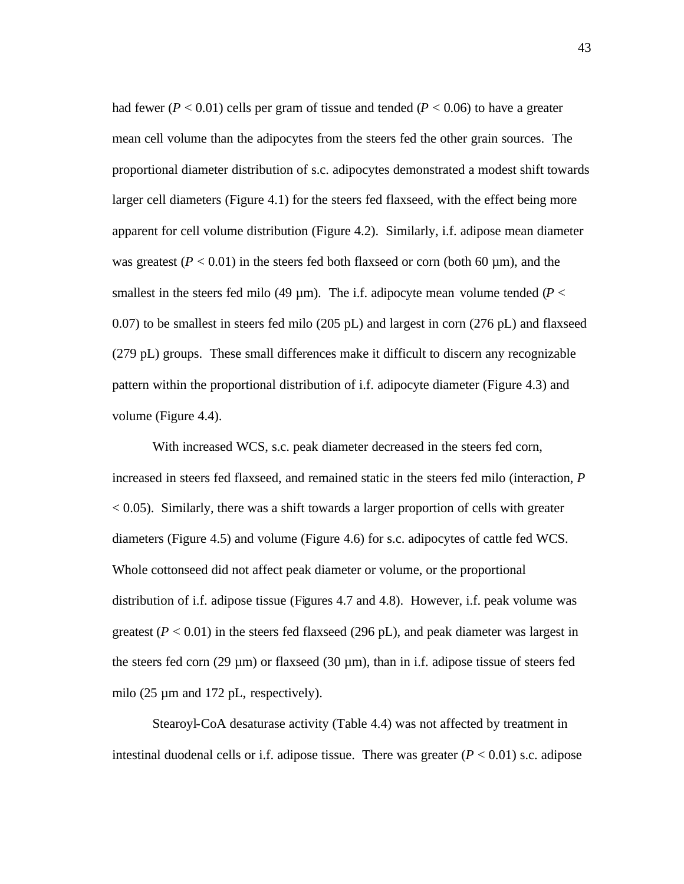had fewer ( $P < 0.01$ ) cells per gram of tissue and tended ( $P < 0.06$ ) to have a greater mean cell volume than the adipocytes from the steers fed the other grain sources. The proportional diameter distribution of s.c. adipocytes demonstrated a modest shift towards larger cell diameters (Figure 4.1) for the steers fed flaxseed, with the effect being more apparent for cell volume distribution (Figure 4.2). Similarly, i.f. adipose mean diameter was greatest  $(P < 0.01)$  in the steers fed both flaxseed or corn (both 60 µm), and the smallest in the steers fed milo (49  $\mu$ m). The i.f. adipocyte mean volume tended ( $P <$ 0.07) to be smallest in steers fed milo (205 pL) and largest in corn (276 pL) and flaxseed (279 pL) groups. These small differences make it difficult to discern any recognizable pattern within the proportional distribution of i.f. adipocyte diameter (Figure 4.3) and volume (Figure 4.4).

With increased WCS, s.c. peak diameter decreased in the steers fed corn, increased in steers fed flaxseed, and remained static in the steers fed milo (interaction, *P*  $< 0.05$ ). Similarly, there was a shift towards a larger proportion of cells with greater diameters (Figure 4.5) and volume (Figure 4.6) for s.c. adipocytes of cattle fed WCS. Whole cottonseed did not affect peak diameter or volume, or the proportional distribution of i.f. adipose tissue (Figures 4.7 and 4.8). However, i.f. peak volume was greatest  $(P < 0.01)$  in the steers fed flaxseed (296 pL), and peak diameter was largest in the steers fed corn (29  $\mu$ m) or flaxseed (30  $\mu$ m), than in i.f. adipose tissue of steers fed milo (25  $\mu$ m and 172 pL, respectively).

Stearoyl-CoA desaturase activity (Table 4.4) was not affected by treatment in intestinal duodenal cells or i.f. adipose tissue. There was greater  $(P < 0.01)$  s.c. adipose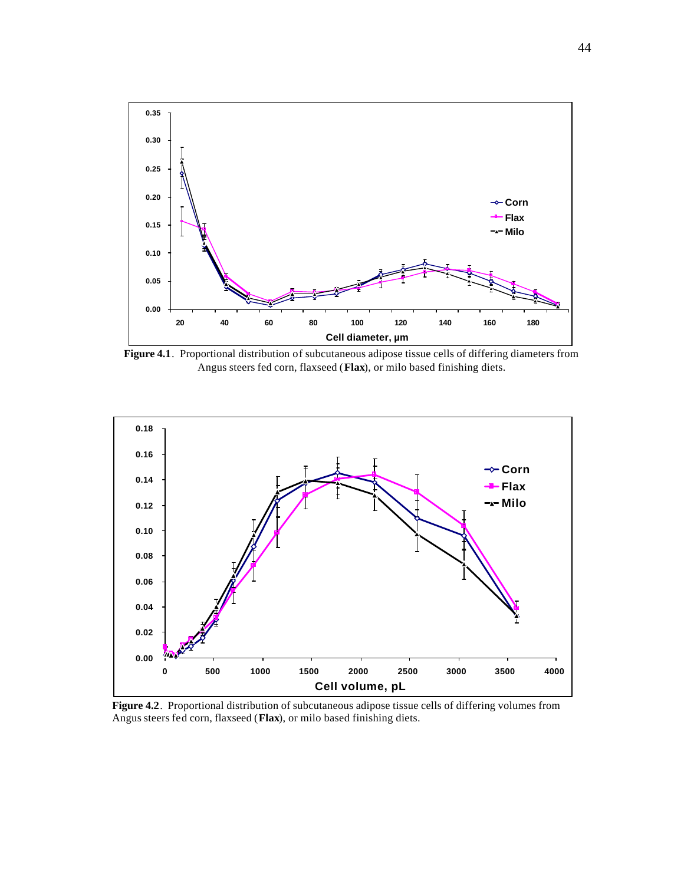

**Figure 4.1**. Proportional distribution of subcutaneous adipose tissue cells of differing diameters from Angus steers fed corn, flaxseed (**Flax**), or milo based finishing diets.



**Figure 4.2**. Proportional distribution of subcutaneous adipose tissue cells of differing volumes from Angus steers fed corn, flaxseed (**Flax**), or milo based finishing diets.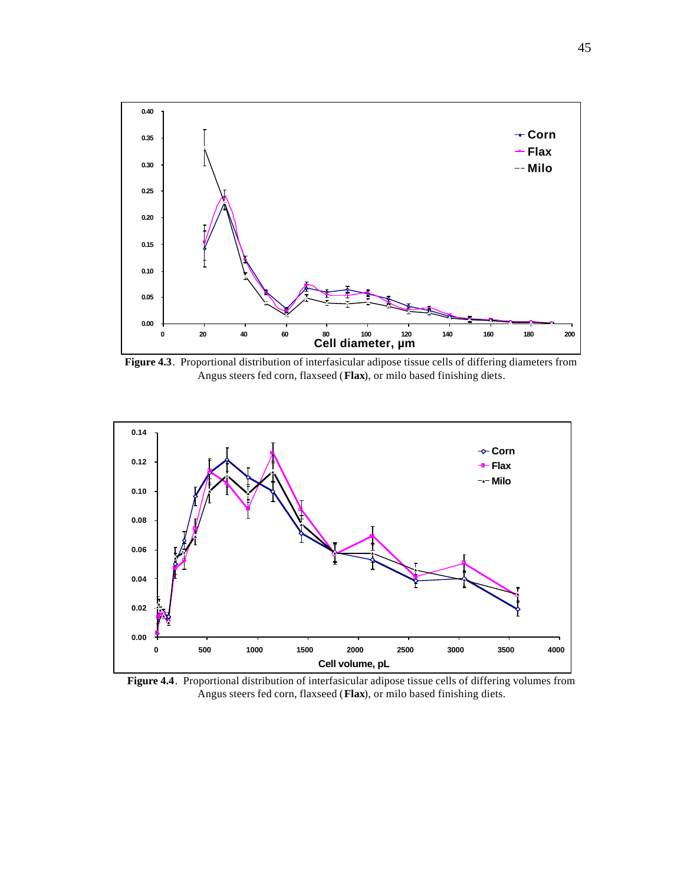

**Figure 4.3**. Proportional distribution of interfasicular adipose tissue cells of differing diameters from Angus steers fed corn, flaxseed (**Flax**), or milo based finishing diets.



**Figure 4.4**. Proportional distribution of interfasicular adipose tissue cells of differing volumes from Angus steers fed corn, flaxseed (**Flax**), or milo based finishing diets.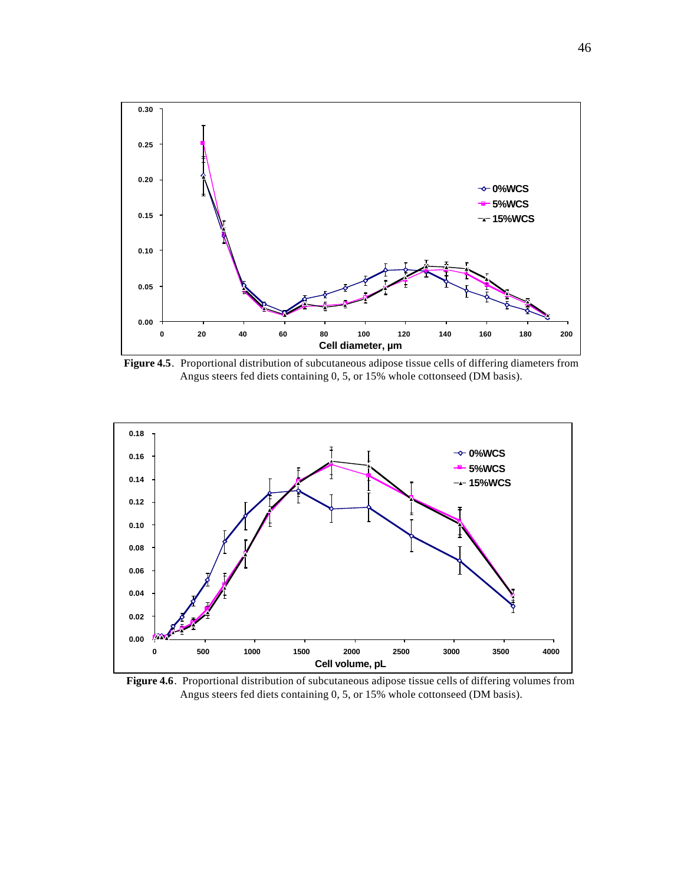

**Figure 4.5**. Proportional distribution of subcutaneous adipose tissue cells of differing diameters from Angus steers fed diets containing 0, 5, or 15% whole cottonseed (DM basis).



**Figure 4.6**. Proportional distribution of subcutaneous adipose tissue cells of differing volumes from Angus steers fed diets containing 0, 5, or 15% whole cottonseed (DM basis).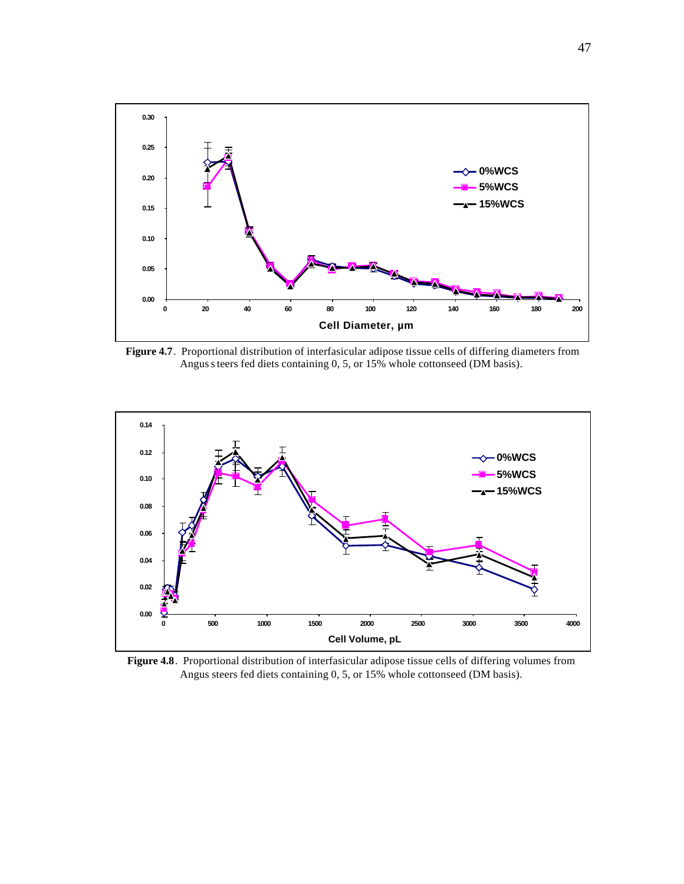

 **Figure 4.7**. Proportional distribution of interfasicular adipose tissue cells of differing diameters from Angus steers fed diets containing 0, 5, or 15% whole cottonseed (DM basis).



**Figure 4.8**. Proportional distribution of interfasicular adipose tissue cells of differing volumes from Angus steers fed diets containing 0, 5, or 15% whole cottonseed (DM basis).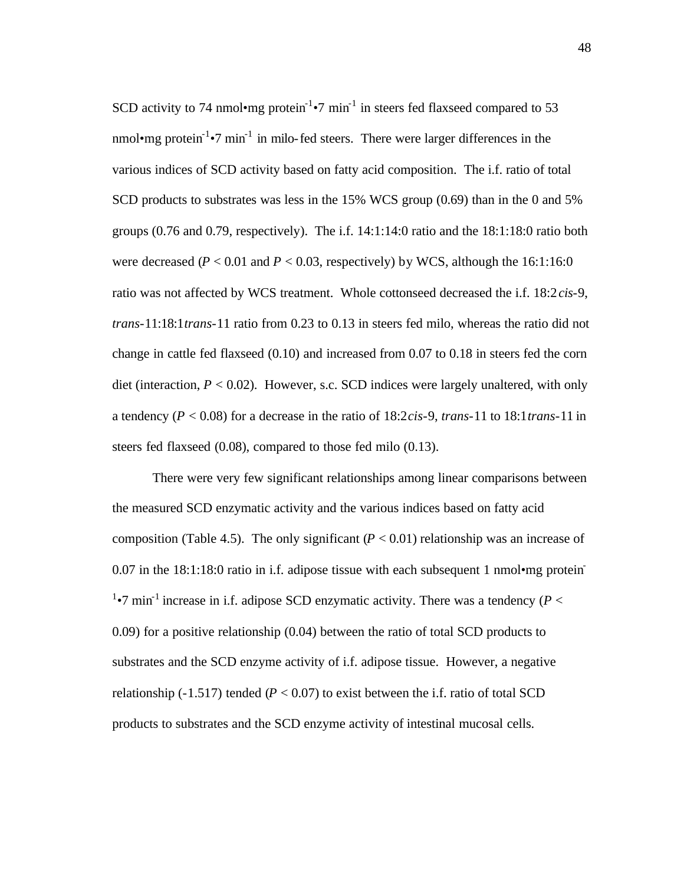SCD activity to 74 nmol•mg protein<sup>-1</sup>•7 min<sup>-1</sup> in steers fed flaxseed compared to 53 nmol•mg protein<sup>-1</sup>•7 min<sup>-1</sup> in milo-fed steers. There were larger differences in the various indices of SCD activity based on fatty acid composition. The i.f. ratio of total SCD products to substrates was less in the 15% WCS group (0.69) than in the 0 and 5% groups (0.76 and 0.79, respectively). The i.f. 14:1:14:0 ratio and the 18:1:18:0 ratio both were decreased ( $P < 0.01$  and  $P < 0.03$ , respectively) by WCS, although the 16:1:16:0 ratio was not affected by WCS treatment. Whole cottonseed decreased the i.f. 18:2*cis*-9, *trans*-11:18:1*trans*-11 ratio from 0.23 to 0.13 in steers fed milo, whereas the ratio did not change in cattle fed flaxseed (0.10) and increased from 0.07 to 0.18 in steers fed the corn diet (interaction,  $P < 0.02$ ). However, s.c. SCD indices were largely unaltered, with only a tendency (*P* < 0.08) for a decrease in the ratio of 18:2*cis*-9, *trans*-11 to 18:1*trans*-11 in steers fed flaxseed (0.08), compared to those fed milo (0.13).

There were very few significant relationships among linear comparisons between the measured SCD enzymatic activity and the various indices based on fatty acid composition (Table 4.5). The only significant  $(P < 0.01)$  relationship was an increase of 0.07 in the 18:1:18:0 ratio in i.f. adipose tissue with each subsequent 1 nmolome protein-<sup>1</sup>•7 min<sup>-1</sup> increase in i.f. adipose SCD enzymatic activity. There was a tendency ( $P <$ 0.09) for a positive relationship (0.04) between the ratio of total SCD products to substrates and the SCD enzyme activity of i.f. adipose tissue. However, a negative relationship (-1.517) tended ( $P < 0.07$ ) to exist between the i.f. ratio of total SCD products to substrates and the SCD enzyme activity of intestinal mucosal cells.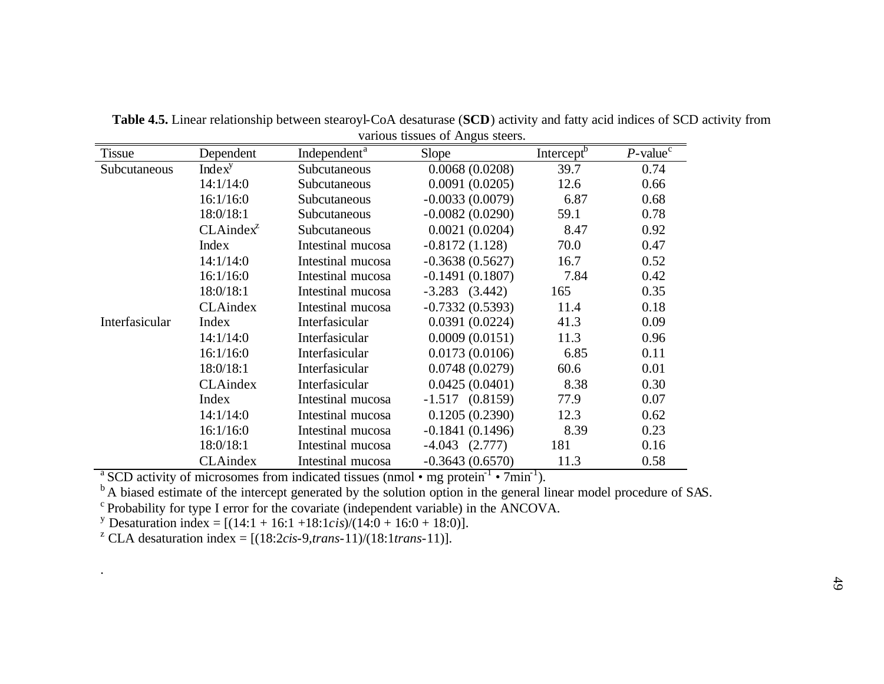| <b>Tissue</b>  | Dependent          | Independent <sup>a</sup> | Slope              | Intercept <sup>b</sup> | $P$ -value <sup><math>\overline{c}</math></sup> |
|----------------|--------------------|--------------------------|--------------------|------------------------|-------------------------------------------------|
| Subcutaneous   | Index <sup>y</sup> | Subcutaneous             | 0.0068(0.0208)     | 39.7                   | 0.74                                            |
|                | 14:1/14:0          | Subcutaneous             | 0.0091(0.0205)     | 12.6                   | 0.66                                            |
|                | 16:1/16:0          | Subcutaneous             | $-0.0033(0.0079)$  | 6.87                   | 0.68                                            |
|                | 18:0/18:1          | Subcutaneous             | $-0.0082(0.0290)$  | 59.1                   | 0.78                                            |
|                | $CLAindex^Z$       | Subcutaneous             | 0.0021(0.0204)     | 8.47                   | 0.92                                            |
|                | <b>Index</b>       | Intestinal mucosa        | $-0.8172(1.128)$   | 70.0                   | 0.47                                            |
|                | 14:1/14:0          | Intestinal mucosa        | $-0.3638(0.5627)$  | 16.7                   | 0.52                                            |
|                | 16:1/16:0          | Intestinal mucosa        | $-0.1491(0.1807)$  | 7.84                   | 0.42                                            |
|                | 18:0/18:1          | Intestinal mucosa        | $-3.283$ $(3.442)$ | 165                    | 0.35                                            |
|                | <b>CLAindex</b>    | Intestinal mucosa        | $-0.7332(0.5393)$  | 11.4                   | 0.18                                            |
| Interfasicular | Index              | Interfasicular           | 0.0391(0.0224)     | 41.3                   | 0.09                                            |
|                | 14:1/14:0          | Interfasicular           | 0.0009(0.0151)     | 11.3                   | 0.96                                            |
|                | 16:1/16:0          | Interfasicular           | 0.0173(0.0106)     | 6.85                   | 0.11                                            |
|                | 18:0/18:1          | Interfasicular           | 0.0748(0.0279)     | 60.6                   | 0.01                                            |
|                | <b>CLAindex</b>    | Interfasicular           | 0.0425(0.0401)     | 8.38                   | 0.30                                            |
|                | Index              | Intestinal mucosa        | $-1.517(0.8159)$   | 77.9                   | 0.07                                            |
|                | 14:1/14:0          | Intestinal mucosa        | 0.1205(0.2390)     | 12.3                   | 0.62                                            |
|                | 16:1/16:0          | Intestinal mucosa        | $-0.1841(0.1496)$  | 8.39                   | 0.23                                            |
|                | 18:0/18:1          | Intestinal mucosa        | $-4.043$ $(2.777)$ | 181                    | 0.16                                            |
|                | CLAindex           | Intestinal mucosa        | $-0.3643(0.6570)$  | 11.3                   | 0.58                                            |

**Table 4.5.** Linear relationship between stearoyl-CoA desaturase (**SCD**) activity and fatty acid indices of SCD activity from various tissues of Angus steers.

<sup>a</sup> SCD activity of microsomes from indicated tissues (nmol • mg protein<sup>-1</sup> • 7min<sup>-1</sup>).

<sup>b</sup>A biased estimate of the intercept generated by the solution option in the general linear model procedure of SAS.

 $\degree$ Probability for type I error for the covariate (independent variable) in the ANCOVA.

<sup>y</sup> Desaturation index =  $[(14:1 + 16:1 + 18:1 \text{cis})/(14:0 + 16:0 + 18:0)].$ 

<sup>z</sup> CLA desaturation index =  $[(18:2cis-9, trans-11)/(18:1trans-11)].$ 

.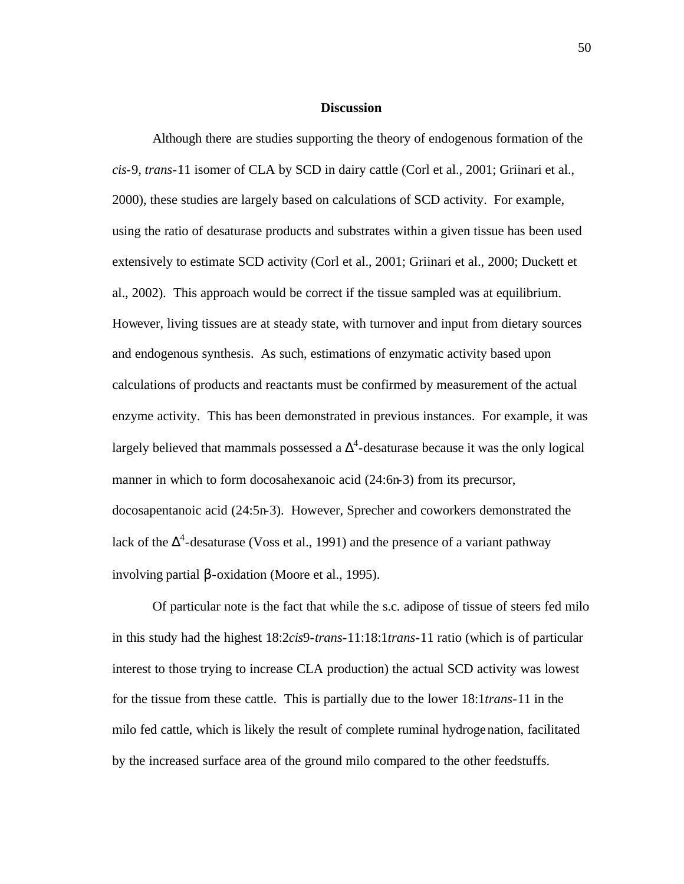#### **Discussion**

Although there are studies supporting the theory of endogenous formation of the *cis*-9, *trans*-11 isomer of CLA by SCD in dairy cattle (Corl et al., 2001; Griinari et al., 2000), these studies are largely based on calculations of SCD activity. For example, using the ratio of desaturase products and substrates within a given tissue has been used extensively to estimate SCD activity (Corl et al., 2001; Griinari et al., 2000; Duckett et al., 2002). This approach would be correct if the tissue sampled was at equilibrium. However, living tissues are at steady state, with turnover and input from dietary sources and endogenous synthesis. As such, estimations of enzymatic activity based upon calculations of products and reactants must be confirmed by measurement of the actual enzyme activity. This has been demonstrated in previous instances. For example, it was largely believed that mammals possessed a  $\Delta^4$ -desaturase because it was the only logical manner in which to form docosahexanoic acid (24:6n-3) from its precursor, docosapentanoic acid (24:5n-3). However, Sprecher and coworkers demonstrated the lack of the  $\Delta^4$ -desaturase (Voss et al., 1991) and the presence of a variant pathway involving partial β-oxidation (Moore et al., 1995).

Of particular note is the fact that while the s.c. adipose of tissue of steers fed milo in this study had the highest 18:2*cis*9-*trans*-11:18:1*trans*-11 ratio (which is of particular interest to those trying to increase CLA production) the actual SCD activity was lowest for the tissue from these cattle. This is partially due to the lower 18:1*trans*-11 in the milo fed cattle, which is likely the result of complete ruminal hydrogenation, facilitated by the increased surface area of the ground milo compared to the other feedstuffs.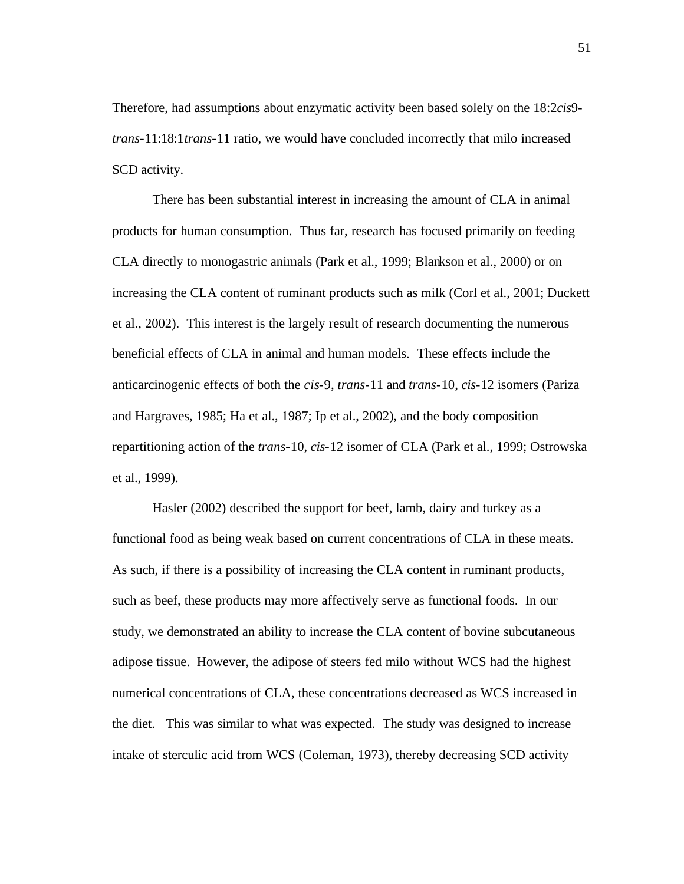Therefore, had assumptions about enzymatic activity been based solely on the 18:2*cis*9 *trans*-11:18:1*trans*-11 ratio, we would have concluded incorrectly that milo increased SCD activity.

There has been substantial interest in increasing the amount of CLA in animal products for human consumption. Thus far, research has focused primarily on feeding CLA directly to monogastric animals (Park et al., 1999; Blankson et al., 2000) or on increasing the CLA content of ruminant products such as milk (Corl et al., 2001; Duckett et al., 2002). This interest is the largely result of research documenting the numerous beneficial effects of CLA in animal and human models. These effects include the anticarcinogenic effects of both the *cis*-9, *trans*-11 and *trans*-10, *cis*-12 isomers (Pariza and Hargraves, 1985; Ha et al., 1987; Ip et al., 2002), and the body composition repartitioning action of the *trans*-10, *cis*-12 isomer of CLA (Park et al., 1999; Ostrowska et al., 1999).

Hasler (2002) described the support for beef, lamb, dairy and turkey as a functional food as being weak based on current concentrations of CLA in these meats. As such, if there is a possibility of increasing the CLA content in ruminant products, such as beef, these products may more affectively serve as functional foods. In our study, we demonstrated an ability to increase the CLA content of bovine subcutaneous adipose tissue. However, the adipose of steers fed milo without WCS had the highest numerical concentrations of CLA, these concentrations decreased as WCS increased in the diet. This was similar to what was expected. The study was designed to increase intake of sterculic acid from WCS (Coleman, 1973), thereby decreasing SCD activity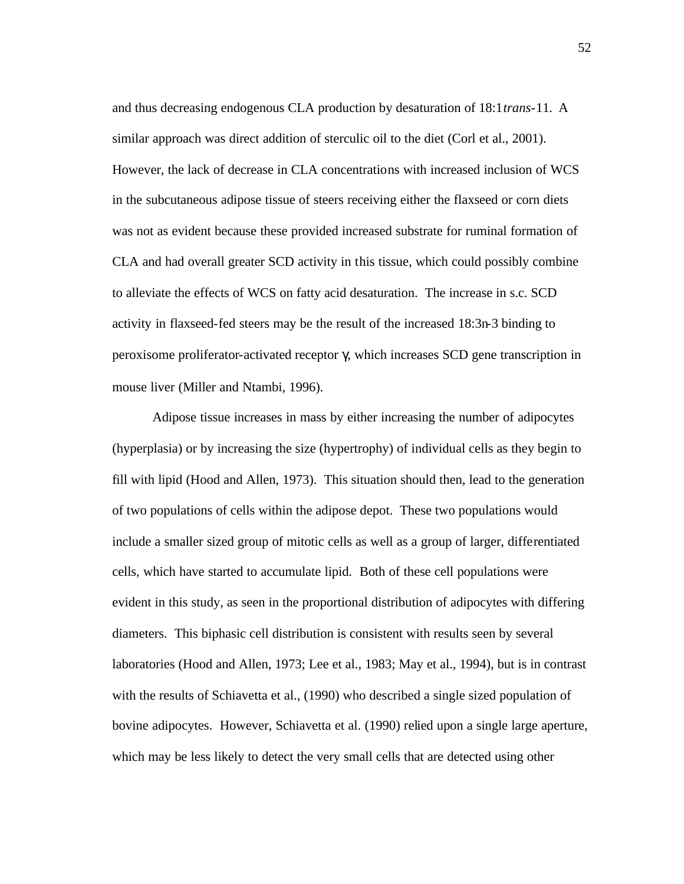and thus decreasing endogenous CLA production by desaturation of 18:1*trans*-11. A similar approach was direct addition of sterculic oil to the diet (Corl et al., 2001). However, the lack of decrease in CLA concentrations with increased inclusion of WCS in the subcutaneous adipose tissue of steers receiving either the flaxseed or corn diets was not as evident because these provided increased substrate for ruminal formation of CLA and had overall greater SCD activity in this tissue, which could possibly combine to alleviate the effects of WCS on fatty acid desaturation. The increase in s.c. SCD activity in flaxseed-fed steers may be the result of the increased 18:3n-3 binding to peroxisome proliferator-activated receptor γ, which increases SCD gene transcription in mouse liver (Miller and Ntambi, 1996).

Adipose tissue increases in mass by either increasing the number of adipocytes (hyperplasia) or by increasing the size (hypertrophy) of individual cells as they begin to fill with lipid (Hood and Allen, 1973). This situation should then, lead to the generation of two populations of cells within the adipose depot. These two populations would include a smaller sized group of mitotic cells as well as a group of larger, differentiated cells, which have started to accumulate lipid. Both of these cell populations were evident in this study, as seen in the proportional distribution of adipocytes with differing diameters. This biphasic cell distribution is consistent with results seen by several laboratories (Hood and Allen, 1973; Lee et al., 1983; May et al., 1994), but is in contrast with the results of Schiavetta et al., (1990) who described a single sized population of bovine adipocytes. However, Schiavetta et al. (1990) relied upon a single large aperture, which may be less likely to detect the very small cells that are detected using other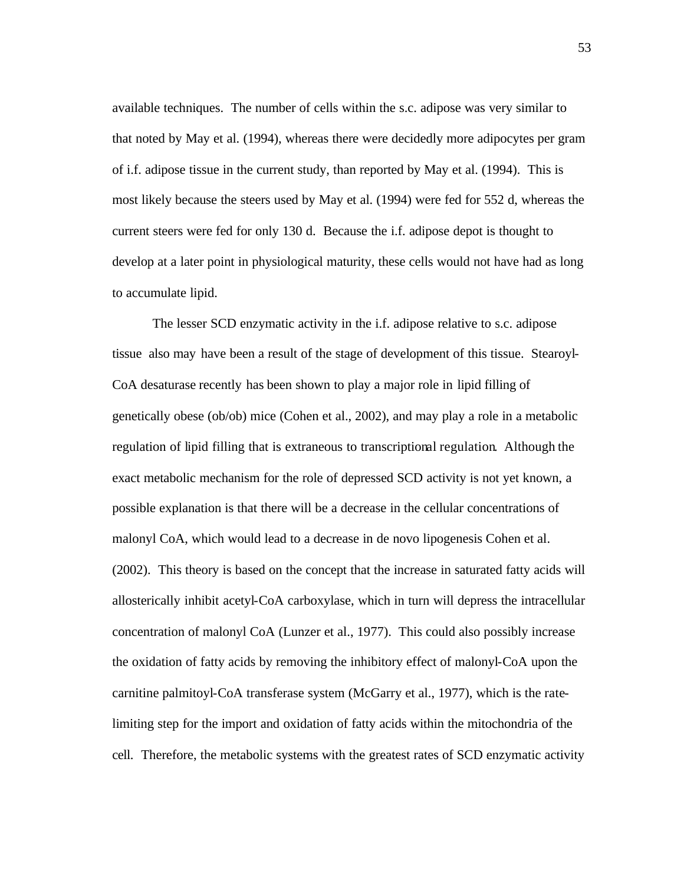available techniques. The number of cells within the s.c. adipose was very similar to that noted by May et al. (1994), whereas there were decidedly more adipocytes per gram of i.f. adipose tissue in the current study, than reported by May et al. (1994). This is most likely because the steers used by May et al. (1994) were fed for 552 d, whereas the current steers were fed for only 130 d. Because the i.f. adipose depot is thought to develop at a later point in physiological maturity, these cells would not have had as long to accumulate lipid.

The lesser SCD enzymatic activity in the i.f. adipose relative to s.c. adipose tissue also may have been a result of the stage of development of this tissue. Stearoyl-CoA desaturase recently has been shown to play a major role in lipid filling of genetically obese (ob/ob) mice (Cohen et al., 2002), and may play a role in a metabolic regulation of lipid filling that is extraneous to transcriptional regulation. Although the exact metabolic mechanism for the role of depressed SCD activity is not yet known, a possible explanation is that there will be a decrease in the cellular concentrations of malonyl CoA, which would lead to a decrease in de novo lipogenesis Cohen et al. (2002). This theory is based on the concept that the increase in saturated fatty acids will allosterically inhibit acetyl-CoA carboxylase, which in turn will depress the intracellular concentration of malonyl CoA (Lunzer et al., 1977). This could also possibly increase the oxidation of fatty acids by removing the inhibitory effect of malonyl-CoA upon the carnitine palmitoyl-CoA transferase system (McGarry et al., 1977), which is the ratelimiting step for the import and oxidation of fatty acids within the mitochondria of the cell. Therefore, the metabolic systems with the greatest rates of SCD enzymatic activity

53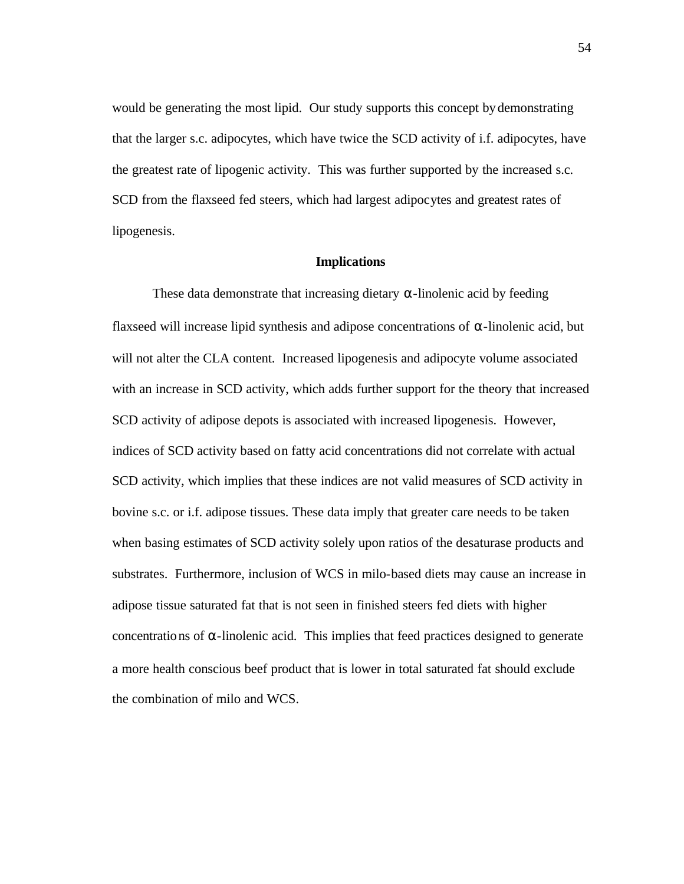would be generating the most lipid. Our study supports this concept by demonstrating that the larger s.c. adipocytes, which have twice the SCD activity of i.f. adipocytes, have the greatest rate of lipogenic activity. This was further supported by the increased s.c. SCD from the flaxseed fed steers, which had largest adipocytes and greatest rates of lipogenesis.

#### **Implications**

These data demonstrate that increasing dietary  $\alpha$ -linolenic acid by feeding flaxseed will increase lipid synthesis and adipose concentrations of  $\alpha$ -linolenic acid, but will not alter the CLA content. Increased lipogenesis and adipocyte volume associated with an increase in SCD activity, which adds further support for the theory that increased SCD activity of adipose depots is associated with increased lipogenesis. However, indices of SCD activity based on fatty acid concentrations did not correlate with actual SCD activity, which implies that these indices are not valid measures of SCD activity in bovine s.c. or i.f. adipose tissues. These data imply that greater care needs to be taken when basing estimates of SCD activity solely upon ratios of the desaturase products and substrates. Furthermore, inclusion of WCS in milo-based diets may cause an increase in adipose tissue saturated fat that is not seen in finished steers fed diets with higher concentrations of  $\alpha$ -linolenic acid. This implies that feed practices designed to generate a more health conscious beef product that is lower in total saturated fat should exclude the combination of milo and WCS.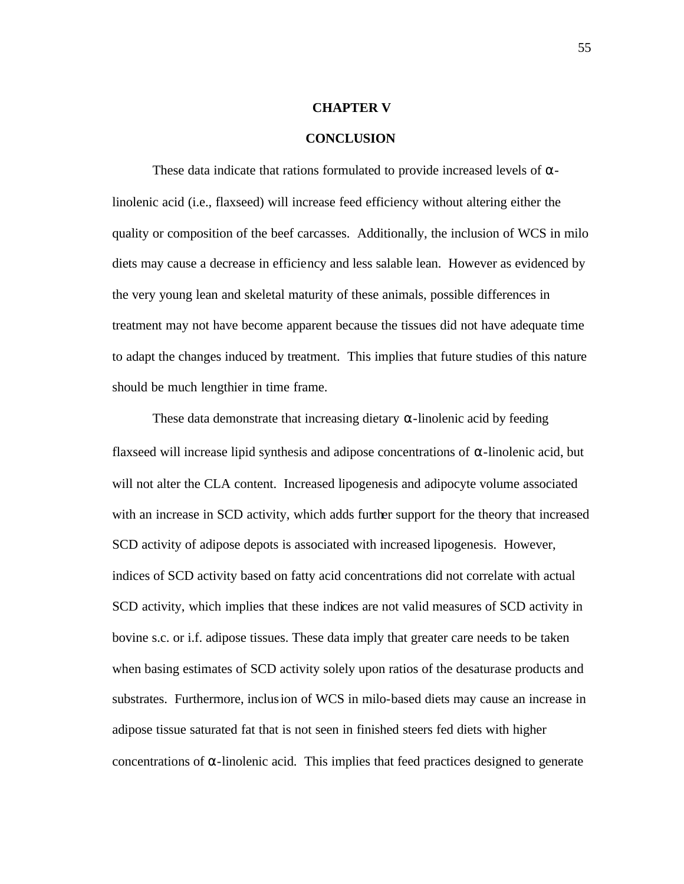## **CHAPTER V**

#### **CONCLUSION**

These data indicate that rations formulated to provide increased levels of  $\alpha$ linolenic acid (i.e., flaxseed) will increase feed efficiency without altering either the quality or composition of the beef carcasses. Additionally, the inclusion of WCS in milo diets may cause a decrease in efficiency and less salable lean. However as evidenced by the very young lean and skeletal maturity of these animals, possible differences in treatment may not have become apparent because the tissues did not have adequate time to adapt the changes induced by treatment. This implies that future studies of this nature should be much lengthier in time frame.

These data demonstrate that increasing dietary  $\alpha$ -linolenic acid by feeding flaxseed will increase lipid synthesis and adipose concentrations of  $\alpha$ -linolenic acid, but will not alter the CLA content. Increased lipogenesis and adipocyte volume associated with an increase in SCD activity, which adds further support for the theory that increased SCD activity of adipose depots is associated with increased lipogenesis. However, indices of SCD activity based on fatty acid concentrations did not correlate with actual SCD activity, which implies that these indices are not valid measures of SCD activity in bovine s.c. or i.f. adipose tissues. These data imply that greater care needs to be taken when basing estimates of SCD activity solely upon ratios of the desaturase products and substrates. Furthermore, inclusion of WCS in milo-based diets may cause an increase in adipose tissue saturated fat that is not seen in finished steers fed diets with higher concentrations of  $\alpha$ -linolenic acid. This implies that feed practices designed to generate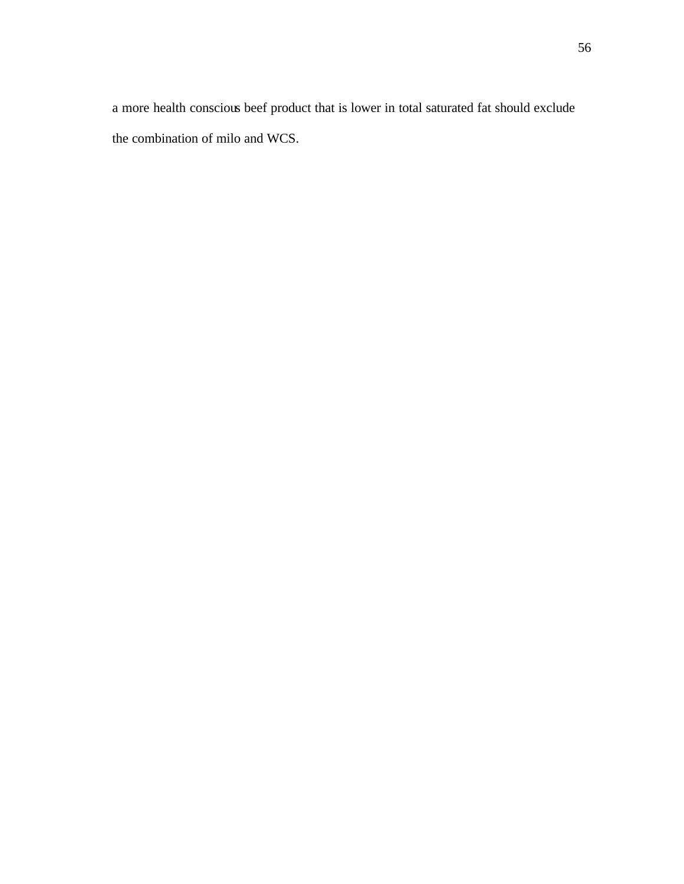a more health conscious beef product that is lower in total saturated fat should exclude the combination of milo and WCS.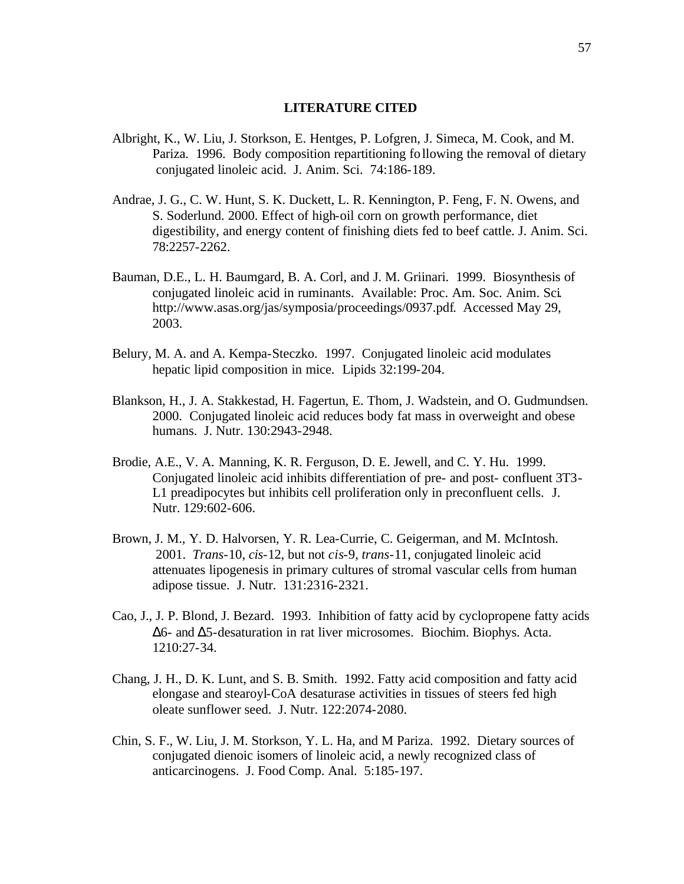#### **LITERATURE CITED**

- Albright, K., W. Liu, J. Storkson, E. Hentges, P. Lofgren, J. Simeca, M. Cook, and M. Pariza. 1996. Body composition repartitioning following the removal of dietary conjugated linoleic acid. J. Anim. Sci. 74:186-189.
- Andrae, J. G., C. W. Hunt, S. K. Duckett, L. R. Kennington, P. Feng, F. N. Owens, and S. Soderlund. 2000. Effect of high-oil corn on growth performance, diet digestibility, and energy content of finishing diets fed to beef cattle. J. Anim. Sci. 78:2257-2262.
- Bauman, D.E., L. H. Baumgard, B. A. Corl, and J. M. Griinari. 1999. Biosynthesis of conjugated linoleic acid in ruminants. Available: Proc. Am. Soc. Anim. Sci. http://www.asas.org/jas/symposia/proceedings/0937.pdf. Accessed May 29, 2003.
- Belury, M. A. and A. Kempa-Steczko. 1997. Conjugated linoleic acid modulates hepatic lipid composition in mice. Lipids 32:199-204.
- Blankson, H., J. A. Stakkestad, H. Fagertun, E. Thom, J. Wadstein, and O. Gudmundsen. 2000. Conjugated linoleic acid reduces body fat mass in overweight and obese humans. J. Nutr. 130:2943-2948.
- Brodie, A.E., V. A. Manning, K. R. Ferguson, D. E. Jewell, and C. Y. Hu. 1999. Conjugated linoleic acid inhibits differentiation of pre- and post- confluent 3T3- L1 preadipocytes but inhibits cell proliferation only in preconfluent cells. J. Nutr. 129:602-606.
- Brown, J. M., Y. D. Halvorsen, Y. R. Lea-Currie, C. Geigerman, and M. McIntosh. 2001. *Trans*-10, *cis*-12, but not *cis*-9, *trans*-11, conjugated linoleic acid attenuates lipogenesis in primary cultures of stromal vascular cells from human adipose tissue. J. Nutr. 131:2316-2321.
- Cao, J., J. P. Blond, J. Bezard. 1993. Inhibition of fatty acid by cyclopropene fatty acids Δ6- and Δ5-desaturation in rat liver microsomes. Biochim. Biophys. Acta. 1210:27-34.
- Chang, J. H., D. K. Lunt, and S. B. Smith. 1992. Fatty acid composition and fatty acid elongase and stearoyl-CoA desaturase activities in tissues of steers fed high oleate sunflower seed. J. Nutr. 122:2074-2080.
- Chin, S. F., W. Liu, J. M. Storkson, Y. L. Ha, and M Pariza. 1992. Dietary sources of conjugated dienoic isomers of linoleic acid, a newly recognized class of anticarcinogens. J. Food Comp. Anal. 5:185-197.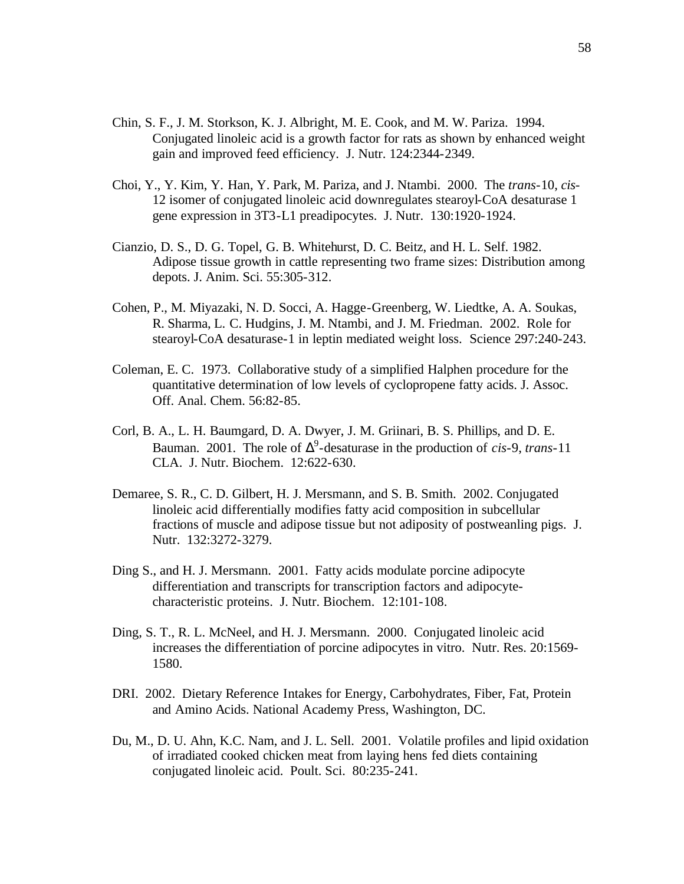- Chin, S. F., J. M. Storkson, K. J. Albright, M. E. Cook, and M. W. Pariza. 1994. Conjugated linoleic acid is a growth factor for rats as shown by enhanced weight gain and improved feed efficiency. J. Nutr. 124:2344-2349.
- Choi, Y., Y. Kim, Y. Han, Y. Park, M. Pariza, and J. Ntambi. 2000. The *trans*-10, *cis*-12 isomer of conjugated linoleic acid downregulates stearoyl-CoA desaturase 1 gene expression in 3T3-L1 preadipocytes. J. Nutr. 130:1920-1924.
- Cianzio, D. S., D. G. Topel, G. B. Whitehurst, D. C. Beitz, and H. L. Self. 1982. Adipose tissue growth in cattle representing two frame sizes: Distribution among depots. J. Anim. Sci. 55:305-312.
- Cohen, P., M. Miyazaki, N. D. Socci, A. Hagge-Greenberg, W. Liedtke, A. A. Soukas, R. Sharma, L. C. Hudgins, J. M. Ntambi, and J. M. Friedman. 2002. Role for stearoyl-CoA desaturase-1 in leptin mediated weight loss. Science 297:240-243.
- Coleman, E. C. 1973. Collaborative study of a simplified Halphen procedure for the quantitative determination of low levels of cyclopropene fatty acids. J. Assoc. Off. Anal. Chem. 56:82-85.
- Corl, B. A., L. H. Baumgard, D. A. Dwyer, J. M. Griinari, B. S. Phillips, and D. E. Bauman. 2001. The role of  $\Delta^9$ -desaturase in the production of *cis*-9, *trans*-11 CLA. J. Nutr. Biochem. 12:622-630.
- Demaree, S. R., C. D. Gilbert, H. J. Mersmann, and S. B. Smith. 2002. Conjugated linoleic acid differentially modifies fatty acid composition in subcellular fractions of muscle and adipose tissue but not adiposity of postweanling pigs. J. Nutr. 132:3272-3279.
- Ding S., and H. J. Mersmann. 2001. Fatty acids modulate porcine adipocyte differentiation and transcripts for transcription factors and adipocytecharacteristic proteins. J. Nutr. Biochem. 12:101-108.
- Ding, S. T., R. L. McNeel, and H. J. Mersmann. 2000. Conjugated linoleic acid increases the differentiation of porcine adipocytes in vitro. Nutr. Res. 20:1569- 1580.
- DRI. 2002. Dietary Reference Intakes for Energy, Carbohydrates, Fiber, Fat, Protein and Amino Acids. National Academy Press, Washington, DC.
- Du, M., D. U. Ahn, K.C. Nam, and J. L. Sell. 2001. Volatile profiles and lipid oxidation of irradiated cooked chicken meat from laying hens fed diets containing conjugated linoleic acid. Poult. Sci. 80:235-241.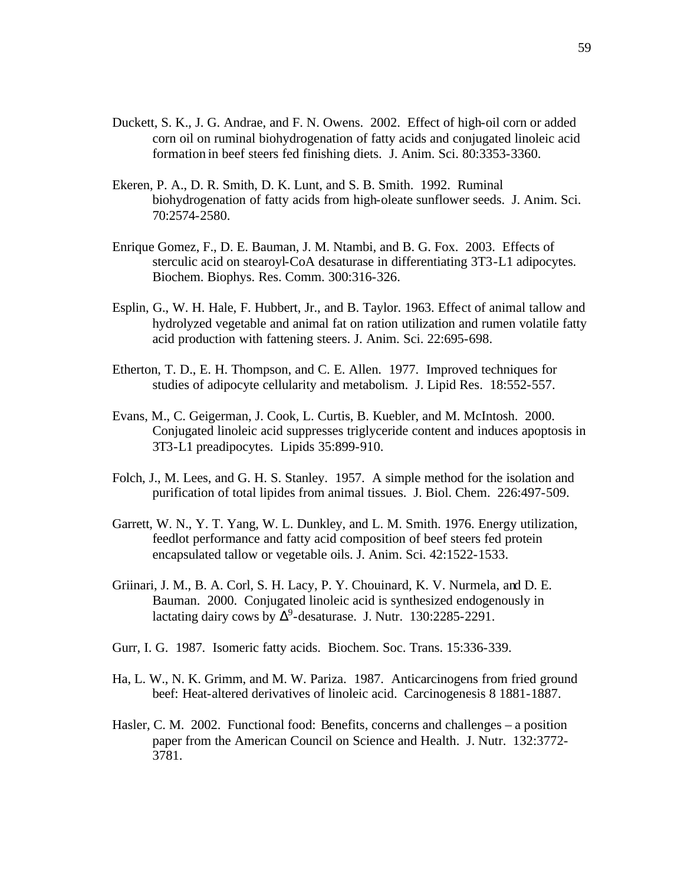- Duckett, S. K., J. G. Andrae, and F. N. Owens. 2002. Effect of high-oil corn or added corn oil on ruminal biohydrogenation of fatty acids and conjugated linoleic acid formation in beef steers fed finishing diets. J. Anim. Sci. 80:3353-3360.
- Ekeren, P. A., D. R. Smith, D. K. Lunt, and S. B. Smith. 1992. Ruminal biohydrogenation of fatty acids from high-oleate sunflower seeds. J. Anim. Sci. 70:2574-2580.
- Enrique Gomez, F., D. E. Bauman, J. M. Ntambi, and B. G. Fox. 2003. Effects of sterculic acid on stearoyl-CoA desaturase in differentiating 3T3-L1 adipocytes. Biochem. Biophys. Res. Comm. 300:316-326.
- Esplin, G., W. H. Hale, F. Hubbert, Jr., and B. Taylor. 1963. Effect of animal tallow and hydrolyzed vegetable and animal fat on ration utilization and rumen volatile fatty acid production with fattening steers. J. Anim. Sci. 22:695-698.
- Etherton, T. D., E. H. Thompson, and C. E. Allen. 1977. Improved techniques for studies of adipocyte cellularity and metabolism. J. Lipid Res. 18:552-557.
- Evans, M., C. Geigerman, J. Cook, L. Curtis, B. Kuebler, and M. McIntosh. 2000. Conjugated linoleic acid suppresses triglyceride content and induces apoptosis in 3T3-L1 preadipocytes. Lipids 35:899-910.
- Folch, J., M. Lees, and G. H. S. Stanley. 1957. A simple method for the isolation and purification of total lipides from animal tissues. J. Biol. Chem. 226:497-509.
- Garrett, W. N., Y. T. Yang, W. L. Dunkley, and L. M. Smith. 1976. Energy utilization, feedlot performance and fatty acid composition of beef steers fed protein encapsulated tallow or vegetable oils. J. Anim. Sci. 42:1522-1533.
- Griinari, J. M., B. A. Corl, S. H. Lacy, P. Y. Chouinard, K. V. Nurmela, and D. E. Bauman. 2000. Conjugated linoleic acid is synthesized endogenously in lactating dairy cows by  $\Delta^9$ -desaturase. J. Nutr. 130:2285-2291.
- Gurr, I. G. 1987. Isomeric fatty acids. Biochem. Soc. Trans. 15:336-339.
- Ha, L. W., N. K. Grimm, and M. W. Pariza. 1987. Anticarcinogens from fried ground beef: Heat-altered derivatives of linoleic acid. Carcinogenesis 8 1881-1887.
- Hasler, C. M. 2002. Functional food: Benefits, concerns and challenges a position paper from the American Council on Science and Health. J. Nutr. 132:3772- 3781.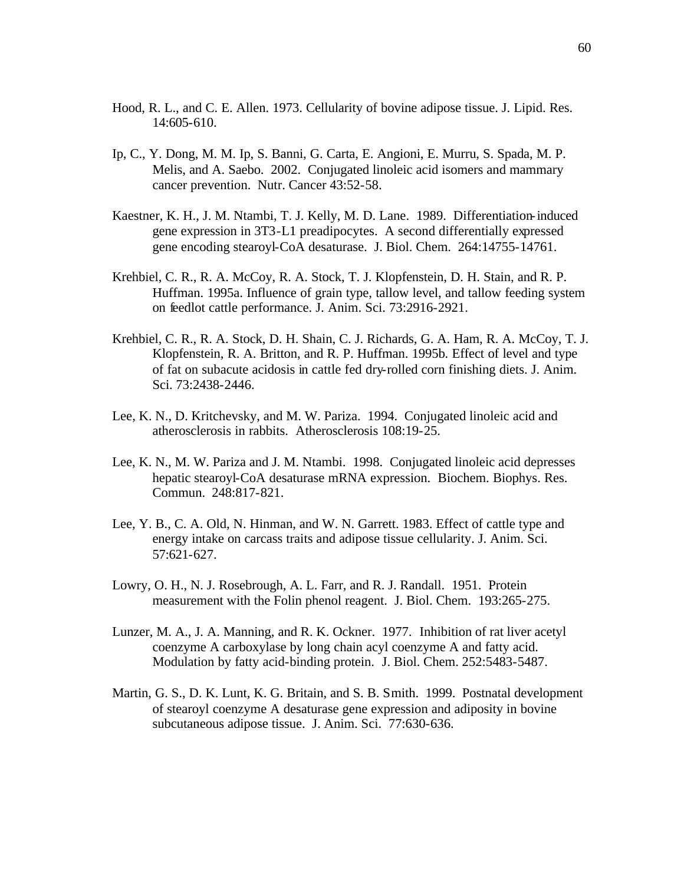- Hood, R. L., and C. E. Allen. 1973. Cellularity of bovine adipose tissue. J. Lipid. Res. 14:605-610.
- Ip, C., Y. Dong, M. M. Ip, S. Banni, G. Carta, E. Angioni, E. Murru, S. Spada, M. P. Melis, and A. Saebo. 2002. Conjugated linoleic acid isomers and mammary cancer prevention. Nutr. Cancer 43:52-58.
- Kaestner, K. H., J. M. Ntambi, T. J. Kelly, M. D. Lane. 1989. Differentiation-induced gene expression in 3T3-L1 preadipocytes. A second differentially expressed gene encoding stearoyl-CoA desaturase. J. Biol. Chem. 264:14755-14761.
- Krehbiel, C. R., R. A. McCoy, R. A. Stock, T. J. Klopfenstein, D. H. Stain, and R. P. Huffman. 1995a. Influence of grain type, tallow level, and tallow feeding system on feedlot cattle performance. J. Anim. Sci. 73:2916-2921.
- Krehbiel, C. R., R. A. Stock, D. H. Shain, C. J. Richards, G. A. Ham, R. A. McCoy, T. J. Klopfenstein, R. A. Britton, and R. P. Huffman. 1995b. Effect of level and type of fat on subacute acidosis in cattle fed dry-rolled corn finishing diets. J. Anim. Sci. 73:2438-2446.
- Lee, K. N., D. Kritchevsky, and M. W. Pariza. 1994. Conjugated linoleic acid and atherosclerosis in rabbits. Atherosclerosis 108:19-25.
- Lee, K. N., M. W. Pariza and J. M. Ntambi. 1998. Conjugated linoleic acid depresses hepatic stearoyl-CoA desaturase mRNA expression. Biochem. Biophys. Res. Commun. 248:817-821.
- Lee, Y. B., C. A. Old, N. Hinman, and W. N. Garrett. 1983. Effect of cattle type and energy intake on carcass traits and adipose tissue cellularity. J. Anim. Sci. 57:621-627.
- Lowry, O. H., N. J. Rosebrough, A. L. Farr, and R. J. Randall. 1951. Protein measurement with the Folin phenol reagent. J. Biol. Chem. 193:265-275.
- Lunzer, M. A., J. A. Manning, and R. K. Ockner. 1977. Inhibition of rat liver acetyl coenzyme A carboxylase by long chain acyl coenzyme A and fatty acid. Modulation by fatty acid-binding protein. J. Biol. Chem. 252:5483-5487.
- Martin, G. S., D. K. Lunt, K. G. Britain, and S. B. Smith. 1999. Postnatal development of stearoyl coenzyme A desaturase gene expression and adiposity in bovine subcutaneous adipose tissue. J. Anim. Sci. 77:630-636.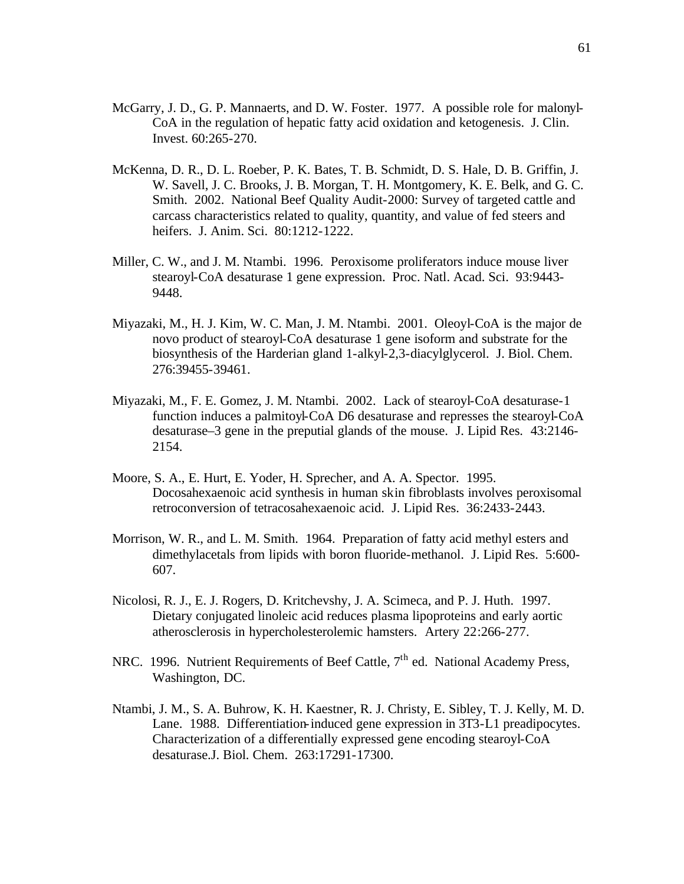- McGarry, J. D., G. P. Mannaerts, and D. W. Foster. 1977. A possible role for malonyl-CoA in the regulation of hepatic fatty acid oxidation and ketogenesis. J. Clin. Invest. 60:265-270.
- McKenna, D. R., D. L. Roeber, P. K. Bates, T. B. Schmidt, D. S. Hale, D. B. Griffin, J. W. Savell, J. C. Brooks, J. B. Morgan, T. H. Montgomery, K. E. Belk, and G. C. Smith. 2002. National Beef Quality Audit-2000: Survey of targeted cattle and carcass characteristics related to quality, quantity, and value of fed steers and heifers. J. Anim. Sci. 80:1212-1222.
- Miller, C. W., and J. M. Ntambi. 1996. Peroxisome proliferators induce mouse liver stearoyl-CoA desaturase 1 gene expression. Proc. Natl. Acad. Sci. 93:9443- 9448.
- Miyazaki, M., H. J. Kim, W. C. Man, J. M. Ntambi. 2001. Oleoyl-CoA is the major de novo product of stearoyl-CoA desaturase 1 gene isoform and substrate for the biosynthesis of the Harderian gland 1-alkyl-2,3-diacylglycerol. J. Biol. Chem. 276:39455-39461.
- Miyazaki, M., F. E. Gomez, J. M. Ntambi. 2002. Lack of stearoyl-CoA desaturase-1 function induces a palmitoyl-CoA D6 desaturase and represses the stearoyl-CoA desaturase–3 gene in the preputial glands of the mouse. J. Lipid Res. 43:2146- 2154.
- Moore, S. A., E. Hurt, E. Yoder, H. Sprecher, and A. A. Spector. 1995. Docosahexaenoic acid synthesis in human skin fibroblasts involves peroxisomal retroconversion of tetracosahexaenoic acid. J. Lipid Res. 36:2433-2443.
- Morrison, W. R., and L. M. Smith. 1964. Preparation of fatty acid methyl esters and dimethylacetals from lipids with boron fluoride-methanol. J. Lipid Res. 5:600- 607.
- Nicolosi, R. J., E. J. Rogers, D. Kritchevshy, J. A. Scimeca, and P. J. Huth. 1997. Dietary conjugated linoleic acid reduces plasma lipoproteins and early aortic atherosclerosis in hypercholesterolemic hamsters. Artery 22:266-277.
- NRC. 1996. Nutrient Requirements of Beef Cattle, 7<sup>th</sup> ed. National Academy Press, Washington, DC.
- Ntambi, J. M., S. A. Buhrow, K. H. Kaestner, R. J. Christy, E. Sibley, T. J. Kelly, M. D. Lane. 1988. Differentiation-induced gene expression in 3T3-L1 preadipocytes. Characterization of a differentially expressed gene encoding stearoyl-CoA desaturase.J. Biol. Chem. 263:17291-17300.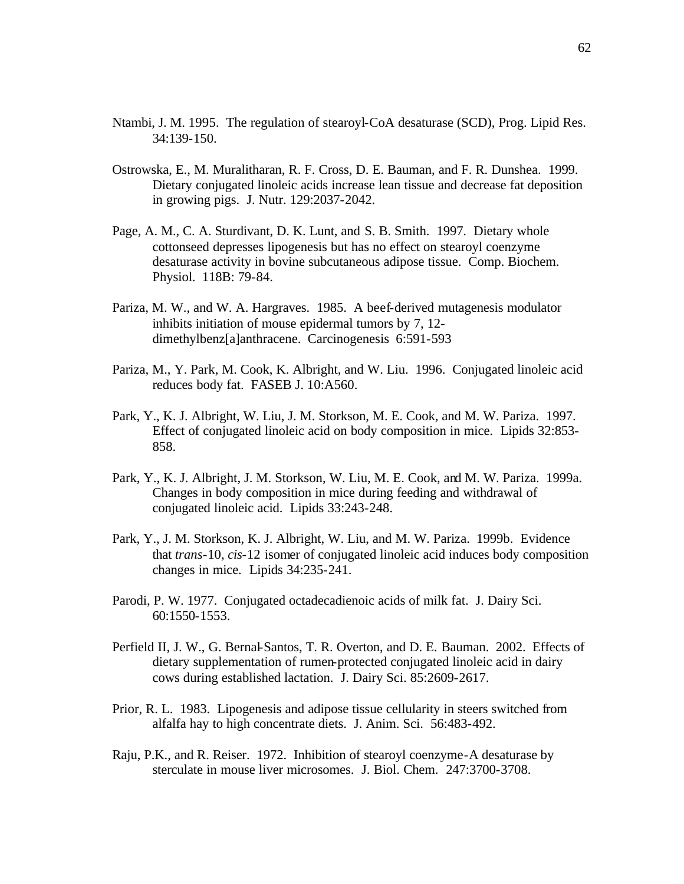- Ntambi, J. M. 1995. The regulation of stearoyl-CoA desaturase (SCD), Prog. Lipid Res. 34:139-150.
- Ostrowska, E., M. Muralitharan, R. F. Cross, D. E. Bauman, and F. R. Dunshea. 1999. Dietary conjugated linoleic acids increase lean tissue and decrease fat deposition in growing pigs. J. Nutr. 129:2037-2042.
- Page, A. M., C. A. Sturdivant, D. K. Lunt, and S. B. Smith. 1997. Dietary whole cottonseed depresses lipogenesis but has no effect on stearoyl coenzyme desaturase activity in bovine subcutaneous adipose tissue. Comp. Biochem. Physiol. 118B: 79-84.
- Pariza, M. W., and W. A. Hargraves. 1985. A beef-derived mutagenesis modulator inhibits initiation of mouse epidermal tumors by 7, 12 dimethylbenz[a]anthracene. Carcinogenesis 6:591-593
- Pariza, M., Y. Park, M. Cook, K. Albright, and W. Liu. 1996. Conjugated linoleic acid reduces body fat. FASEB J. 10:A560.
- Park, Y., K. J. Albright, W. Liu, J. M. Storkson, M. E. Cook, and M. W. Pariza. 1997. Effect of conjugated linoleic acid on body composition in mice. Lipids 32:853- 858.
- Park, Y., K. J. Albright, J. M. Storkson, W. Liu, M. E. Cook, and M. W. Pariza. 1999a. Changes in body composition in mice during feeding and withdrawal of conjugated linoleic acid. Lipids 33:243-248.
- Park, Y., J. M. Storkson, K. J. Albright, W. Liu, and M. W. Pariza. 1999b. Evidence that *trans*-10, *cis*-12 isomer of conjugated linoleic acid induces body composition changes in mice. Lipids 34:235-241.
- Parodi, P. W. 1977. Conjugated octadecadienoic acids of milk fat. J. Dairy Sci. 60:1550-1553.
- Perfield II, J. W., G. Bernal-Santos, T. R. Overton, and D. E. Bauman. 2002. Effects of dietary supplementation of rumen-protected conjugated linoleic acid in dairy cows during established lactation. J. Dairy Sci. 85:2609-2617.
- Prior, R. L. 1983. Lipogenesis and adipose tissue cellularity in steers switched from alfalfa hay to high concentrate diets. J. Anim. Sci. 56:483-492.
- Raju, P.K., and R. Reiser. 1972. Inhibition of stearoyl coenzyme-A desaturase by sterculate in mouse liver microsomes. J. Biol. Chem. 247:3700-3708.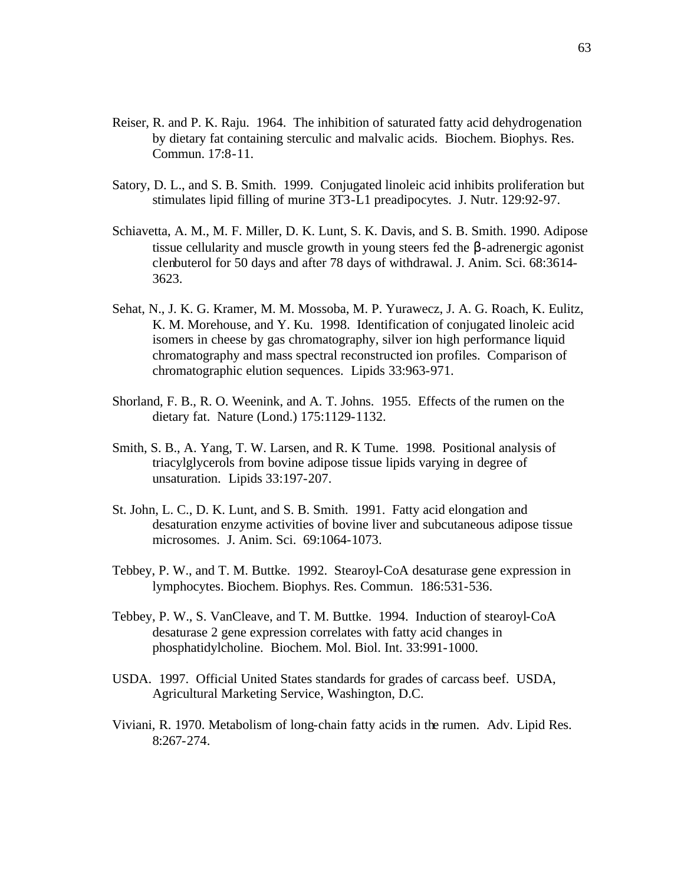- Reiser, R. and P. K. Raju. 1964. The inhibition of saturated fatty acid dehydrogenation by dietary fat containing sterculic and malvalic acids. Biochem. Biophys. Res. Commun. 17:8-11.
- Satory, D. L., and S. B. Smith. 1999. Conjugated linoleic acid inhibits proliferation but stimulates lipid filling of murine 3T3-L1 preadipocytes. J. Nutr. 129:92-97.
- Schiavetta, A. M., M. F. Miller, D. K. Lunt, S. K. Davis, and S. B. Smith. 1990. Adipose tissue cellularity and muscle growth in young steers fed the β-adrenergic agonist clenbuterol for 50 days and after 78 days of withdrawal. J. Anim. Sci. 68:3614- 3623.
- Sehat, N., J. K. G. Kramer, M. M. Mossoba, M. P. Yurawecz, J. A. G. Roach, K. Eulitz, K. M. Morehouse, and Y. Ku. 1998. Identification of conjugated linoleic acid isomers in cheese by gas chromatography, silver ion high performance liquid chromatography and mass spectral reconstructed ion profiles. Comparison of chromatographic elution sequences. Lipids 33:963-971.
- Shorland, F. B., R. O. Weenink, and A. T. Johns. 1955. Effects of the rumen on the dietary fat. Nature (Lond.) 175:1129-1132.
- Smith, S. B., A. Yang, T. W. Larsen, and R. K Tume. 1998. Positional analysis of triacylglycerols from bovine adipose tissue lipids varying in degree of unsaturation. Lipids 33:197-207.
- St. John, L. C., D. K. Lunt, and S. B. Smith. 1991. Fatty acid elongation and desaturation enzyme activities of bovine liver and subcutaneous adipose tissue microsomes. J. Anim. Sci. 69:1064-1073.
- Tebbey, P. W., and T. M. Buttke. 1992. Stearoyl-CoA desaturase gene expression in lymphocytes. Biochem. Biophys. Res. Commun. 186:531-536.
- Tebbey, P. W., S. VanCleave, and T. M. Buttke. 1994. Induction of stearoyl-CoA desaturase 2 gene expression correlates with fatty acid changes in phosphatidylcholine. Biochem. Mol. Biol. Int. 33:991-1000.
- USDA. 1997. Official United States standards for grades of carcass beef. USDA, Agricultural Marketing Service, Washington, D.C.
- Viviani, R. 1970. Metabolism of long-chain fatty acids in the rumen. Adv. Lipid Res. 8:267-274.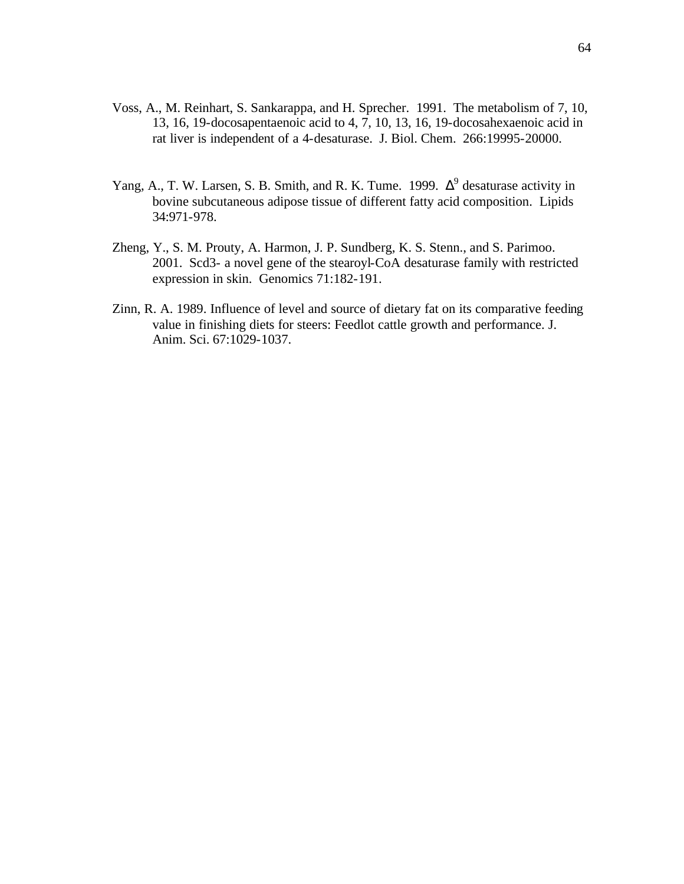- Voss, A., M. Reinhart, S. Sankarappa, and H. Sprecher. 1991. The metabolism of 7, 10, 13, 16, 19-docosapentaenoic acid to 4, 7, 10, 13, 16, 19-docosahexaenoic acid in rat liver is independent of a 4-desaturase. J. Biol. Chem. 266:19995-20000.
- Yang, A., T. W. Larsen, S. B. Smith, and R. K. Tume. 1999.  $\Delta^9$  desaturase activity in bovine subcutaneous adipose tissue of different fatty acid composition. Lipids 34:971-978.
- Zheng, Y., S. M. Prouty, A. Harmon, J. P. Sundberg, K. S. Stenn., and S. Parimoo. 2001. Scd3- a novel gene of the stearoyl-CoA desaturase family with restricted expression in skin. Genomics 71:182-191.
- Zinn, R. A. 1989. Influence of level and source of dietary fat on its comparative feeding value in finishing diets for steers: Feedlot cattle growth and performance. J. Anim. Sci. 67:1029-1037.